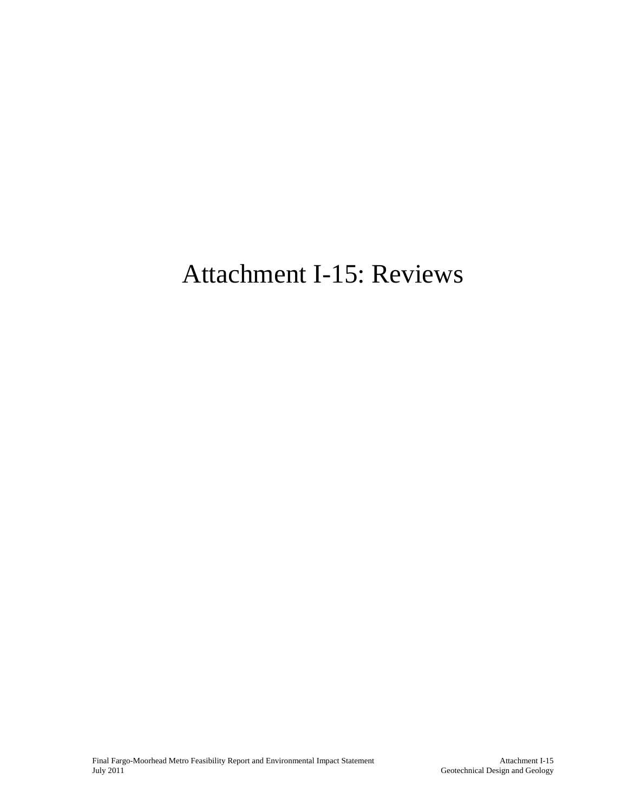# Attachment I-15: Reviews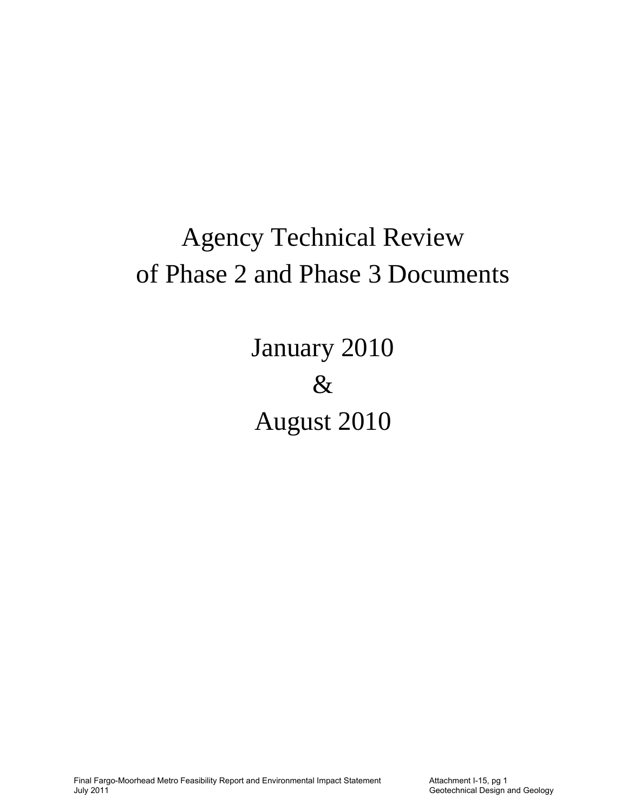# Agency Technical Review of Phase 2 and Phase 3 Documents

January 2010 & August 2010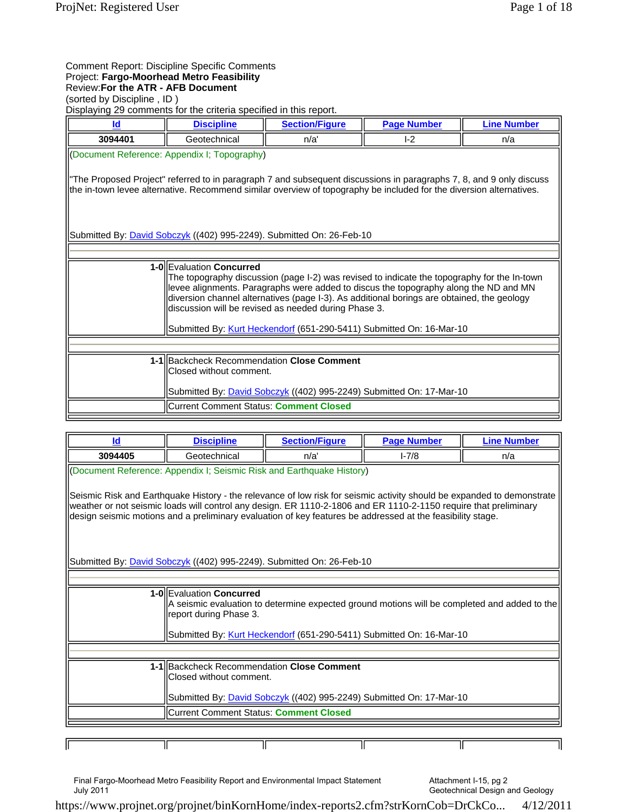### Comment Report: Discipline Specific Comments Project: **Fargo-Moorhead Metro Feasibility** Review:**For the ATR - AFB Document**

(sorted by Discipline , ID )

Displaying 29 comments for the criteria specified in this report.

| Id                                                                                                                                                                                                                                                                                                                                                                                                                                             | <b>Discipline</b>                                                     | <b>Section/Figure</b>                                                        | <b>Page Number</b> | <b>Line Number</b> |
|------------------------------------------------------------------------------------------------------------------------------------------------------------------------------------------------------------------------------------------------------------------------------------------------------------------------------------------------------------------------------------------------------------------------------------------------|-----------------------------------------------------------------------|------------------------------------------------------------------------------|--------------------|--------------------|
| 3094401                                                                                                                                                                                                                                                                                                                                                                                                                                        | Geotechnical                                                          | n/a'                                                                         | $-2$               | n/a                |
|                                                                                                                                                                                                                                                                                                                                                                                                                                                | (Document Reference: Appendix I; Topography)                          |                                                                              |                    |                    |
| "The Proposed Project" referred to in paragraph 7 and subsequent discussions in paragraphs 7, 8, and 9 only discuss<br>the in-town levee alternative. Recommend similar overview of topography be included for the diversion alternatives.                                                                                                                                                                                                     |                                                                       |                                                                              |                    |                    |
|                                                                                                                                                                                                                                                                                                                                                                                                                                                |                                                                       | Submitted By: <b>David Sobczyk</b> ((402) 995-2249). Submitted On: 26-Feb-10 |                    |                    |
|                                                                                                                                                                                                                                                                                                                                                                                                                                                |                                                                       |                                                                              |                    |                    |
| 1-OllEvaluation Concurred<br>The topography discussion (page I-2) was revised to indicate the topography for the In-town<br>levee alignments. Paragraphs were added to discus the topography along the ND and MN<br>diversion channel alternatives (page I-3). As additional borings are obtained, the geology<br>discussion will be revised as needed during Phase 3.<br>Submitted By: Kurt Heckendorf (651-290-5411) Submitted On: 16-Mar-10 |                                                                       |                                                                              |                    |                    |
|                                                                                                                                                                                                                                                                                                                                                                                                                                                |                                                                       |                                                                              |                    |                    |
|                                                                                                                                                                                                                                                                                                                                                                                                                                                | 1-1 Backcheck Recommendation Close Comment<br>Closed without comment. |                                                                              |                    |                    |
|                                                                                                                                                                                                                                                                                                                                                                                                                                                |                                                                       | Submitted By: <i>David Sobczyk</i> ((402) 995-2249) Submitted On: 17-Mar-10  |                    |                    |
|                                                                                                                                                                                                                                                                                                                                                                                                                                                | Current Comment Status: Comment Closed                                |                                                                              |                    |                    |

| ld                                                                                                                                                                                                                                                                                                                                                       | <b>Discipline</b>                                                                                                                                   | <b>Section/Figure</b> | <b>Page Number</b> | <b>Line Number</b> |
|----------------------------------------------------------------------------------------------------------------------------------------------------------------------------------------------------------------------------------------------------------------------------------------------------------------------------------------------------------|-----------------------------------------------------------------------------------------------------------------------------------------------------|-----------------------|--------------------|--------------------|
| 3094405                                                                                                                                                                                                                                                                                                                                                  | Geotechnical                                                                                                                                        | n/a'                  | $1 - 7/8$          | n/a                |
| (Document Reference: Appendix I; Seismic Risk and Earthquake History)                                                                                                                                                                                                                                                                                    |                                                                                                                                                     |                       |                    |                    |
| Seismic Risk and Earthquake History - the relevance of low risk for seismic activity should be expanded to demonstrate<br>weather or not seismic loads will control any design. ER 1110-2-1806 and ER 1110-2-1150 require that preliminary<br>design seismic motions and a preliminary evaluation of key features be addressed at the feasibility stage. |                                                                                                                                                     |                       |                    |                    |
|                                                                                                                                                                                                                                                                                                                                                          | Submitted By: <i>David Sobczyk</i> ((402) 995-2249). Submitted On: 26-Feb-10                                                                        |                       |                    |                    |
|                                                                                                                                                                                                                                                                                                                                                          |                                                                                                                                                     |                       |                    |                    |
|                                                                                                                                                                                                                                                                                                                                                          | 1-OllEvaluation Concurred<br>A seismic evaluation to determine expected ground motions will be completed and added to the<br>report during Phase 3. |                       |                    |                    |
| Submitted By: Kurt Heckendorf (651-290-5411) Submitted On: 16-Mar-10                                                                                                                                                                                                                                                                                     |                                                                                                                                                     |                       |                    |                    |
|                                                                                                                                                                                                                                                                                                                                                          |                                                                                                                                                     |                       |                    |                    |
|                                                                                                                                                                                                                                                                                                                                                          | 1-1 Backcheck Recommendation Close Comment<br>IClosed without comment.                                                                              |                       |                    |                    |
|                                                                                                                                                                                                                                                                                                                                                          | Submitted By: <i>David Sobczyk</i> ((402) 995-2249) Submitted On: 17-Mar-10                                                                         |                       |                    |                    |
|                                                                                                                                                                                                                                                                                                                                                          | Current Comment Status: Comment Closed                                                                                                              |                       |                    |                    |
|                                                                                                                                                                                                                                                                                                                                                          |                                                                                                                                                     |                       |                    |                    |
|                                                                                                                                                                                                                                                                                                                                                          |                                                                                                                                                     |                       |                    |                    |

Final Fargo-Moorhead Metro Feasibility Report and Environmental Impact Statement July 2011

Attachment I-15, pg 2 Geotechnical Design and Geology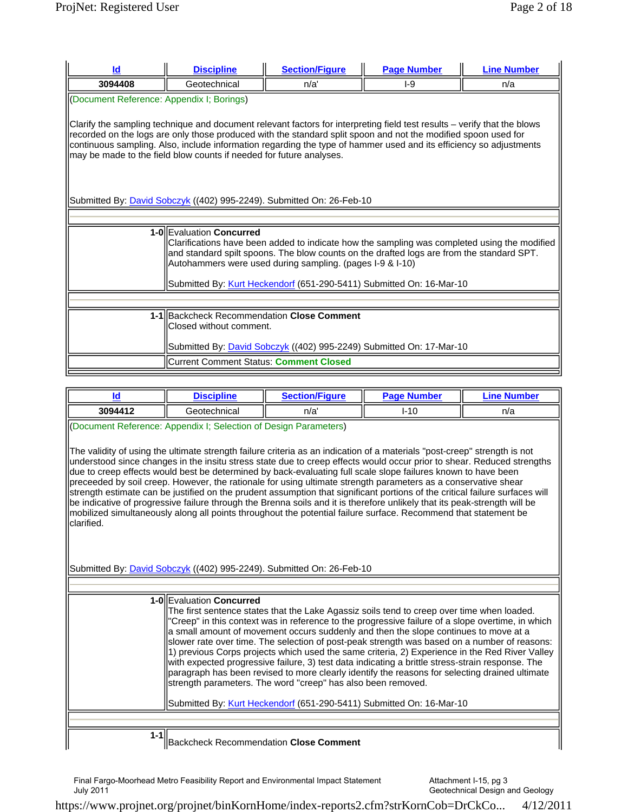| Id                                                                                                                                                                                                                                                                                                                                                                                                                                                                                                               | <b>Discipline</b>                                                                                                                                                                                                                                                                                                                                           | <b>Section/Figure</b> | <b>Page Number</b> | <b>Line Number</b> |  |
|------------------------------------------------------------------------------------------------------------------------------------------------------------------------------------------------------------------------------------------------------------------------------------------------------------------------------------------------------------------------------------------------------------------------------------------------------------------------------------------------------------------|-------------------------------------------------------------------------------------------------------------------------------------------------------------------------------------------------------------------------------------------------------------------------------------------------------------------------------------------------------------|-----------------------|--------------------|--------------------|--|
| 3094408                                                                                                                                                                                                                                                                                                                                                                                                                                                                                                          | Geotechnical                                                                                                                                                                                                                                                                                                                                                | n/a'                  | $I-9$              | n/a                |  |
|                                                                                                                                                                                                                                                                                                                                                                                                                                                                                                                  | (Document Reference: Appendix I; Borings)                                                                                                                                                                                                                                                                                                                   |                       |                    |                    |  |
| Clarify the sampling technique and document relevant factors for interpreting field test results – verify that the blows<br>recorded on the logs are only those produced with the standard split spoon and not the modified spoon used for<br>continuous sampling. Also, include information regarding the type of hammer used and its efficiency so adjustments<br>may be made to the field blow counts if needed for future analyses.<br>Submitted By: David Sobczyk ((402) 995-2249). Submitted On: 26-Feb-10 |                                                                                                                                                                                                                                                                                                                                                             |                       |                    |                    |  |
|                                                                                                                                                                                                                                                                                                                                                                                                                                                                                                                  |                                                                                                                                                                                                                                                                                                                                                             |                       |                    |                    |  |
|                                                                                                                                                                                                                                                                                                                                                                                                                                                                                                                  | 1-OllEvaluation Concurred<br>Clarifications have been added to indicate how the sampling was completed using the modified<br>and standard spilt spoons. The blow counts on the drafted logs are from the standard SPT.<br>Autohammers were used during sampling. (pages I-9 & I-10)<br>Submitted By: Kurt Heckendorf (651-290-5411) Submitted On: 16-Mar-10 |                       |                    |                    |  |
|                                                                                                                                                                                                                                                                                                                                                                                                                                                                                                                  |                                                                                                                                                                                                                                                                                                                                                             |                       |                    |                    |  |
|                                                                                                                                                                                                                                                                                                                                                                                                                                                                                                                  | 1-1 Backcheck Recommendation Close Comment<br>Closed without comment.                                                                                                                                                                                                                                                                                       |                       |                    |                    |  |
|                                                                                                                                                                                                                                                                                                                                                                                                                                                                                                                  | Submitted By: <i>David Sobczyk</i> ((402) 995-2249) Submitted On: 17-Mar-10                                                                                                                                                                                                                                                                                 |                       |                    |                    |  |
|                                                                                                                                                                                                                                                                                                                                                                                                                                                                                                                  | Current Comment Status: Comment Closed                                                                                                                                                                                                                                                                                                                      |                       |                    |                    |  |

|         | ciplineء کا ا | <b>VFigure</b><br>$S$ octing $T$<br>ы | $P$ ane<br>-- - - -<br>'mpe. | umber |
|---------|---------------|---------------------------------------|------------------------------|-------|
| 3094412 | Geotechnical  | n/a                                   | $I-10$                       | n/a   |

(Document Reference: Appendix I; Selection of Design Parameters)

The validity of using the ultimate strength failure criteria as an indication of a materials "post-creep" strength is not understood since changes in the insitu stress state due to creep effects would occur prior to shear. Reduced strengths due to creep effects would best be determined by back-evaluating full scale slope failures known to have been preceeded by soil creep. However, the rationale for using ultimate strength parameters as a conservative shear strength estimate can be justified on the prudent assumption that significant portions of the critical failure surfaces will be indicative of progressive failure through the Brenna soils and it is therefore unlikely that its peak-strength will be mobilized simultaneously along all points throughout the potential failure surface. Recommend that statement be clarified.

Submitted By: *David Sobczyk* ((402) 995-2249). Submitted On: 26-Feb-10

|       | 1-0 Evaluation Concurred<br>The first sentence states that the Lake Agassiz soils tend to creep over time when loaded.<br>"Creep" in this context was in reference to the progressive failure of a slope overtime, in which<br>$\parallel$ a small amount of movement occurs suddenly and then the slope continues to move at a<br>slower rate over time. The selection of post-peak strength was based on a number of reasons:<br>$\vert$ 1) previous Corps projects which used the same criteria, 2) Experience in the Red River Valley<br>with expected progressive failure, 3) test data indicating a brittle stress-strain response. The<br>paragraph has been revised to more clearly identify the reasons for selecting drained ultimate<br>strength parameters. The word "creep" has also been removed. |
|-------|-----------------------------------------------------------------------------------------------------------------------------------------------------------------------------------------------------------------------------------------------------------------------------------------------------------------------------------------------------------------------------------------------------------------------------------------------------------------------------------------------------------------------------------------------------------------------------------------------------------------------------------------------------------------------------------------------------------------------------------------------------------------------------------------------------------------|
|       | Submitted By: Kurt Heckendorf (651-290-5411) Submitted On: 16-Mar-10                                                                                                                                                                                                                                                                                                                                                                                                                                                                                                                                                                                                                                                                                                                                            |
|       |                                                                                                                                                                                                                                                                                                                                                                                                                                                                                                                                                                                                                                                                                                                                                                                                                 |
| 1-1II | <b>IBackcheck Recommendation Close Comment</b>                                                                                                                                                                                                                                                                                                                                                                                                                                                                                                                                                                                                                                                                                                                                                                  |

Backcheck Recommendation **Close Comment** 

Final Fargo-Moorhead Metro Feasibility Report and Environmental Impact Statement July 2011

Attachment I-15, pg 3 Geotechnical Design and Geology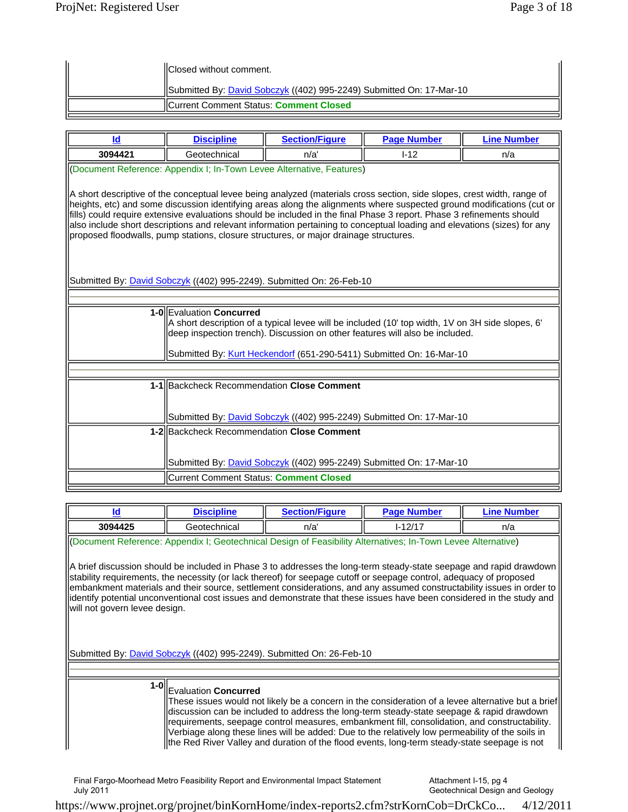| <b>IIClosed without comment.</b>                                     |
|----------------------------------------------------------------------|
| Submitted By: David Sobczyk ((402) 995-2249) Submitted On: 17-Mar-10 |
| <b>ICurrent Comment Status: Comment Closed</b>                       |

| Id                                                                                                                                                                                                                                                                                                                                                                                                                                                                                                                                                                             | <b>Discipline</b>                                                                                                                                                                                                                                                                    | <b>Section/Figure</b>                                                       | <b>Page Number</b> | <b>Line Number</b> |
|--------------------------------------------------------------------------------------------------------------------------------------------------------------------------------------------------------------------------------------------------------------------------------------------------------------------------------------------------------------------------------------------------------------------------------------------------------------------------------------------------------------------------------------------------------------------------------|--------------------------------------------------------------------------------------------------------------------------------------------------------------------------------------------------------------------------------------------------------------------------------------|-----------------------------------------------------------------------------|--------------------|--------------------|
| 3094421                                                                                                                                                                                                                                                                                                                                                                                                                                                                                                                                                                        | Geotechnical                                                                                                                                                                                                                                                                         | n/a'                                                                        | $1 - 12$           | n/a                |
| (Document Reference: Appendix I; In-Town Levee Alternative, Features)<br>A short descriptive of the conceptual levee being analyzed (materials cross section, side slopes, crest width, range of<br>heights, etc) and some discussion identifying areas along the alignments where suspected ground modifications (cut or<br>fills) could require extensive evaluations should be included in the final Phase 3 report. Phase 3 refinements should<br>also include short descriptions and relevant information pertaining to conceptual loading and elevations (sizes) for any |                                                                                                                                                                                                                                                                                      |                                                                             |                    |                    |
| proposed floodwalls, pump stations, closure structures, or major drainage structures.<br>Submitted By: David Sobczyk ((402) 995-2249). Submitted On: 26-Feb-10                                                                                                                                                                                                                                                                                                                                                                                                                 |                                                                                                                                                                                                                                                                                      |                                                                             |                    |                    |
|                                                                                                                                                                                                                                                                                                                                                                                                                                                                                                                                                                                |                                                                                                                                                                                                                                                                                      |                                                                             |                    |                    |
|                                                                                                                                                                                                                                                                                                                                                                                                                                                                                                                                                                                | 1-0 Evaluation Concurred<br>A short description of a typical levee will be included (10' top width, 1V on 3H side slopes, 6'<br>deep inspection trench). Discussion on other features will also be included.<br>Submitted By: Kurt Heckendorf (651-290-5411) Submitted On: 16-Mar-10 |                                                                             |                    |                    |
|                                                                                                                                                                                                                                                                                                                                                                                                                                                                                                                                                                                |                                                                                                                                                                                                                                                                                      |                                                                             |                    |                    |
|                                                                                                                                                                                                                                                                                                                                                                                                                                                                                                                                                                                | 1-1 Backcheck Recommendation Close Comment                                                                                                                                                                                                                                           |                                                                             |                    |                    |
|                                                                                                                                                                                                                                                                                                                                                                                                                                                                                                                                                                                |                                                                                                                                                                                                                                                                                      | Submitted By: <i>David Sobczyk</i> ((402) 995-2249) Submitted On: 17-Mar-10 |                    |                    |
|                                                                                                                                                                                                                                                                                                                                                                                                                                                                                                                                                                                | 1-2 Backcheck Recommendation Close Comment                                                                                                                                                                                                                                           |                                                                             |                    |                    |
|                                                                                                                                                                                                                                                                                                                                                                                                                                                                                                                                                                                |                                                                                                                                                                                                                                                                                      | Submitted By: <i>David Sobczyk</i> ((402) 995-2249) Submitted On: 17-Mar-10 |                    |                    |
|                                                                                                                                                                                                                                                                                                                                                                                                                                                                                                                                                                                | Current Comment Status: Comment Closed                                                                                                                                                                                                                                               |                                                                             |                    |                    |

|                                                                                                              | <b>Discipline</b> | <b>Section/Figure</b> | <b>Page Number</b> | <b>Line Number</b> |
|--------------------------------------------------------------------------------------------------------------|-------------------|-----------------------|--------------------|--------------------|
| 3094425                                                                                                      | Geotechnical      | n/a'                  | $I - 12/17$        | n/a                |
| (Oocument Reference: Appendix I; Geotechnical Design of Feasibility Alternatives; In-Town Levee Alternative) |                   |                       |                    |                    |

A brief discussion should be included in Phase 3 to addresses the long-term steady-state seepage and rapid drawdown stability requirements, the necessity (or lack thereof) for seepage cutoff or seepage control, adequacy of proposed embankment materials and their source, settlement considerations, and any assumed constructability issues in order to identify potential unconventional cost issues and demonstrate that these issues have been considered in the study and will not govern levee design.

Submitted By: *David Sobczyk* ((402) 995-2249). Submitted On: 26-Feb-10

## **1-0** Evaluation **Concurred**

These issues would not likely be a concern in the consideration of a levee alternative but a brief discussion can be included to address the long-term steady-state seepage & rapid drawdown requirements, seepage control measures, embankment fill, consolidation, and constructability. Verbiage along these lines will be added: Due to the relatively low permeability of the soils in the Red River Valley and duration of the flood events, long-term steady-state seepage is not

Final Fargo-Moorhead Metro Feasibility Report and Environmental Impact Statement July 2011

Attachment I-15, pg 4 Geotechnical Design and Geology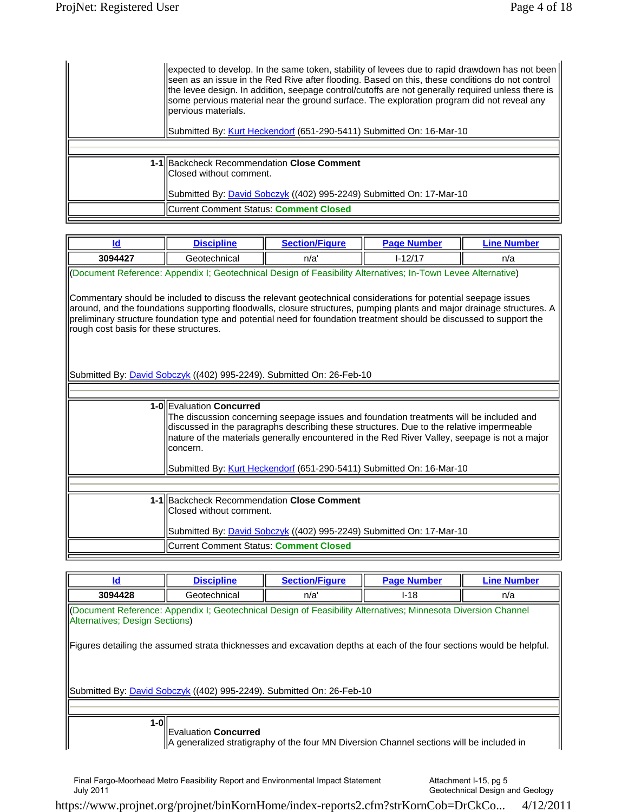| expected to develop. In the same token, stability of levees due to rapid drawdown has not been<br>Seen as an issue in the Red Rive after flooding. Based on this, these conditions do not control<br>the levee design. In addition, seepage control/cutoffs are not generally required unless there is<br>Some pervious material near the ground surface. The exploration program did not reveal any<br>llpervious materials.<br>Submitted By: Kurt Heckendorf (651-290-5411) Submitted On: 16-Mar-10 |
|-------------------------------------------------------------------------------------------------------------------------------------------------------------------------------------------------------------------------------------------------------------------------------------------------------------------------------------------------------------------------------------------------------------------------------------------------------------------------------------------------------|
|                                                                                                                                                                                                                                                                                                                                                                                                                                                                                                       |
| 1-1 Backcheck Recommendation Close Comment<br>llClosed without comment.<br>Submitted By: <i>David Sobczyk</i> ((402) 995-2249) Submitted On: 17-Mar-10                                                                                                                                                                                                                                                                                                                                                |
| Current Comment Status: <b>Comment Closed</b>                                                                                                                                                                                                                                                                                                                                                                                                                                                         |

| Id                                                                                                                                                                                                                                                                                                                                                                                                         | <b>Discipline</b>                                                                                            | <b>Section/Figure</b>                                                       | <b>Page Number</b> | <b>Line Number</b> |  |
|------------------------------------------------------------------------------------------------------------------------------------------------------------------------------------------------------------------------------------------------------------------------------------------------------------------------------------------------------------------------------------------------------------|--------------------------------------------------------------------------------------------------------------|-----------------------------------------------------------------------------|--------------------|--------------------|--|
| 3094427                                                                                                                                                                                                                                                                                                                                                                                                    | Geotechnical                                                                                                 | n/a'                                                                        | $I - 12/17$        | n/a                |  |
|                                                                                                                                                                                                                                                                                                                                                                                                            | (Document Reference: Appendix I; Geotechnical Design of Feasibility Alternatives; In-Town Levee Alternative) |                                                                             |                    |                    |  |
| Commentary should be included to discuss the relevant geotechnical considerations for potential seepage issues<br>around, and the foundations supporting floodwalls, closure structures, pumping plants and major drainage structures. A<br>preliminary structure foundation type and potential need for foundation treatment should be discussed to support the<br>rough cost basis for these structures. |                                                                                                              |                                                                             |                    |                    |  |
|                                                                                                                                                                                                                                                                                                                                                                                                            | Submitted By: <b>David Sobczyk</b> ((402) 995-2249). Submitted On: 26-Feb-10                                 |                                                                             |                    |                    |  |
|                                                                                                                                                                                                                                                                                                                                                                                                            |                                                                                                              |                                                                             |                    |                    |  |
| 1-OllEvaluation Concurred<br>The discussion concerning seepage issues and foundation treatments will be included and<br>discussed in the paragraphs describing these structures. Due to the relative impermeable<br>nature of the materials generally encountered in the Red River Valley, seepage is not a major<br>lconcern.<br>Submitted By: Kurt Heckendorf (651-290-5411) Submitted On: 16-Mar-10     |                                                                                                              |                                                                             |                    |                    |  |
|                                                                                                                                                                                                                                                                                                                                                                                                            |                                                                                                              |                                                                             |                    |                    |  |
|                                                                                                                                                                                                                                                                                                                                                                                                            | 1-1 Backcheck Recommendation Close Comment<br>lClosed without comment.                                       |                                                                             |                    |                    |  |
|                                                                                                                                                                                                                                                                                                                                                                                                            |                                                                                                              | Submitted By: <b>David Sobczyk</b> ((402) 995-2249) Submitted On: 17-Mar-10 |                    |                    |  |
|                                                                                                                                                                                                                                                                                                                                                                                                            | <b>ICurrent Comment Status: Comment Closed</b>                                                               |                                                                             |                    |                    |  |

| ld                                                                                                                                              | <b>Discipline</b>    | <b>Section/Figure</b>                                                                                                 | <b>Page Number</b> | <b>Line Number</b> |
|-------------------------------------------------------------------------------------------------------------------------------------------------|----------------------|-----------------------------------------------------------------------------------------------------------------------|--------------------|--------------------|
| 3094428                                                                                                                                         | Geotechnical         | n/a'                                                                                                                  | $I-18$             | n/a                |
| (Document Reference: Appendix I; Geotechnical Design of Feasibility Alternatives; Minnesota Diversion Channel<br>Alternatives; Design Sections) |                      |                                                                                                                       |                    |                    |
|                                                                                                                                                 |                      | Figures detailing the assumed strata thicknesses and excavation depths at each of the four sections would be helpful. |                    |                    |
|                                                                                                                                                 |                      | Submitted By: <i>David Sobczyk</i> ((402) 995-2249). Submitted On: 26-Feb-10                                          |                    |                    |
|                                                                                                                                                 |                      |                                                                                                                       |                    |                    |
| 1-0ll                                                                                                                                           | Evaluation Concurred | $\parallel$ A generalized stratigraphy of the four MN Diversion Channel sections will be included in                  |                    |                    |

Attachment I-15, pg 5 Geotechnical Design and Geology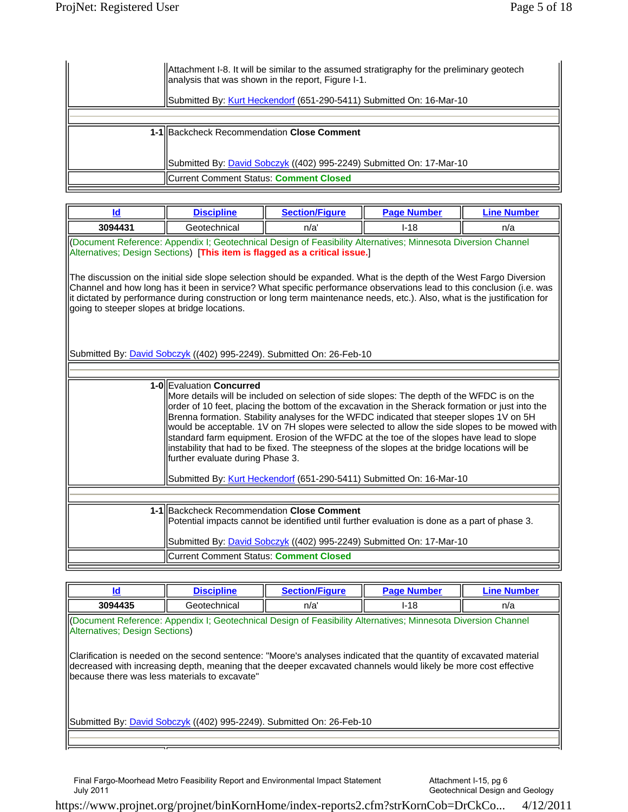| Attachment I-8. It will be similar to the assumed stratigraphy for the preliminary geotech<br>lanalysis that was shown in the report, Figure I-1.<br>Submitted By: Kurt Heckendorf (651-290-5411) Submitted On: 16-Mar-10 |
|---------------------------------------------------------------------------------------------------------------------------------------------------------------------------------------------------------------------------|
|                                                                                                                                                                                                                           |
| 1-1 Backcheck Recommendation Close Comment<br>Submitted By: <i>David Sobczyk</i> ((402) 995-2249) Submitted On: 17-Mar-10                                                                                                 |
| Current Comment Status: <b>Comment Closed</b>                                                                                                                                                                             |

| Id                                                                                                                                                                                                                                                                                                                                                                                                                                                                                                                                                                                                                                                                                                                              | <b>Discipline</b>                                                                                                                           | <b>Section/Figure</b>                                                       | <b>Page Number</b> | <b>Line Number</b> |
|---------------------------------------------------------------------------------------------------------------------------------------------------------------------------------------------------------------------------------------------------------------------------------------------------------------------------------------------------------------------------------------------------------------------------------------------------------------------------------------------------------------------------------------------------------------------------------------------------------------------------------------------------------------------------------------------------------------------------------|---------------------------------------------------------------------------------------------------------------------------------------------|-----------------------------------------------------------------------------|--------------------|--------------------|
| 3094431                                                                                                                                                                                                                                                                                                                                                                                                                                                                                                                                                                                                                                                                                                                         | Geotechnical                                                                                                                                | n/a'                                                                        | $I-18$             | n/a                |
| (Document Reference: Appendix I; Geotechnical Design of Feasibility Alternatives; Minnesota Diversion Channel<br>Alternatives; Design Sections) [This item is flagged as a critical issue.]<br>The discussion on the initial side slope selection should be expanded. What is the depth of the West Fargo Diversion<br>Channel and how long has it been in service? What specific performance observations lead to this conclusion (i.e. was<br>it dictated by performance during construction or long term maintenance needs, etc.). Also, what is the justification for<br>going to steeper slopes at bridge locations.                                                                                                       |                                                                                                                                             |                                                                             |                    |                    |
|                                                                                                                                                                                                                                                                                                                                                                                                                                                                                                                                                                                                                                                                                                                                 | Submitted By: <b>David Sobczyk</b> ((402) 995-2249). Submitted On: 26-Feb-10                                                                |                                                                             |                    |                    |
|                                                                                                                                                                                                                                                                                                                                                                                                                                                                                                                                                                                                                                                                                                                                 |                                                                                                                                             |                                                                             |                    |                    |
| 1-0 Evaluation Concurred<br>More details will be included on selection of side slopes: The depth of the WFDC is on the<br>order of 10 feet, placing the bottom of the excavation in the Sherack formation or just into the<br>Brenna formation. Stability analyses for the WFDC indicated that steeper slopes 1V on 5H<br>would be acceptable. 1V on 7H slopes were selected to allow the side slopes to be mowed with<br>standard farm equipment. Erosion of the WFDC at the toe of the slopes have lead to slope<br>instability that had to be fixed. The steepness of the slopes at the bridge locations will be<br>further evaluate during Phase 3.<br>Submitted By: Kurt Heckendorf (651-290-5411) Submitted On: 16-Mar-10 |                                                                                                                                             |                                                                             |                    |                    |
|                                                                                                                                                                                                                                                                                                                                                                                                                                                                                                                                                                                                                                                                                                                                 |                                                                                                                                             |                                                                             |                    |                    |
|                                                                                                                                                                                                                                                                                                                                                                                                                                                                                                                                                                                                                                                                                                                                 | 1-1 Backcheck Recommendation Close Comment<br>Potential impacts cannot be identified until further evaluation is done as a part of phase 3. | Submitted By: <b>David Sobczyk</b> ((402) 995-2249) Submitted On: 17-Mar-10 |                    |                    |
|                                                                                                                                                                                                                                                                                                                                                                                                                                                                                                                                                                                                                                                                                                                                 | Current Comment Status: Comment Closed                                                                                                      |                                                                             |                    |                    |

| ld.                                                                                                                                                                                                                                                                                                                                                                                                                                                                                                                       | <b>Discipline</b> | <b>Section/Figure</b> | <b>Page Number</b> | <b>Line Number</b> |  |
|---------------------------------------------------------------------------------------------------------------------------------------------------------------------------------------------------------------------------------------------------------------------------------------------------------------------------------------------------------------------------------------------------------------------------------------------------------------------------------------------------------------------------|-------------------|-----------------------|--------------------|--------------------|--|
| 3094435                                                                                                                                                                                                                                                                                                                                                                                                                                                                                                                   | Geotechnical      | n/a'                  | $I-18$             | n/a                |  |
| Cocument Reference: Appendix I; Geotechnical Design of Feasibility Alternatives; Minnesota Diversion Channel<br>Alternatives: Design Sections)<br>Clarification is needed on the second sentence: "Moore's analyses indicated that the quantity of excavated material<br>decreased with increasing depth, meaning that the deeper excavated channels would likely be more cost effective<br>because there was less materials to excavate"<br>Submitted By: <i>David Sobczyk</i> ((402) 995-2249). Submitted On: 26-Feb-10 |                   |                       |                    |                    |  |
|                                                                                                                                                                                                                                                                                                                                                                                                                                                                                                                           |                   |                       |                    |                    |  |

Attachment I-15, pg 6 Geotechnical Design and Geology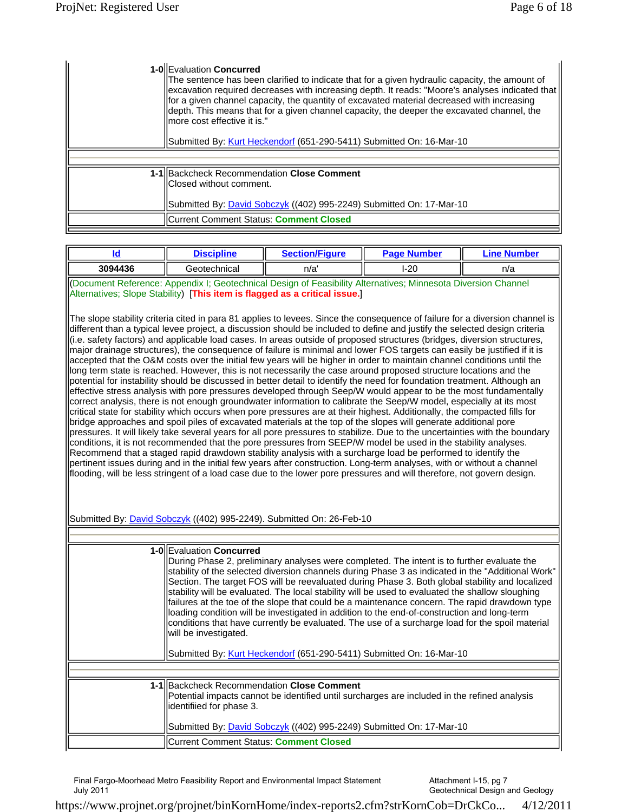| 1-0 Evaluation Concurred<br>The sentence has been clarified to indicate that for a given hydraulic capacity, the amount of<br>excavation required decreases with increasing depth. It reads: "Moore's analyses indicated that<br>for a given channel capacity, the quantity of excavated material decreased with increasing<br>depth. This means that for a given channel capacity, the deeper the excavated channel, the<br>llmore cost effective it is."<br>Submitted By: Kurt Heckendorf (651-290-5411) Submitted On: 16-Mar-10 |
|------------------------------------------------------------------------------------------------------------------------------------------------------------------------------------------------------------------------------------------------------------------------------------------------------------------------------------------------------------------------------------------------------------------------------------------------------------------------------------------------------------------------------------|
|                                                                                                                                                                                                                                                                                                                                                                                                                                                                                                                                    |
| 1-1 Backcheck Recommendation Close Comment<br>Closed without comment.<br>Submitted By: David Sobczyk ((402) 995-2249) Submitted On: 17-Mar-10                                                                                                                                                                                                                                                                                                                                                                                      |
| IICurrent Comment Status: Comment Closed                                                                                                                                                                                                                                                                                                                                                                                                                                                                                           |

| Id                                                                                                                                                                                                                                                                                                                                                                                                                                                                                                                                                                                                                                                                                                                                                                                                                                                                                                                                                                                                                                                                                                                                                                                                                                                                                                                                                                                                                                                                                                                                                                                                                                                                                                                                                                                                                                                                                                                                                                                                                                                                                                                                                                                                              | <b>Discipline</b>                                 | <b>Section/Figure</b>                                                                                                                                                                                                                                                                                                                                                                                                                                                                                                                                                                                                                                                                                     | <b>Page Number</b> | <b>Line Number</b> |  |
|-----------------------------------------------------------------------------------------------------------------------------------------------------------------------------------------------------------------------------------------------------------------------------------------------------------------------------------------------------------------------------------------------------------------------------------------------------------------------------------------------------------------------------------------------------------------------------------------------------------------------------------------------------------------------------------------------------------------------------------------------------------------------------------------------------------------------------------------------------------------------------------------------------------------------------------------------------------------------------------------------------------------------------------------------------------------------------------------------------------------------------------------------------------------------------------------------------------------------------------------------------------------------------------------------------------------------------------------------------------------------------------------------------------------------------------------------------------------------------------------------------------------------------------------------------------------------------------------------------------------------------------------------------------------------------------------------------------------------------------------------------------------------------------------------------------------------------------------------------------------------------------------------------------------------------------------------------------------------------------------------------------------------------------------------------------------------------------------------------------------------------------------------------------------------------------------------------------------|---------------------------------------------------|-----------------------------------------------------------------------------------------------------------------------------------------------------------------------------------------------------------------------------------------------------------------------------------------------------------------------------------------------------------------------------------------------------------------------------------------------------------------------------------------------------------------------------------------------------------------------------------------------------------------------------------------------------------------------------------------------------------|--------------------|--------------------|--|
| 3094436                                                                                                                                                                                                                                                                                                                                                                                                                                                                                                                                                                                                                                                                                                                                                                                                                                                                                                                                                                                                                                                                                                                                                                                                                                                                                                                                                                                                                                                                                                                                                                                                                                                                                                                                                                                                                                                                                                                                                                                                                                                                                                                                                                                                         | Geotechnical                                      | n/a'                                                                                                                                                                                                                                                                                                                                                                                                                                                                                                                                                                                                                                                                                                      | $I-20$             | n/a                |  |
| (Document Reference: Appendix I; Geotechnical Design of Feasibility Alternatives; Minnesota Diversion Channel<br>Alternatives; Slope Stability) [This item is flagged as a critical issue.]<br>The slope stability criteria cited in para 81 applies to levees. Since the consequence of failure for a diversion channel is<br>different than a typical levee project, a discussion should be included to define and justify the selected design criteria<br>(i.e. safety factors) and applicable load cases. In areas outside of proposed structures (bridges, diversion structures,<br>major drainage structures), the consequence of failure is minimal and lower FOS targets can easily be justified if it is<br>accepted that the O&M costs over the initial few years will be higher in order to maintain channel conditions until the<br>long term state is reached. However, this is not necessarily the case around proposed structure locations and the<br>potential for instability should be discussed in better detail to identify the need for foundation treatment. Although an<br>effective stress analysis with pore pressures developed through Seep/W would appear to be the most fundamentally<br>correct analysis, there is not enough groundwater information to calibrate the Seep/W model, especially at its most<br>critical state for stability which occurs when pore pressures are at their highest. Additionally, the compacted fills for<br>bridge approaches and spoil piles of excavated materials at the top of the slopes will generate additional pore<br>pressures. It will likely take several years for all pore pressures to stabilize. Due to the uncertainties with the boundary<br>conditions, it is not recommended that the pore pressures from SEEP/W model be used in the stability analyses.<br>Recommend that a staged rapid drawdown stability analysis with a surcharge load be performed to identify the<br>pertinent issues during and in the initial few years after construction. Long-term analyses, with or without a channel<br>flooding, will be less stringent of a load case due to the lower pore pressures and will therefore, not govern design. |                                                   |                                                                                                                                                                                                                                                                                                                                                                                                                                                                                                                                                                                                                                                                                                           |                    |                    |  |
|                                                                                                                                                                                                                                                                                                                                                                                                                                                                                                                                                                                                                                                                                                                                                                                                                                                                                                                                                                                                                                                                                                                                                                                                                                                                                                                                                                                                                                                                                                                                                                                                                                                                                                                                                                                                                                                                                                                                                                                                                                                                                                                                                                                                                 |                                                   | Submitted By: David Sobczyk ((402) 995-2249). Submitted On: 26-Feb-10                                                                                                                                                                                                                                                                                                                                                                                                                                                                                                                                                                                                                                     |                    |                    |  |
|                                                                                                                                                                                                                                                                                                                                                                                                                                                                                                                                                                                                                                                                                                                                                                                                                                                                                                                                                                                                                                                                                                                                                                                                                                                                                                                                                                                                                                                                                                                                                                                                                                                                                                                                                                                                                                                                                                                                                                                                                                                                                                                                                                                                                 |                                                   |                                                                                                                                                                                                                                                                                                                                                                                                                                                                                                                                                                                                                                                                                                           |                    |                    |  |
|                                                                                                                                                                                                                                                                                                                                                                                                                                                                                                                                                                                                                                                                                                                                                                                                                                                                                                                                                                                                                                                                                                                                                                                                                                                                                                                                                                                                                                                                                                                                                                                                                                                                                                                                                                                                                                                                                                                                                                                                                                                                                                                                                                                                                 | 1-0 Evaluation Concurred<br>will be investigated. | During Phase 2, preliminary analyses were completed. The intent is to further evaluate the<br>stability of the selected diversion channels during Phase 3 as indicated in the "Additional Work"<br>Section. The target FOS will be reevaluated during Phase 3. Both global stability and localized<br>stability will be evaluated. The local stability will be used to evaluated the shallow sloughing<br>failures at the toe of the slope that could be a maintenance concern. The rapid drawdown type<br>loading condition will be investigated in addition to the end-of-construction and long-term<br>conditions that have currently be evaluated. The use of a surcharge load for the spoil material |                    |                    |  |

Submitted By: Kurt Heckendorf (651-290-5411) Submitted On: 16-Mar-10

**1-1** Backcheck Recommendation **Close Comment**  Potential impacts cannot be identified until surcharges are included in the refined analysis identifiied for phase 3. Submitted By: *David Sobczyk* ((402) 995-2249) Submitted On: 17-Mar-10 Current Comment Status: **Comment Closed**

Final Fargo-Moorhead Metro Feasibility Report and Environmental Impact Statement July 2011

Attachment I-15, pg 7 Geotechnical Design and Geology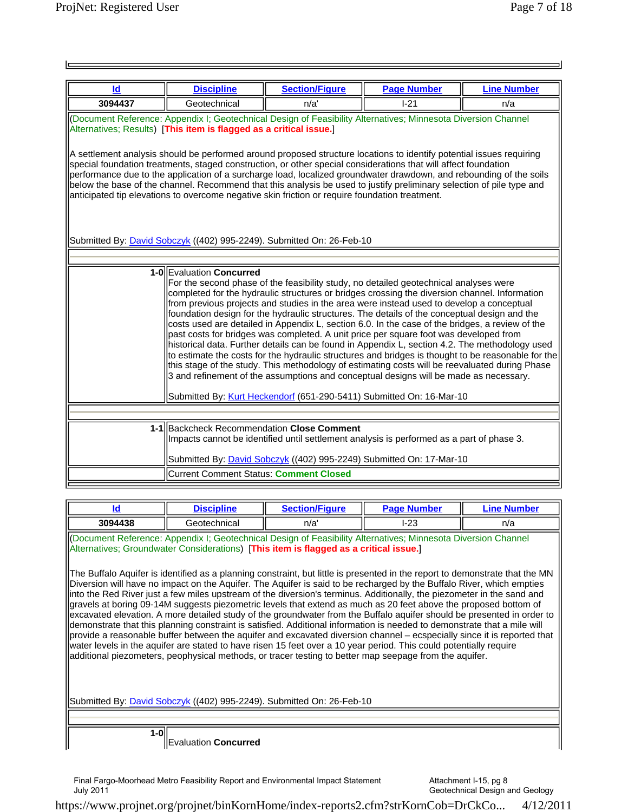| <b>Id</b>                                                                                                                                                                                                                                                                                                                                                                                                                                                                                                                                                                                                                                                                                                                                                                                                                                                                                                                                                                                                                                                                             | <b>Discipline</b>                                                                                                                                                                                                                                                                                                                                                                                                                                                                                                                                                                         | <b>Section/Figure</b>                                                                     | <b>Page Number</b> | <b>Line Number</b> |  |  |
|---------------------------------------------------------------------------------------------------------------------------------------------------------------------------------------------------------------------------------------------------------------------------------------------------------------------------------------------------------------------------------------------------------------------------------------------------------------------------------------------------------------------------------------------------------------------------------------------------------------------------------------------------------------------------------------------------------------------------------------------------------------------------------------------------------------------------------------------------------------------------------------------------------------------------------------------------------------------------------------------------------------------------------------------------------------------------------------|-------------------------------------------------------------------------------------------------------------------------------------------------------------------------------------------------------------------------------------------------------------------------------------------------------------------------------------------------------------------------------------------------------------------------------------------------------------------------------------------------------------------------------------------------------------------------------------------|-------------------------------------------------------------------------------------------|--------------------|--------------------|--|--|
| 3094437                                                                                                                                                                                                                                                                                                                                                                                                                                                                                                                                                                                                                                                                                                                                                                                                                                                                                                                                                                                                                                                                               | Geotechnical                                                                                                                                                                                                                                                                                                                                                                                                                                                                                                                                                                              | n/a'                                                                                      | $I-21$             | n/a                |  |  |
|                                                                                                                                                                                                                                                                                                                                                                                                                                                                                                                                                                                                                                                                                                                                                                                                                                                                                                                                                                                                                                                                                       | (Document Reference: Appendix I; Geotechnical Design of Feasibility Alternatives; Minnesota Diversion Channel<br>Alternatives; Results) [This item is flagged as a critical issue.]                                                                                                                                                                                                                                                                                                                                                                                                       |                                                                                           |                    |                    |  |  |
|                                                                                                                                                                                                                                                                                                                                                                                                                                                                                                                                                                                                                                                                                                                                                                                                                                                                                                                                                                                                                                                                                       | A settlement analysis should be performed around proposed structure locations to identify potential issues requiring<br>special foundation treatments, staged construction, or other special considerations that will affect foundation<br>performance due to the application of a surcharge load, localized groundwater drawdown, and rebounding of the soils<br>below the base of the channel. Recommend that this analysis be used to justify preliminary selection of pile type and<br>anticipated tip elevations to overcome negative skin friction or require foundation treatment. |                                                                                           |                    |                    |  |  |
|                                                                                                                                                                                                                                                                                                                                                                                                                                                                                                                                                                                                                                                                                                                                                                                                                                                                                                                                                                                                                                                                                       |                                                                                                                                                                                                                                                                                                                                                                                                                                                                                                                                                                                           | Submitted By: <b>David Sobczyk</b> ((402) 995-2249). Submitted On: 26-Feb-10              |                    |                    |  |  |
|                                                                                                                                                                                                                                                                                                                                                                                                                                                                                                                                                                                                                                                                                                                                                                                                                                                                                                                                                                                                                                                                                       |                                                                                                                                                                                                                                                                                                                                                                                                                                                                                                                                                                                           |                                                                                           |                    |                    |  |  |
| 1-0 Evaluation Concurred<br>For the second phase of the feasibility study, no detailed geotechnical analyses were<br>completed for the hydraulic structures or bridges crossing the diversion channel. Information<br>from previous projects and studies in the area were instead used to develop a conceptual<br>foundation design for the hydraulic structures. The details of the conceptual design and the<br>costs used are detailed in Appendix L, section 6.0. In the case of the bridges, a review of the<br>past costs for bridges was completed. A unit price per square foot was developed from<br>historical data. Further details can be found in Appendix L, section 4.2. The methodology used<br>to estimate the costs for the hydraulic structures and bridges is thought to be reasonable for the<br>this stage of the study. This methodology of estimating costs will be reevaluated during Phase<br>3 and refinement of the assumptions and conceptual designs will be made as necessary.<br>Submitted By: Kurt Heckendorf (651-290-5411) Submitted On: 16-Mar-10 |                                                                                                                                                                                                                                                                                                                                                                                                                                                                                                                                                                                           |                                                                                           |                    |                    |  |  |
|                                                                                                                                                                                                                                                                                                                                                                                                                                                                                                                                                                                                                                                                                                                                                                                                                                                                                                                                                                                                                                                                                       |                                                                                                                                                                                                                                                                                                                                                                                                                                                                                                                                                                                           |                                                                                           |                    |                    |  |  |
|                                                                                                                                                                                                                                                                                                                                                                                                                                                                                                                                                                                                                                                                                                                                                                                                                                                                                                                                                                                                                                                                                       | 1-1 Backcheck Recommendation Close Comment                                                                                                                                                                                                                                                                                                                                                                                                                                                                                                                                                | Impacts cannot be identified until settlement analysis is performed as a part of phase 3. |                    |                    |  |  |
|                                                                                                                                                                                                                                                                                                                                                                                                                                                                                                                                                                                                                                                                                                                                                                                                                                                                                                                                                                                                                                                                                       |                                                                                                                                                                                                                                                                                                                                                                                                                                                                                                                                                                                           | Submitted By: David Sobczyk ((402) 995-2249) Submitted On: 17-Mar-10                      |                    |                    |  |  |
|                                                                                                                                                                                                                                                                                                                                                                                                                                                                                                                                                                                                                                                                                                                                                                                                                                                                                                                                                                                                                                                                                       | <b>Current Comment Status: Comment Closed</b>                                                                                                                                                                                                                                                                                                                                                                                                                                                                                                                                             |                                                                                           |                    |                    |  |  |

| ld                                                                                                                                                                                                     | <b>Discipline</b>                                                                                                                                                                                                                                                                                                                                                                                                                                                                                                                                                                                                                                                                                                                                                                                                                                                                                                                                                                                                                                                                                                    | <b>Section/Figure</b> | <b>Page Number</b> | <b>Line Number</b> |  |  |
|--------------------------------------------------------------------------------------------------------------------------------------------------------------------------------------------------------|----------------------------------------------------------------------------------------------------------------------------------------------------------------------------------------------------------------------------------------------------------------------------------------------------------------------------------------------------------------------------------------------------------------------------------------------------------------------------------------------------------------------------------------------------------------------------------------------------------------------------------------------------------------------------------------------------------------------------------------------------------------------------------------------------------------------------------------------------------------------------------------------------------------------------------------------------------------------------------------------------------------------------------------------------------------------------------------------------------------------|-----------------------|--------------------|--------------------|--|--|
| 3094438                                                                                                                                                                                                | Geotechnical                                                                                                                                                                                                                                                                                                                                                                                                                                                                                                                                                                                                                                                                                                                                                                                                                                                                                                                                                                                                                                                                                                         | n/a'                  | l-23               | n/a                |  |  |
| (Document Reference: Appendix I; Geotechnical Design of Feasibility Alternatives; Minnesota Diversion Channel<br>Alternatives; Groundwater Considerations) [This item is flagged as a critical issue.] |                                                                                                                                                                                                                                                                                                                                                                                                                                                                                                                                                                                                                                                                                                                                                                                                                                                                                                                                                                                                                                                                                                                      |                       |                    |                    |  |  |
| Submitted By: David Sobczyk ((402) 995-2249). Submitted On: 26-Feb-10                                                                                                                                  | The Buffalo Aquifer is identified as a planning constraint, but little is presented in the report to demonstrate that the MN<br>Diversion will have no impact on the Aquifer. The Aquifer is said to be recharged by the Buffalo River, which empties<br>into the Red River just a few miles upstream of the diversion's terminus. Additionally, the piezometer in the sand and<br>gravels at boring 09-14M suggests piezometric levels that extend as much as 20 feet above the proposed bottom of<br>excavated elevation. A more detailed study of the groundwater from the Buffalo aquifer should be presented in order to<br>demonstrate that this planning constraint is satisfied. Additional information is needed to demonstrate that a mile will<br>provide a reasonable buffer between the aquifer and excavated diversion channel – ecspecially since it is reported that<br>water levels in the aquifer are stated to have risen 15 feet over a 10 year period. This could potentially require<br>additional piezometers, peophysical methods, or tracer testing to better map seepage from the aquifer. |                       |                    |                    |  |  |
|                                                                                                                                                                                                        |                                                                                                                                                                                                                                                                                                                                                                                                                                                                                                                                                                                                                                                                                                                                                                                                                                                                                                                                                                                                                                                                                                                      |                       |                    |                    |  |  |
| $1-0$                                                                                                                                                                                                  |                                                                                                                                                                                                                                                                                                                                                                                                                                                                                                                                                                                                                                                                                                                                                                                                                                                                                                                                                                                                                                                                                                                      |                       |                    |                    |  |  |
|                                                                                                                                                                                                        | aluation <b>Concurred</b>                                                                                                                                                                                                                                                                                                                                                                                                                                                                                                                                                                                                                                                                                                                                                                                                                                                                                                                                                                                                                                                                                            |                       |                    |                    |  |  |

Final Fargo-Moorhead Metro Feasibility Report and Environmental Impact Statement July 2011

Attachment I-15, pg 8 Geotechnical Design and Geology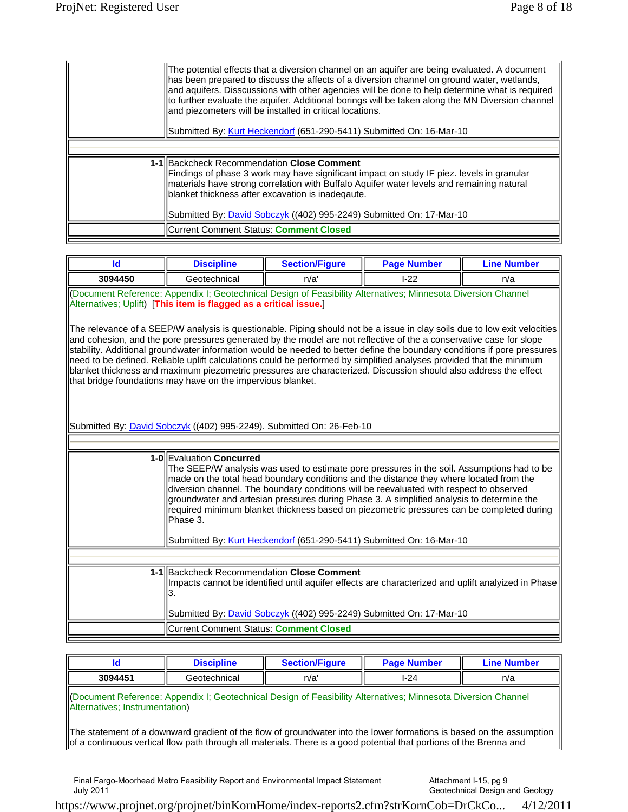| The potential effects that a diversion channel on an aquifer are being evaluated. A document<br>has been prepared to discuss the affects of a diversion channel on ground water, wetlands,<br>and aquifers. Disscussions with other agencies will be done to help determine what is required<br>to further evaluate the aquifer. Additional borings will be taken along the MN Diversion channel<br>and piezometers will be installed in critical locations.<br>Submitted By: Kurt Heckendorf (651-290-5411) Submitted On: 16-Mar-10 |
|--------------------------------------------------------------------------------------------------------------------------------------------------------------------------------------------------------------------------------------------------------------------------------------------------------------------------------------------------------------------------------------------------------------------------------------------------------------------------------------------------------------------------------------|
|                                                                                                                                                                                                                                                                                                                                                                                                                                                                                                                                      |
|                                                                                                                                                                                                                                                                                                                                                                                                                                                                                                                                      |
| 1-1 Backcheck Recommendation Close Comment<br>Findings of phase 3 work may have significant impact on study IF piez. levels in granular<br>materials have strong correlation with Buffalo Aquifer water levels and remaining natural<br>blanket thickness after excavation is inadegaute.<br>Submitted By: <i>David Sobczyk</i> ((402) 995-2249) Submitted On: 17-Mar-10                                                                                                                                                             |
| Current Comment Status: Comment Closed                                                                                                                                                                                                                                                                                                                                                                                                                                                                                               |

|                                                                                            | <b>Discipline</b> | <b>Section/Figure</b> | <b>Page Number</b> | ' ine N<br><b>Number</b> |
|--------------------------------------------------------------------------------------------|-------------------|-----------------------|--------------------|--------------------------|
| 3094450                                                                                    | Geotechnical      | n/a                   | $1 - 22$           | n/a                      |
| Application Controllection Doctors of Equipment Alexandria and Marcocate Division Observed |                   |                       |                    |                          |

(Document Reference: Appendix I; Geotechnical Design of Feasibility Alternatives; Minnesota Diversion Channel Alternatives; Uplift) [**This item is flagged as a critical issue.**]

The relevance of a SEEP/W analysis is questionable. Piping should not be a issue in clay soils due to low exit velocities and cohesion, and the pore pressures generated by the model are not reflective of the a conservative case for slope stability. Additional groundwater information would be needed to better define the boundary conditions if pore pressures need to be defined. Reliable uplift calculations could be performed by simplified analyses provided that the minimum blanket thickness and maximum piezometric pressures are characterized. Discussion should also address the effect that bridge foundations may have on the impervious blanket.

Submitted By: **David Sobczyk** ((402) 995-2249). Submitted On: 26-Feb-10

| 1-0 Evaluation Concurred<br>The SEEP/W analysis was used to estimate pore pressures in the soil. Assumptions had to be<br>made on the total head boundary conditions and the distance they where located from the<br>diversion channel. The boundary conditions will be reevaluated with respect to observed<br>groundwater and artesian pressures during Phase 3. A simplified analysis to determine the<br>required minimum blanket thickness based on piezometric pressures can be completed during<br>lPhase 3. |
|---------------------------------------------------------------------------------------------------------------------------------------------------------------------------------------------------------------------------------------------------------------------------------------------------------------------------------------------------------------------------------------------------------------------------------------------------------------------------------------------------------------------|
| Submitted By: Kurt Heckendorf (651-290-5411) Submitted On: 16-Mar-10                                                                                                                                                                                                                                                                                                                                                                                                                                                |
|                                                                                                                                                                                                                                                                                                                                                                                                                                                                                                                     |
| 1-1 Backcheck Recommendation Close Comment<br>Impacts cannot be identified until aquifer effects are characterized and uplift analyized in Phase                                                                                                                                                                                                                                                                                                                                                                    |
| Submitted By: <i>David Sobczyk</i> ((402) 995-2249) Submitted On: 17-Mar-10                                                                                                                                                                                                                                                                                                                                                                                                                                         |
| <b>ICurrent Comment Status: Comment Closed</b>                                                                                                                                                                                                                                                                                                                                                                                                                                                                      |
|                                                                                                                                                                                                                                                                                                                                                                                                                                                                                                                     |

|         | ----<br>a matematica di controllere di un originale di un originale di un originale di un originale di un originale di | $\sim$<br>.<br>AIMIIFC. | .        | . .<br>™her |
|---------|------------------------------------------------------------------------------------------------------------------------|-------------------------|----------|-------------|
| 3094451 | `eotechnical<br>، ۱۳                                                                                                   | n/a                     | 24<br>-- | n/a         |

(Document Reference: Appendix I; Geotechnical Design of Feasibility Alternatives; Minnesota Diversion Channel Alternatives; Instrumentation)

The statement of a downward gradient of the flow of groundwater into the lower formations is based on the assumption  $\vert$ of a continuous vertical flow path through all materials. There is a good potential that portions of the Brenna and

Final Fargo-Moorhead Metro Feasibility Report and Environmental Impact Statement July 2011

Attachment I-15, pg 9 Geotechnical Design and Geology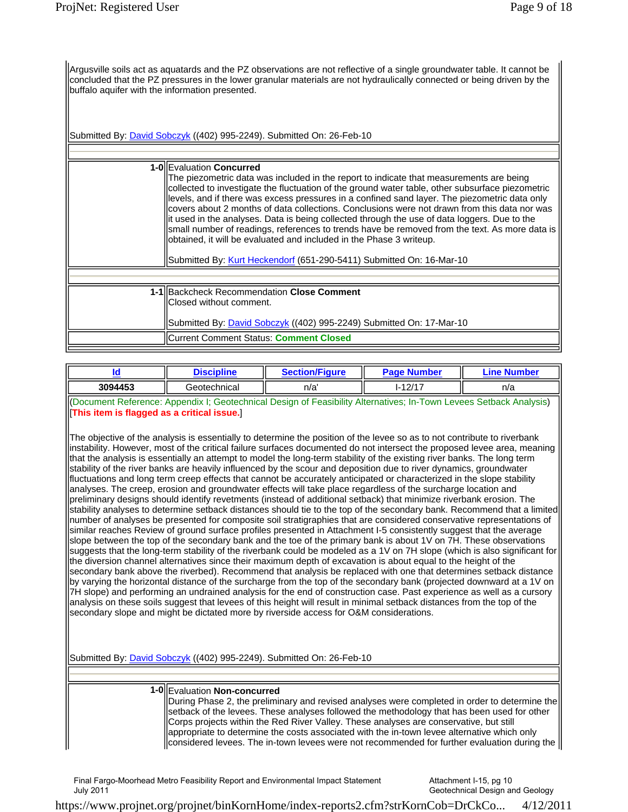Argusville soils act as aquatards and the PZ observations are not reflective of a single groundwater table. It cannot be concluded that the PZ pressures in the lower granular materials are not hydraulically connected or being driven by the buffalo aquifer with the information presented.

Submitted By: **David Sobczyk** ((402) 995-2249). Submitted On: 26-Feb-10

| 1-OllEvaluation Concurred<br>The piezometric data was included in the report to indicate that measurements are being<br>collected to investigate the fluctuation of the ground water table, other subsurface piezometric<br>levels, and if there was excess pressures in a confined sand layer. The piezometric data only<br>covers about 2 months of data collections. Conclusions were not drawn from this data nor was<br>lit used in the analyses. Data is being collected through the use of data loggers. Due to the<br>small number of readings, references to trends have be removed from the text. As more data is<br>obtained, it will be evaluated and included in the Phase 3 writeup.<br>Submitted By: Kurt Heckendorf (651-290-5411) Submitted On: 16-Mar-10 |
|----------------------------------------------------------------------------------------------------------------------------------------------------------------------------------------------------------------------------------------------------------------------------------------------------------------------------------------------------------------------------------------------------------------------------------------------------------------------------------------------------------------------------------------------------------------------------------------------------------------------------------------------------------------------------------------------------------------------------------------------------------------------------|
|                                                                                                                                                                                                                                                                                                                                                                                                                                                                                                                                                                                                                                                                                                                                                                            |
|                                                                                                                                                                                                                                                                                                                                                                                                                                                                                                                                                                                                                                                                                                                                                                            |
| 1-1 Backcheck Recommendation Close Comment<br>Closed without comment.                                                                                                                                                                                                                                                                                                                                                                                                                                                                                                                                                                                                                                                                                                      |
| Submitted By: David Sobczyk ((402) 995-2249) Submitted On: 17-Mar-10                                                                                                                                                                                                                                                                                                                                                                                                                                                                                                                                                                                                                                                                                                       |
| <b>Current Comment Status: Comment Closed</b>                                                                                                                                                                                                                                                                                                                                                                                                                                                                                                                                                                                                                                                                                                                              |
|                                                                                                                                                                                                                                                                                                                                                                                                                                                                                                                                                                                                                                                                                                                                                                            |

| Id                                          | <b>Discipline</b>                                                                                                                                                                                                                                                                                                                                                                                                                                                                                                                                                                                                                                                                                                                                                                                                                                                                                                                                                                                                                                                                                                                                                                                                                                                                                                                                                                                                                                                                                                                                                                                                                                                                                                                                                                                                                                                                                                                                                                                                                                                                                                                                                                                                                                                                                                                         | <b>Section/Figure</b> | <b>Page Number</b> | <b>Line Number</b> |
|---------------------------------------------|-------------------------------------------------------------------------------------------------------------------------------------------------------------------------------------------------------------------------------------------------------------------------------------------------------------------------------------------------------------------------------------------------------------------------------------------------------------------------------------------------------------------------------------------------------------------------------------------------------------------------------------------------------------------------------------------------------------------------------------------------------------------------------------------------------------------------------------------------------------------------------------------------------------------------------------------------------------------------------------------------------------------------------------------------------------------------------------------------------------------------------------------------------------------------------------------------------------------------------------------------------------------------------------------------------------------------------------------------------------------------------------------------------------------------------------------------------------------------------------------------------------------------------------------------------------------------------------------------------------------------------------------------------------------------------------------------------------------------------------------------------------------------------------------------------------------------------------------------------------------------------------------------------------------------------------------------------------------------------------------------------------------------------------------------------------------------------------------------------------------------------------------------------------------------------------------------------------------------------------------------------------------------------------------------------------------------------------------|-----------------------|--------------------|--------------------|
| 3094453                                     | Geotechnical                                                                                                                                                                                                                                                                                                                                                                                                                                                                                                                                                                                                                                                                                                                                                                                                                                                                                                                                                                                                                                                                                                                                                                                                                                                                                                                                                                                                                                                                                                                                                                                                                                                                                                                                                                                                                                                                                                                                                                                                                                                                                                                                                                                                                                                                                                                              | n/a'                  | $I - 12/17$        | n/a                |
| [This item is flagged as a critical issue.] | (Document Reference: Appendix I; Geotechnical Design of Feasibility Alternatives; In-Town Levees Setback Analysis)<br>The objective of the analysis is essentially to determine the position of the levee so as to not contribute to riverbank<br>instability. However, most of the critical failure surfaces documented do not intersect the proposed levee area, meaning<br>that the analysis is essentially an attempt to model the long-term stability of the existing river banks. The long term<br>stability of the river banks are heavily influenced by the scour and deposition due to river dynamics, groundwater<br>fluctuations and long term creep effects that cannot be accurately anticipated or characterized in the slope stability<br>analyses. The creep, erosion and groundwater effects will take place regardless of the surcharge location and<br>preliminary designs should identify revetments (instead of additional setback) that minimize riverbank erosion. The<br>stability analyses to determine setback distances should tie to the top of the secondary bank. Recommend that a limited<br>number of analyses be presented for composite soil stratigraphies that are considered conservative representations of<br>similar reaches Review of ground surface profiles presented in Attachment I-5 consistently suggest that the average<br>slope between the top of the secondary bank and the toe of the primary bank is about 1V on 7H. These observations<br>suggests that the long-term stability of the riverbank could be modeled as a 1V on 7H slope (which is also significant for<br>the diversion channel alternatives since their maximum depth of excavation is about equal to the height of the<br>secondary bank above the riverbed). Recommend that analysis be replaced with one that determines setback distance<br>by varying the horizontal distance of the surcharge from the top of the secondary bank (projected downward at a 1V on<br>7H slope) and performing an undrained analysis for the end of construction case. Past experience as well as a cursory<br>analysis on these soils suggest that levees of this height will result in minimal setback distances from the top of the<br>secondary slope and might be dictated more by riverside access for O&M considerations. |                       |                    |                    |
|                                             | Submitted By: David Sobczyk ((402) 995-2249). Submitted On: 26-Feb-10                                                                                                                                                                                                                                                                                                                                                                                                                                                                                                                                                                                                                                                                                                                                                                                                                                                                                                                                                                                                                                                                                                                                                                                                                                                                                                                                                                                                                                                                                                                                                                                                                                                                                                                                                                                                                                                                                                                                                                                                                                                                                                                                                                                                                                                                     |                       |                    |                    |
|                                             |                                                                                                                                                                                                                                                                                                                                                                                                                                                                                                                                                                                                                                                                                                                                                                                                                                                                                                                                                                                                                                                                                                                                                                                                                                                                                                                                                                                                                                                                                                                                                                                                                                                                                                                                                                                                                                                                                                                                                                                                                                                                                                                                                                                                                                                                                                                                           |                       |                    |                    |

### **1-0** Evaluation **Non-concurred**

During Phase 2, the preliminary and revised analyses were completed in order to determine the setback of the levees. These analyses followed the methodology that has been used for other Corps projects within the Red River Valley. These analyses are conservative, but still appropriate to determine the costs associated with the in-town levee alternative which only  $\parallel$  considered levees. The in-town levees were not recommended for further evaluation during the  $\parallel$ 

Final Fargo-Moorhead Metro Feasibility Report and Environmental Impact Statement July 2011

Attachment I-15, pg 10 Geotechnical Design and Geology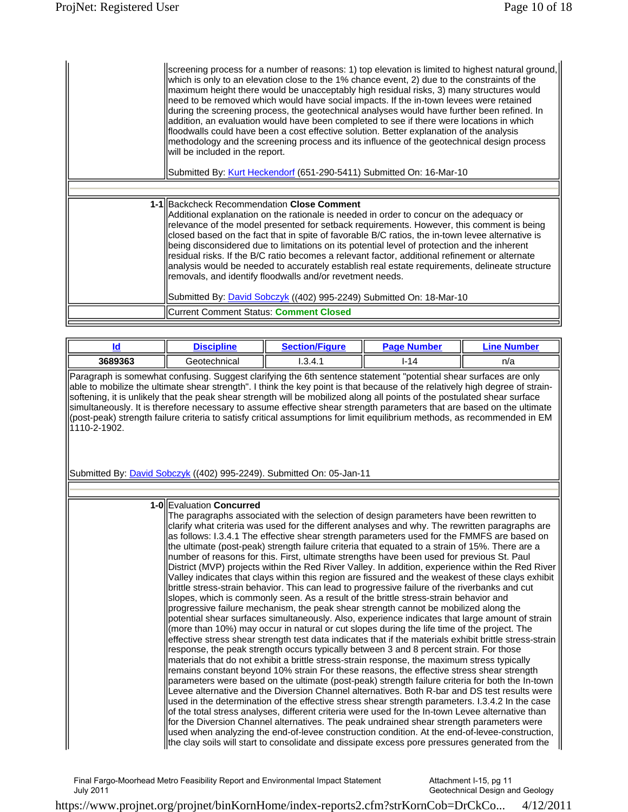| screening process for a number of reasons: 1) top elevation is limited to highest natural ground,<br>which is only to an elevation close to the 1% chance event, 2) due to the constraints of the<br>maximum height there would be unacceptably high residual risks, 3) many structures would<br>need to be removed which would have social impacts. If the in-town levees were retained<br>during the screening process, the geotechnical analyses would have further been refined. In<br>addition, an evaluation would have been completed to see if there were locations in which<br>floodwalls could have been a cost effective solution. Better explanation of the analysis<br>methodology and the screening process and its influence of the geotechnical design process<br>will be included in the report.<br>Submitted By: Kurt Heckendorf (651-290-5411) Submitted On: 16-Mar-10 |
|-------------------------------------------------------------------------------------------------------------------------------------------------------------------------------------------------------------------------------------------------------------------------------------------------------------------------------------------------------------------------------------------------------------------------------------------------------------------------------------------------------------------------------------------------------------------------------------------------------------------------------------------------------------------------------------------------------------------------------------------------------------------------------------------------------------------------------------------------------------------------------------------|
|                                                                                                                                                                                                                                                                                                                                                                                                                                                                                                                                                                                                                                                                                                                                                                                                                                                                                           |
| 1-1 Backcheck Recommendation Close Comment<br>Additional explanation on the rationale is needed in order to concur on the adequacy or<br>relevance of the model presented for setback requirements. However, this comment is being<br>closed based on the fact that in spite of favorable B/C ratios, the in-town levee alternative is<br>being disconsidered due to limitations on its potential level of protection and the inherent<br>residual risks. If the B/C ratio becomes a relevant factor, additional refinement or alternate<br>analysis would be needed to accurately establish real estate requirements, delineate structure<br>removals, and identify floodwalls and/or revetment needs.<br>Submitted By: <i>David Sobczyk</i> ((402) 995-2249) Submitted On: 18-Mar-10                                                                                                    |
| ICurrent Comment Status: Comment Closed                                                                                                                                                                                                                                                                                                                                                                                                                                                                                                                                                                                                                                                                                                                                                                                                                                                   |

|         | <b>Discipline</b> | <b>Section/Figure</b> | <b>Page Number</b> | <b>Number</b><br>inc |
|---------|-------------------|-----------------------|--------------------|----------------------|
| 3689363 | Geotechnical      | l.3.4.1               | $I - 14$           | n/a                  |

Paragraph is somewhat confusing. Suggest clarifying the 6th sentence statement "potential shear surfaces are only able to mobilize the ultimate shear strength". I think the key point is that because of the relatively high degree of strainsoftening, it is unlikely that the peak shear strength will be mobilized along all points of the postulated shear surface simultaneously. It is therefore necessary to assume effective shear strength parameters that are based on the ultimate (post-peak) strength failure criteria to satisfy critical assumptions for limit equilibrium methods, as recommended in EM 1110-2-1902.

Submitted By: David Sobczyk ((402) 995-2249). Submitted On: 05-Jan-11

**1-0** Evaluation **Concurred**  The paragraphs associated with the selection of design parameters have been rewritten to clarify what criteria was used for the different analyses and why. The rewritten paragraphs are as follows: I.3.4.1 The effective shear strength parameters used for the FMMFS are based on the ultimate (post-peak) strength failure criteria that equated to a strain of 15%. There are a number of reasons for this. First, ultimate strengths have been used for previous St. Paul District (MVP) projects within the Red River Valley. In addition, experience within the Red River Valley indicates that clays within this region are fissured and the weakest of these clays exhibit brittle stress-strain behavior. This can lead to progressive failure of the riverbanks and cut slopes, which is commonly seen. As a result of the brittle stress-strain behavior and progressive failure mechanism, the peak shear strength cannot be mobilized along the potential shear surfaces simultaneously. Also, experience indicates that large amount of strain (more than 10%) may occur in natural or cut slopes during the life time of the project. The effective stress shear strength test data indicates that if the materials exhibit brittle stress-strain response, the peak strength occurs typically between 3 and 8 percent strain. For those materials that do not exhibit a brittle stress-strain response, the maximum stress typically remains constant beyond 10% strain For these reasons, the effective stress shear strength parameters were based on the ultimate (post-peak) strength failure criteria for both the In-town Levee alternative and the Diversion Channel alternatives. Both R-bar and DS test results were used in the determination of the effective stress shear strength parameters. I.3.4.2 In the case of the total stress analyses, different criteria were used for the In-town Levee alternative than for the Diversion Channel alternatives. The peak undrained shear strength parameters were used when analyzing the end-of-levee construction condition. At the end-of-levee-construction,  $\parallel$ the clay soils will start to consolidate and dissipate excess pore pressures generated from the

Final Fargo-Moorhead Metro Feasibility Report and Environmental Impact Statement July 2011 Attachment I-15, pg 11

Geotechnical Design and Geology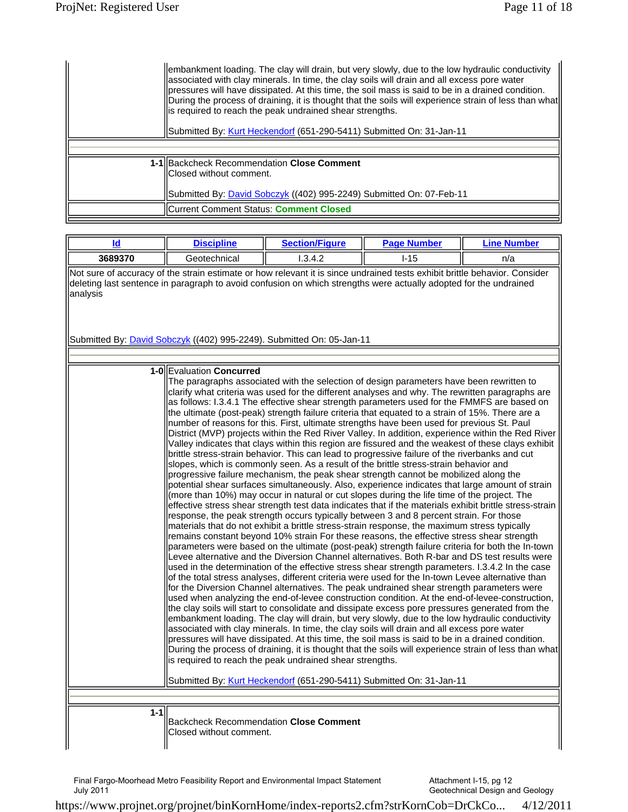| embankment loading. The clay will drain, but very slowly, due to the low hydraulic conductivity<br>associated with clay minerals. In time, the clay soils will drain and all excess pore water<br>pressures will have dissipated. At this time, the soil mass is said to be in a drained condition.<br>During the process of draining, it is thought that the soils will experience strain of less than what<br>is required to reach the peak undrained shear strengths.<br>Submitted By: Kurt Heckendorf (651-290-5411) Submitted On: 31-Jan-11 |
|--------------------------------------------------------------------------------------------------------------------------------------------------------------------------------------------------------------------------------------------------------------------------------------------------------------------------------------------------------------------------------------------------------------------------------------------------------------------------------------------------------------------------------------------------|
|                                                                                                                                                                                                                                                                                                                                                                                                                                                                                                                                                  |
| 1-1 Backcheck Recommendation Close Comment<br>IClosed without comment.<br>Submitted By: David Sobczyk ((402) 995-2249) Submitted On: 07-Feb-11                                                                                                                                                                                                                                                                                                                                                                                                   |
| <b>ICurrent Comment Status: Comment Closed</b>                                                                                                                                                                                                                                                                                                                                                                                                                                                                                                   |

| Id                                                                                                                                                                                                                                                          | <b>Discipline</b>                                                                                                                                                                                                                                                                                                                                                                                                                                                                                                       | <b>Section/Figure</b>                                                                                                                                                                                                                                                                                                                                                                                                                                                                                                                                                                                                                                                                                                                                                                                                                                                                                                                                                                                                                                                                                                                                                                                                                                                                                                                                                                                                                                                                                                                                                                                                                                                                                                                                                                                                                                                                                                                                                                                                                                                                                                                                                                                                                                            | <b>Page Number</b> | <b>Line Number</b>                                                                                    |  |
|-------------------------------------------------------------------------------------------------------------------------------------------------------------------------------------------------------------------------------------------------------------|-------------------------------------------------------------------------------------------------------------------------------------------------------------------------------------------------------------------------------------------------------------------------------------------------------------------------------------------------------------------------------------------------------------------------------------------------------------------------------------------------------------------------|------------------------------------------------------------------------------------------------------------------------------------------------------------------------------------------------------------------------------------------------------------------------------------------------------------------------------------------------------------------------------------------------------------------------------------------------------------------------------------------------------------------------------------------------------------------------------------------------------------------------------------------------------------------------------------------------------------------------------------------------------------------------------------------------------------------------------------------------------------------------------------------------------------------------------------------------------------------------------------------------------------------------------------------------------------------------------------------------------------------------------------------------------------------------------------------------------------------------------------------------------------------------------------------------------------------------------------------------------------------------------------------------------------------------------------------------------------------------------------------------------------------------------------------------------------------------------------------------------------------------------------------------------------------------------------------------------------------------------------------------------------------------------------------------------------------------------------------------------------------------------------------------------------------------------------------------------------------------------------------------------------------------------------------------------------------------------------------------------------------------------------------------------------------------------------------------------------------------------------------------------------------|--------------------|-------------------------------------------------------------------------------------------------------|--|
| 3689370                                                                                                                                                                                                                                                     | Geotechnical                                                                                                                                                                                                                                                                                                                                                                                                                                                                                                            | 1.3.4.2                                                                                                                                                                                                                                                                                                                                                                                                                                                                                                                                                                                                                                                                                                                                                                                                                                                                                                                                                                                                                                                                                                                                                                                                                                                                                                                                                                                                                                                                                                                                                                                                                                                                                                                                                                                                                                                                                                                                                                                                                                                                                                                                                                                                                                                          | $I-15$             | n/a                                                                                                   |  |
| Not sure of accuracy of the strain estimate or how relevant it is since undrained tests exhibit brittle behavior. Consider<br>deleting last sentence in paragraph to avoid confusion on which strengths were actually adopted for the undrained<br>analysis |                                                                                                                                                                                                                                                                                                                                                                                                                                                                                                                         |                                                                                                                                                                                                                                                                                                                                                                                                                                                                                                                                                                                                                                                                                                                                                                                                                                                                                                                                                                                                                                                                                                                                                                                                                                                                                                                                                                                                                                                                                                                                                                                                                                                                                                                                                                                                                                                                                                                                                                                                                                                                                                                                                                                                                                                                  |                    |                                                                                                       |  |
|                                                                                                                                                                                                                                                             | Submitted By: David Sobczyk ((402) 995-2249). Submitted On: 05-Jan-11                                                                                                                                                                                                                                                                                                                                                                                                                                                   |                                                                                                                                                                                                                                                                                                                                                                                                                                                                                                                                                                                                                                                                                                                                                                                                                                                                                                                                                                                                                                                                                                                                                                                                                                                                                                                                                                                                                                                                                                                                                                                                                                                                                                                                                                                                                                                                                                                                                                                                                                                                                                                                                                                                                                                                  |                    |                                                                                                       |  |
|                                                                                                                                                                                                                                                             |                                                                                                                                                                                                                                                                                                                                                                                                                                                                                                                         |                                                                                                                                                                                                                                                                                                                                                                                                                                                                                                                                                                                                                                                                                                                                                                                                                                                                                                                                                                                                                                                                                                                                                                                                                                                                                                                                                                                                                                                                                                                                                                                                                                                                                                                                                                                                                                                                                                                                                                                                                                                                                                                                                                                                                                                                  |                    |                                                                                                       |  |
|                                                                                                                                                                                                                                                             | <b>1-0 Evaluation Concurred</b><br>the ultimate (post-peak) strength failure criteria that equated to a strain of 15%. There are a<br>number of reasons for this. First, ultimate strengths have been used for previous St. Paul<br>brittle stress-strain behavior. This can lead to progressive failure of the riverbanks and cut<br>progressive failure mechanism, the peak shear strength cannot be mobilized along the<br>for the Diversion Channel alternatives. The peak undrained shear strength parameters were | The paragraphs associated with the selection of design parameters have been rewritten to<br>clarify what criteria was used for the different analyses and why. The rewritten paragraphs are<br>as follows: I.3.4.1 The effective shear strength parameters used for the FMMFS are based on<br>District (MVP) projects within the Red River Valley. In addition, experience within the Red River<br>Valley indicates that clays within this region are fissured and the weakest of these clays exhibit<br>slopes, which is commonly seen. As a result of the brittle stress-strain behavior and<br>potential shear surfaces simultaneously. Also, experience indicates that large amount of strain<br>(more than 10%) may occur in natural or cut slopes during the life time of the project. The<br>effective stress shear strength test data indicates that if the materials exhibit brittle stress-strain<br>response, the peak strength occurs typically between 3 and 8 percent strain. For those<br>materials that do not exhibit a brittle stress-strain response, the maximum stress typically<br>remains constant beyond 10% strain For these reasons, the effective stress shear strength<br>parameters were based on the ultimate (post-peak) strength failure criteria for both the In-town<br>Levee alternative and the Diversion Channel alternatives. Both R-bar and DS test results were<br>used in the determination of the effective stress shear strength parameters. I.3.4.2 In the case<br>of the total stress analyses, different criteria were used for the In-town Levee alternative than<br>used when analyzing the end-of-levee construction condition. At the end-of-levee-construction,<br>the clay soils will start to consolidate and dissipate excess pore pressures generated from the<br>embankment loading. The clay will drain, but very slowly, due to the low hydraulic conductivity<br>associated with clay minerals. In time, the clay soils will drain and all excess pore water<br>pressures will have dissipated. At this time, the soil mass is said to be in a drained condition.<br>is required to reach the peak undrained shear strengths.<br>Submitted By: Kurt Heckendorf (651-290-5411) Submitted On: 31-Jan-11 |                    | During the process of draining, it is thought that the soils will experience strain of less than what |  |
| $1 - 1$                                                                                                                                                                                                                                                     |                                                                                                                                                                                                                                                                                                                                                                                                                                                                                                                         |                                                                                                                                                                                                                                                                                                                                                                                                                                                                                                                                                                                                                                                                                                                                                                                                                                                                                                                                                                                                                                                                                                                                                                                                                                                                                                                                                                                                                                                                                                                                                                                                                                                                                                                                                                                                                                                                                                                                                                                                                                                                                                                                                                                                                                                                  |                    |                                                                                                       |  |
|                                                                                                                                                                                                                                                             | <b>Backcheck Recommendation Close Comment</b><br>Closed without comment.                                                                                                                                                                                                                                                                                                                                                                                                                                                |                                                                                                                                                                                                                                                                                                                                                                                                                                                                                                                                                                                                                                                                                                                                                                                                                                                                                                                                                                                                                                                                                                                                                                                                                                                                                                                                                                                                                                                                                                                                                                                                                                                                                                                                                                                                                                                                                                                                                                                                                                                                                                                                                                                                                                                                  |                    |                                                                                                       |  |

Attachment I-15, pg 12 Geotechnical Design and Geology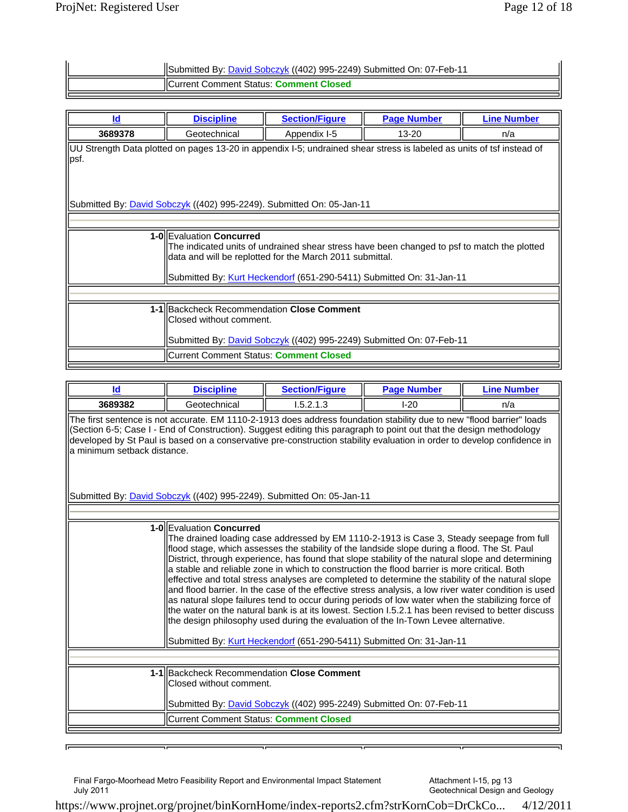| Submitted By: David Sobczyk ((402) 995-2249) Submitted On: 07-Feb-11 |
|----------------------------------------------------------------------|
| <b>IICurrent Comment Status: Comment Closed</b>                      |

| Id                                                                                                                                                                                                                                                          | <b>Discipline</b>                                                             | <b>Section/Figure</b> | <b>Page Number</b>                                                          | <b>Line Number</b> |  |
|-------------------------------------------------------------------------------------------------------------------------------------------------------------------------------------------------------------------------------------------------------------|-------------------------------------------------------------------------------|-----------------------|-----------------------------------------------------------------------------|--------------------|--|
| 3689378                                                                                                                                                                                                                                                     | Geotechnical                                                                  | Appendix I-5          | $13 - 20$                                                                   | n/a                |  |
| UU Strength Data plotted on pages 13-20 in appendix I-5; undrained shear stress is labeled as units of tsf instead of<br>lpsf.                                                                                                                              |                                                                               |                       |                                                                             |                    |  |
|                                                                                                                                                                                                                                                             | Submitted By: <i>David Sobczyk</i> ((402) 995-2249). Submitted On: 05-Jan-11  |                       |                                                                             |                    |  |
|                                                                                                                                                                                                                                                             |                                                                               |                       |                                                                             |                    |  |
| 1-0 Evaluation Concurred<br>The indicated units of undrained shear stress have been changed to psf to match the plotted<br>data and will be replotted for the March 2011 submittal.<br>Submitted By: Kurt Heckendorf (651-290-5411) Submitted On: 31-Jan-11 |                                                                               |                       |                                                                             |                    |  |
|                                                                                                                                                                                                                                                             |                                                                               |                       |                                                                             |                    |  |
|                                                                                                                                                                                                                                                             | 1-1 Backcheck Recommendation Close Comment<br><b>IClosed without comment.</b> |                       | Submitted By: <i>David Sobczyk</i> ((402) 995-2249) Submitted On: 07-Feb-11 |                    |  |
|                                                                                                                                                                                                                                                             | <b>ICurrent Comment Status: Comment Closed</b>                                |                       |                                                                             |                    |  |

| <b>Id</b>                                                                                                                                                                                                                                                                                                                                                                                                | <b>Discipline</b>                                                     | <b>Section/Figure</b>                                                                                                                                                                                                                                                                                                                                                                                                                                                                                                                                                                                                                                                                                                                                                                                                                                                                                                                                                                | <b>Page Number</b> | <b>Line Number</b> |  |
|----------------------------------------------------------------------------------------------------------------------------------------------------------------------------------------------------------------------------------------------------------------------------------------------------------------------------------------------------------------------------------------------------------|-----------------------------------------------------------------------|--------------------------------------------------------------------------------------------------------------------------------------------------------------------------------------------------------------------------------------------------------------------------------------------------------------------------------------------------------------------------------------------------------------------------------------------------------------------------------------------------------------------------------------------------------------------------------------------------------------------------------------------------------------------------------------------------------------------------------------------------------------------------------------------------------------------------------------------------------------------------------------------------------------------------------------------------------------------------------------|--------------------|--------------------|--|
| 3689382                                                                                                                                                                                                                                                                                                                                                                                                  | Geotechnical                                                          | 1.5.2.1.3                                                                                                                                                                                                                                                                                                                                                                                                                                                                                                                                                                                                                                                                                                                                                                                                                                                                                                                                                                            | $I-20$             | n/a                |  |
| The first sentence is not accurate. EM 1110-2-1913 does address foundation stability due to new "flood barrier" loads<br>(Section 6-5; Case I - End of Construction). Suggest editing this paragraph to point out that the design methodology<br>developed by St Paul is based on a conservative pre-construction stability evaluation in order to develop confidence in<br>la minimum setback distance. |                                                                       |                                                                                                                                                                                                                                                                                                                                                                                                                                                                                                                                                                                                                                                                                                                                                                                                                                                                                                                                                                                      |                    |                    |  |
|                                                                                                                                                                                                                                                                                                                                                                                                          | Submitted By: David Sobczyk ((402) 995-2249). Submitted On: 05-Jan-11 |                                                                                                                                                                                                                                                                                                                                                                                                                                                                                                                                                                                                                                                                                                                                                                                                                                                                                                                                                                                      |                    |                    |  |
|                                                                                                                                                                                                                                                                                                                                                                                                          |                                                                       |                                                                                                                                                                                                                                                                                                                                                                                                                                                                                                                                                                                                                                                                                                                                                                                                                                                                                                                                                                                      |                    |                    |  |
|                                                                                                                                                                                                                                                                                                                                                                                                          | 1-OllEvaluation Concurred                                             | The drained loading case addressed by EM 1110-2-1913 is Case 3, Steady seepage from full<br>flood stage, which assesses the stability of the landside slope during a flood. The St. Paul<br>District, through experience, has found that slope stability of the natural slope and determining<br>la stable and reliable zone in which to construction the flood barrier is more critical. Both<br>effective and total stress analyses are completed to determine the stability of the natural slope<br>and flood barrier. In the case of the effective stress analysis, a low river water condition is used<br>as natural slope failures tend to occur during periods of low water when the stabilizing force of<br>the water on the natural bank is at its lowest. Section 1.5.2.1 has been revised to better discuss<br>the design philosophy used during the evaluation of the In-Town Levee alternative.<br>Submitted By: Kurt Heckendorf (651-290-5411) Submitted On: 31-Jan-11 |                    |                    |  |
|                                                                                                                                                                                                                                                                                                                                                                                                          | 1-1 Backcheck Recommendation Close Comment                            |                                                                                                                                                                                                                                                                                                                                                                                                                                                                                                                                                                                                                                                                                                                                                                                                                                                                                                                                                                                      |                    |                    |  |
|                                                                                                                                                                                                                                                                                                                                                                                                          | Closed without comment.                                               |                                                                                                                                                                                                                                                                                                                                                                                                                                                                                                                                                                                                                                                                                                                                                                                                                                                                                                                                                                                      |                    |                    |  |
|                                                                                                                                                                                                                                                                                                                                                                                                          |                                                                       | Submitted By: <i>David Sobczyk</i> ((402) 995-2249) Submitted On: 07-Feb-11                                                                                                                                                                                                                                                                                                                                                                                                                                                                                                                                                                                                                                                                                                                                                                                                                                                                                                          |                    |                    |  |
|                                                                                                                                                                                                                                                                                                                                                                                                          | Current Comment Status: Comment Closed                                |                                                                                                                                                                                                                                                                                                                                                                                                                                                                                                                                                                                                                                                                                                                                                                                                                                                                                                                                                                                      |                    |                    |  |
|                                                                                                                                                                                                                                                                                                                                                                                                          |                                                                       |                                                                                                                                                                                                                                                                                                                                                                                                                                                                                                                                                                                                                                                                                                                                                                                                                                                                                                                                                                                      |                    |                    |  |

匠

Attachment I-15, pg 13 Geotechnical Design and Geology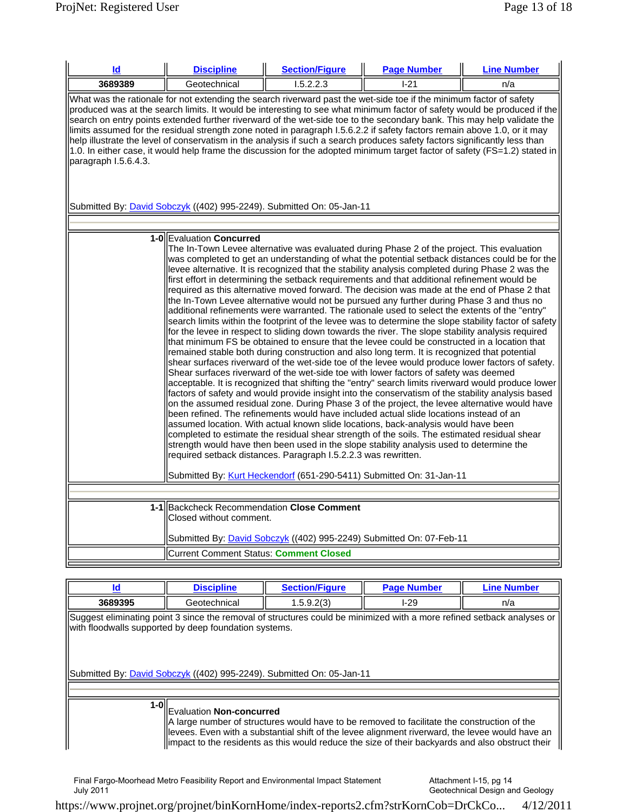| Id                                                                                                                                                                                                                                                                                                                                                                                                                                                                                                                                                                                                                                                                                                                                                                                         | <b>Discipline</b>                                                                                                                                                                                                     | <b>Section/Figure</b>                                                                                                                                                                                                                                                                                                                                                                                                                                                                                                                                                                                                                                                                                                                                                                                                                                                                                                                                                                                                                                                                                                                                                                                                                                                                                                                                                                                                                                                                                                                                                                                                                                                                                                                                                                                                                                                                                                                          | <b>Page Number</b> | <b>Line Number</b> |  |
|--------------------------------------------------------------------------------------------------------------------------------------------------------------------------------------------------------------------------------------------------------------------------------------------------------------------------------------------------------------------------------------------------------------------------------------------------------------------------------------------------------------------------------------------------------------------------------------------------------------------------------------------------------------------------------------------------------------------------------------------------------------------------------------------|-----------------------------------------------------------------------------------------------------------------------------------------------------------------------------------------------------------------------|------------------------------------------------------------------------------------------------------------------------------------------------------------------------------------------------------------------------------------------------------------------------------------------------------------------------------------------------------------------------------------------------------------------------------------------------------------------------------------------------------------------------------------------------------------------------------------------------------------------------------------------------------------------------------------------------------------------------------------------------------------------------------------------------------------------------------------------------------------------------------------------------------------------------------------------------------------------------------------------------------------------------------------------------------------------------------------------------------------------------------------------------------------------------------------------------------------------------------------------------------------------------------------------------------------------------------------------------------------------------------------------------------------------------------------------------------------------------------------------------------------------------------------------------------------------------------------------------------------------------------------------------------------------------------------------------------------------------------------------------------------------------------------------------------------------------------------------------------------------------------------------------------------------------------------------------|--------------------|--------------------|--|
| 3689389                                                                                                                                                                                                                                                                                                                                                                                                                                                                                                                                                                                                                                                                                                                                                                                    | Geotechnical                                                                                                                                                                                                          | 1.5.2.2.3                                                                                                                                                                                                                                                                                                                                                                                                                                                                                                                                                                                                                                                                                                                                                                                                                                                                                                                                                                                                                                                                                                                                                                                                                                                                                                                                                                                                                                                                                                                                                                                                                                                                                                                                                                                                                                                                                                                                      | $1 - 21$           | n/a                |  |
| What was the rationale for not extending the search riverward past the wet-side toe if the minimum factor of safety<br>produced was at the search limits. It would be interesting to see what minimum factor of safety would be produced if the<br>search on entry points extended further riverward of the wet-side toe to the secondary bank. This may help validate the<br>limits assumed for the residual strength zone noted in paragraph 1.5.6.2.2 if safety factors remain above 1.0, or it may<br>help illustrate the level of conservatism in the analysis if such a search produces safety factors significantly less than<br>1.0. In either case, it would help frame the discussion for the adopted minimum target factor of safety (FS=1.2) stated in<br>paragraph I.5.6.4.3. |                                                                                                                                                                                                                       |                                                                                                                                                                                                                                                                                                                                                                                                                                                                                                                                                                                                                                                                                                                                                                                                                                                                                                                                                                                                                                                                                                                                                                                                                                                                                                                                                                                                                                                                                                                                                                                                                                                                                                                                                                                                                                                                                                                                                |                    |                    |  |
|                                                                                                                                                                                                                                                                                                                                                                                                                                                                                                                                                                                                                                                                                                                                                                                            | Submitted By: <i>David Sobczyk</i> ((402) 995-2249). Submitted On: 05-Jan-11                                                                                                                                          |                                                                                                                                                                                                                                                                                                                                                                                                                                                                                                                                                                                                                                                                                                                                                                                                                                                                                                                                                                                                                                                                                                                                                                                                                                                                                                                                                                                                                                                                                                                                                                                                                                                                                                                                                                                                                                                                                                                                                |                    |                    |  |
|                                                                                                                                                                                                                                                                                                                                                                                                                                                                                                                                                                                                                                                                                                                                                                                            |                                                                                                                                                                                                                       |                                                                                                                                                                                                                                                                                                                                                                                                                                                                                                                                                                                                                                                                                                                                                                                                                                                                                                                                                                                                                                                                                                                                                                                                                                                                                                                                                                                                                                                                                                                                                                                                                                                                                                                                                                                                                                                                                                                                                |                    |                    |  |
|                                                                                                                                                                                                                                                                                                                                                                                                                                                                                                                                                                                                                                                                                                                                                                                            | 1-0 Evaluation Concurred<br>first effort in determining the setback requirements and that additional refinement would be<br>the In-Town Levee alternative would not be pursued any further during Phase 3 and thus no | The In-Town Levee alternative was evaluated during Phase 2 of the project. This evaluation<br>was completed to get an understanding of what the potential setback distances could be for the<br>levee alternative. It is recognized that the stability analysis completed during Phase 2 was the<br>required as this alternative moved forward. The decision was made at the end of Phase 2 that<br>additional refinements were warranted. The rationale used to select the extents of the "entry"<br>search limits within the footprint of the levee was to determine the slope stability factor of safety<br>for the levee in respect to sliding down towards the river. The slope stability analysis required<br>that minimum FS be obtained to ensure that the levee could be constructed in a location that<br>remained stable both during construction and also long term. It is recognized that potential<br>shear surfaces riverward of the wet-side toe of the levee would produce lower factors of safety.<br>Shear surfaces riverward of the wet-side toe with lower factors of safety was deemed<br>acceptable. It is recognized that shifting the "entry" search limits riverward would produce lower<br>factors of safety and would provide insight into the conservatism of the stability analysis based<br>on the assumed residual zone. During Phase 3 of the project, the levee alternative would have<br>been refined. The refinements would have included actual slide locations instead of an<br>assumed location. With actual known slide locations, back-analysis would have been<br>completed to estimate the residual shear strength of the soils. The estimated residual shear<br>strength would have then been used in the slope stability analysis used to determine the<br>required setback distances. Paragraph I.5.2.2.3 was rewritten.<br>Submitted By: Kurt Heckendorf (651-290-5411) Submitted On: 31-Jan-11 |                    |                    |  |
|                                                                                                                                                                                                                                                                                                                                                                                                                                                                                                                                                                                                                                                                                                                                                                                            |                                                                                                                                                                                                                       |                                                                                                                                                                                                                                                                                                                                                                                                                                                                                                                                                                                                                                                                                                                                                                                                                                                                                                                                                                                                                                                                                                                                                                                                                                                                                                                                                                                                                                                                                                                                                                                                                                                                                                                                                                                                                                                                                                                                                |                    |                    |  |
|                                                                                                                                                                                                                                                                                                                                                                                                                                                                                                                                                                                                                                                                                                                                                                                            | 1-1 Backcheck Recommendation Close Comment<br>Closed without comment.                                                                                                                                                 |                                                                                                                                                                                                                                                                                                                                                                                                                                                                                                                                                                                                                                                                                                                                                                                                                                                                                                                                                                                                                                                                                                                                                                                                                                                                                                                                                                                                                                                                                                                                                                                                                                                                                                                                                                                                                                                                                                                                                |                    |                    |  |
|                                                                                                                                                                                                                                                                                                                                                                                                                                                                                                                                                                                                                                                                                                                                                                                            |                                                                                                                                                                                                                       | Submitted By: David Sobczyk ((402) 995-2249) Submitted On: 07-Feb-11                                                                                                                                                                                                                                                                                                                                                                                                                                                                                                                                                                                                                                                                                                                                                                                                                                                                                                                                                                                                                                                                                                                                                                                                                                                                                                                                                                                                                                                                                                                                                                                                                                                                                                                                                                                                                                                                           |                    |                    |  |
|                                                                                                                                                                                                                                                                                                                                                                                                                                                                                                                                                                                                                                                                                                                                                                                            | <b>Current Comment Status: Comment Closed</b>                                                                                                                                                                         |                                                                                                                                                                                                                                                                                                                                                                                                                                                                                                                                                                                                                                                                                                                                                                                                                                                                                                                                                                                                                                                                                                                                                                                                                                                                                                                                                                                                                                                                                                                                                                                                                                                                                                                                                                                                                                                                                                                                                |                    |                    |  |

| ld                                                                                                                                                                                                                                                       | <b>Discipline</b>                                                                                                                                                                                                                                                                                                                    | <b>Section/Figure</b> | <b>Page Number</b> | <b>Line Number</b> |  |
|----------------------------------------------------------------------------------------------------------------------------------------------------------------------------------------------------------------------------------------------------------|--------------------------------------------------------------------------------------------------------------------------------------------------------------------------------------------------------------------------------------------------------------------------------------------------------------------------------------|-----------------------|--------------------|--------------------|--|
| 3689395                                                                                                                                                                                                                                                  | Geotechnical                                                                                                                                                                                                                                                                                                                         | 1.5.9.2(3)            | $I-29$             | n/a                |  |
| Suggest eliminating point 3 since the removal of structures could be minimized with a more refined setback analyses or<br>with floodwalls supported by deep foundation systems.<br>Submitted By: David Sobczyk ((402) 995-2249). Submitted On: 05-Jan-11 |                                                                                                                                                                                                                                                                                                                                      |                       |                    |                    |  |
|                                                                                                                                                                                                                                                          |                                                                                                                                                                                                                                                                                                                                      |                       |                    |                    |  |
|                                                                                                                                                                                                                                                          | 1-0 Evaluation Non-concurred<br>A large number of structures would have to be removed to facilitate the construction of the<br>llevees. Even with a substantial shift of the levee alignment riverward, the levee would have an<br>limpact to the residents as this would reduce the size of their backyards and also obstruct their |                       |                    |                    |  |

Attachment I-15, pg 14 Geotechnical Design and Geology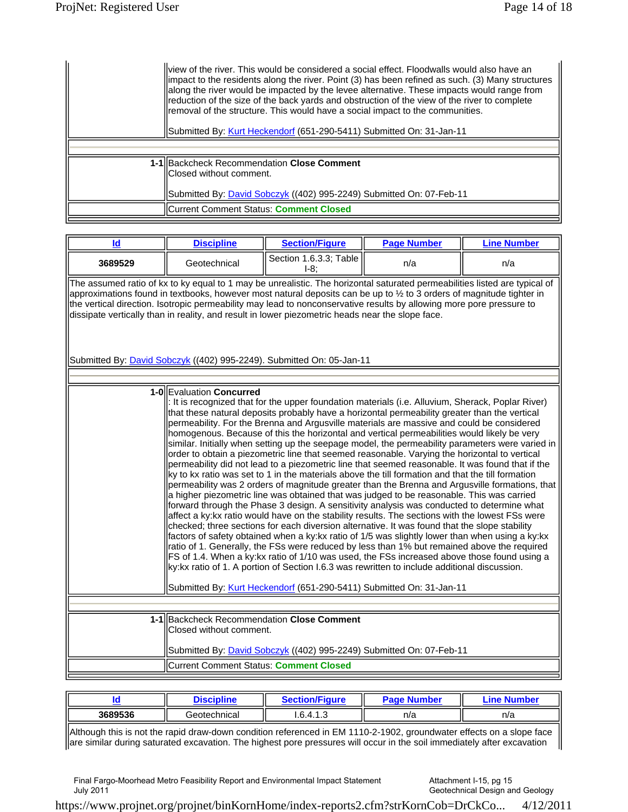| llview of the river. This would be considered a social effect. Floodwalls would also have an<br>llimpact to the residents along the river. Point (3) has been refined as such. (3) Many structures<br>along the river would be impacted by the levee alternative. These impacts would range from<br>reduction of the size of the back yards and obstruction of the view of the river to complete<br>Fremoval of the structure. This would have a social impact to the communities.<br>  Submitted By: Kurt Heckendorf (651-290-5411) Submitted On: 31-Jan-11 |
|--------------------------------------------------------------------------------------------------------------------------------------------------------------------------------------------------------------------------------------------------------------------------------------------------------------------------------------------------------------------------------------------------------------------------------------------------------------------------------------------------------------------------------------------------------------|
|                                                                                                                                                                                                                                                                                                                                                                                                                                                                                                                                                              |
| 1-1 Backcheck Recommendation Close Comment<br>llClosed without comment.<br>Submitted By: <i>David Sobczyk</i> ((402) 995-2249) Submitted On: 07-Feb-11                                                                                                                                                                                                                                                                                                                                                                                                       |
| Current Comment Status: <b>Comment Closed</b>                                                                                                                                                                                                                                                                                                                                                                                                                                                                                                                |

| Id                                                                                                                                                                                                                                                                                                                                                                                                                                                                                                                                                              | <b>Discipline</b>                                                     | <b>Section/Figure</b>                                                                                                                                                                                                                                                                                                                                                                                                                                                                                                                                                                                                                                                                                                                                                                                                                                                                                                                                                                                                                                                                                                                                                                                                                                                                                                                                                                                                                                                                                                                                                                                                                                                                                                                                                                    | <b>Page Number</b> | <b>Line Number</b> |  |  |
|-----------------------------------------------------------------------------------------------------------------------------------------------------------------------------------------------------------------------------------------------------------------------------------------------------------------------------------------------------------------------------------------------------------------------------------------------------------------------------------------------------------------------------------------------------------------|-----------------------------------------------------------------------|------------------------------------------------------------------------------------------------------------------------------------------------------------------------------------------------------------------------------------------------------------------------------------------------------------------------------------------------------------------------------------------------------------------------------------------------------------------------------------------------------------------------------------------------------------------------------------------------------------------------------------------------------------------------------------------------------------------------------------------------------------------------------------------------------------------------------------------------------------------------------------------------------------------------------------------------------------------------------------------------------------------------------------------------------------------------------------------------------------------------------------------------------------------------------------------------------------------------------------------------------------------------------------------------------------------------------------------------------------------------------------------------------------------------------------------------------------------------------------------------------------------------------------------------------------------------------------------------------------------------------------------------------------------------------------------------------------------------------------------------------------------------------------------|--------------------|--------------------|--|--|
| 3689529                                                                                                                                                                                                                                                                                                                                                                                                                                                                                                                                                         | Geotechnical                                                          | Section 1.6.3.3; Table<br>$1-8:$                                                                                                                                                                                                                                                                                                                                                                                                                                                                                                                                                                                                                                                                                                                                                                                                                                                                                                                                                                                                                                                                                                                                                                                                                                                                                                                                                                                                                                                                                                                                                                                                                                                                                                                                                         | n/a                | n/a                |  |  |
| The assumed ratio of kx to ky equal to 1 may be unrealistic. The horizontal saturated permeabilities listed are typical of<br>approximations found in textbooks, however most natural deposits can be up to 1/2 to 3 orders of magnitude tighter in<br>the vertical direction. Isotropic permeability may lead to nonconservative results by allowing more pore pressure to<br>dissipate vertically than in reality, and result in lower piezometric heads near the slope face.<br>Submitted By: <i>David Sobczyk</i> ((402) 995-2249). Submitted On: 05-Jan-11 |                                                                       |                                                                                                                                                                                                                                                                                                                                                                                                                                                                                                                                                                                                                                                                                                                                                                                                                                                                                                                                                                                                                                                                                                                                                                                                                                                                                                                                                                                                                                                                                                                                                                                                                                                                                                                                                                                          |                    |                    |  |  |
|                                                                                                                                                                                                                                                                                                                                                                                                                                                                                                                                                                 |                                                                       |                                                                                                                                                                                                                                                                                                                                                                                                                                                                                                                                                                                                                                                                                                                                                                                                                                                                                                                                                                                                                                                                                                                                                                                                                                                                                                                                                                                                                                                                                                                                                                                                                                                                                                                                                                                          |                    |                    |  |  |
|                                                                                                                                                                                                                                                                                                                                                                                                                                                                                                                                                                 | 1-0 Evaluation Concurred                                              | I: It is recognized that for the upper foundation materials (i.e. Alluvium, Sherack, Poplar River)<br>that these natural deposits probably have a horizontal permeability greater than the vertical<br>permeability. For the Brenna and Argusville materials are massive and could be considered<br>homogenous. Because of this the horizontal and vertical permeabilities would likely be very<br>similar. Initially when setting up the seepage model, the permeability parameters were varied in<br>order to obtain a piezometric line that seemed reasonable. Varying the horizontal to vertical<br>permeability did not lead to a piezometric line that seemed reasonable. It was found that if the<br>ky to kx ratio was set to 1 in the materials above the till formation and that the till formation<br>permeability was 2 orders of magnitude greater than the Brenna and Argusville formations, that<br>a higher piezometric line was obtained that was judged to be reasonable. This was carried<br>forward through the Phase 3 design. A sensitivity analysis was conducted to determine what<br>affect a ky: kx ratio would have on the stability results. The sections with the lowest FSs were<br>checked; three sections for each diversion alternative. It was found that the slope stability<br>factors of safety obtained when a ky:kx ratio of 1/5 was slightly lower than when using a ky:kx<br>ratio of 1. Generally, the FSs were reduced by less than 1% but remained above the required<br>FS of 1.4. When a ky:kx ratio of 1/10 was used, the FSs increased above those found using a<br>ky:kx ratio of 1. A portion of Section I.6.3 was rewritten to include additional discussion.<br>Submitted By: Kurt Heckendorf (651-290-5411) Submitted On: 31-Jan-11 |                    |                    |  |  |
|                                                                                                                                                                                                                                                                                                                                                                                                                                                                                                                                                                 |                                                                       |                                                                                                                                                                                                                                                                                                                                                                                                                                                                                                                                                                                                                                                                                                                                                                                                                                                                                                                                                                                                                                                                                                                                                                                                                                                                                                                                                                                                                                                                                                                                                                                                                                                                                                                                                                                          |                    |                    |  |  |
|                                                                                                                                                                                                                                                                                                                                                                                                                                                                                                                                                                 |                                                                       |                                                                                                                                                                                                                                                                                                                                                                                                                                                                                                                                                                                                                                                                                                                                                                                                                                                                                                                                                                                                                                                                                                                                                                                                                                                                                                                                                                                                                                                                                                                                                                                                                                                                                                                                                                                          |                    |                    |  |  |
|                                                                                                                                                                                                                                                                                                                                                                                                                                                                                                                                                                 | 1-1 Backcheck Recommendation Close Comment<br>Closed without comment. |                                                                                                                                                                                                                                                                                                                                                                                                                                                                                                                                                                                                                                                                                                                                                                                                                                                                                                                                                                                                                                                                                                                                                                                                                                                                                                                                                                                                                                                                                                                                                                                                                                                                                                                                                                                          |                    |                    |  |  |
|                                                                                                                                                                                                                                                                                                                                                                                                                                                                                                                                                                 |                                                                       | Submitted By: <b>David Sobczyk</b> ((402) 995-2249) Submitted On: 07-Feb-11                                                                                                                                                                                                                                                                                                                                                                                                                                                                                                                                                                                                                                                                                                                                                                                                                                                                                                                                                                                                                                                                                                                                                                                                                                                                                                                                                                                                                                                                                                                                                                                                                                                                                                              |                    |                    |  |  |
|                                                                                                                                                                                                                                                                                                                                                                                                                                                                                                                                                                 | Current Comment Status: Comment Closed                                |                                                                                                                                                                                                                                                                                                                                                                                                                                                                                                                                                                                                                                                                                                                                                                                                                                                                                                                                                                                                                                                                                                                                                                                                                                                                                                                                                                                                                                                                                                                                                                                                                                                                                                                                                                                          |                    |                    |  |  |

|         | <b>Dia ababas</b> | , <u>, , , , , ,</u><br>Finnre<br>$\sim$ | Dane<br>la sena la mar | ine)<br>. <b>.</b> |
|---------|-------------------|------------------------------------------|------------------------|--------------------|
| 3689536 | Geotechnical      | 1.6.4.1.3                                | n/a                    | n/a                |

Although this is not the rapid draw-down condition referenced in EM 1110-2-1902, groundwater effects on a slope face are similar during saturated excavation. The highest pore pressures will occur in the soil immediately after excavation

Final Fargo-Moorhead Metro Feasibility Report and Environmental Impact Statement July 2011

Attachment I-15, pg 15 Geotechnical Design and Geology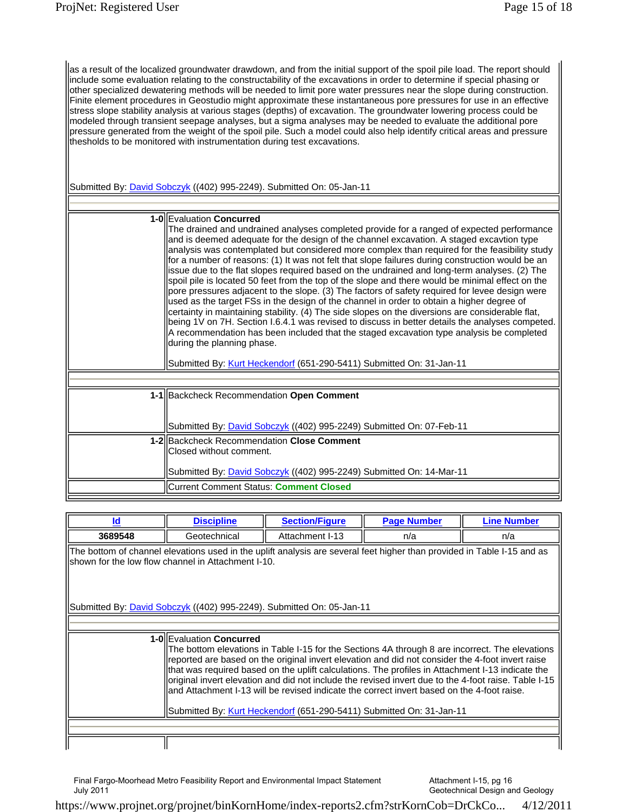as a result of the localized groundwater drawdown, and from the initial support of the spoil pile load. The report should include some evaluation relating to the constructability of the excavations in order to determine if special phasing or other specialized dewatering methods will be needed to limit pore water pressures near the slope during construction. Finite element procedures in Geostudio might approximate these instantaneous pore pressures for use in an effective stress slope stability analysis at various stages (depths) of excavation. The groundwater lowering process could be modeled through transient seepage analyses, but a sigma analyses may be needed to evaluate the additional pore pressure generated from the weight of the spoil pile. Such a model could also help identify critical areas and pressure thesholds to be monitored with instrumentation during test excavations.

Submitted By: David Sobczyk ((402) 995-2249). Submitted On: 05-Jan-11

| 1-0 Evaluation Concurred<br>The drained and undrained analyses completed provide for a ranged of expected performance<br>and is deemed adequate for the design of the channel excavation. A staged excavtion type<br>analysis was contemplated but considered more complex than required for the feasibility study<br>for a number of reasons: (1) It was not felt that slope failures during construction would be an<br>issue due to the flat slopes required based on the undrained and long-term analyses. (2) The<br>spoil pile is located 50 feet from the top of the slope and there would be minimal effect on the<br>pore pressures adjacent to the slope. (3) The factors of safety required for levee design were<br>used as the target FSs in the design of the channel in order to obtain a higher degree of<br>certainty in maintaining stability. (4) The side slopes on the diversions are considerable flat,<br>being 1V on 7H. Section I.6.4.1 was revised to discuss in better details the analyses competed.<br>A recommendation has been included that the staged excavation type analysis be completed<br>during the planning phase.<br>Submitted By: Kurt Heckendorf (651-290-5411) Submitted On: 31-Jan-11 |
|------------------------------------------------------------------------------------------------------------------------------------------------------------------------------------------------------------------------------------------------------------------------------------------------------------------------------------------------------------------------------------------------------------------------------------------------------------------------------------------------------------------------------------------------------------------------------------------------------------------------------------------------------------------------------------------------------------------------------------------------------------------------------------------------------------------------------------------------------------------------------------------------------------------------------------------------------------------------------------------------------------------------------------------------------------------------------------------------------------------------------------------------------------------------------------------------------------------------------------|
|                                                                                                                                                                                                                                                                                                                                                                                                                                                                                                                                                                                                                                                                                                                                                                                                                                                                                                                                                                                                                                                                                                                                                                                                                                    |
|                                                                                                                                                                                                                                                                                                                                                                                                                                                                                                                                                                                                                                                                                                                                                                                                                                                                                                                                                                                                                                                                                                                                                                                                                                    |
| 1-1 Backcheck Recommendation Open Comment<br>Submitted By: <b>David Sobczyk</b> ((402) 995-2249) Submitted On: 07-Feb-11                                                                                                                                                                                                                                                                                                                                                                                                                                                                                                                                                                                                                                                                                                                                                                                                                                                                                                                                                                                                                                                                                                           |
| 1-2 Backcheck Recommendation Close Comment<br>Closed without comment.<br>Submitted By: <b>David Sobczyk</b> ((402) 995-2249) Submitted On: 14-Mar-11                                                                                                                                                                                                                                                                                                                                                                                                                                                                                                                                                                                                                                                                                                                                                                                                                                                                                                                                                                                                                                                                               |
| Current Comment Status: Comment Closed                                                                                                                                                                                                                                                                                                                                                                                                                                                                                                                                                                                                                                                                                                                                                                                                                                                                                                                                                                                                                                                                                                                                                                                             |

| ld                                                                                                                                                                                                                                                                                                                                                                                                                                                                                                                                                                                                                 | <b>Discipline</b> | <b>Section/Figure</b>                                                 | <b>Page Number</b> | <b>Line Number</b> |  |
|--------------------------------------------------------------------------------------------------------------------------------------------------------------------------------------------------------------------------------------------------------------------------------------------------------------------------------------------------------------------------------------------------------------------------------------------------------------------------------------------------------------------------------------------------------------------------------------------------------------------|-------------------|-----------------------------------------------------------------------|--------------------|--------------------|--|
| 3689548                                                                                                                                                                                                                                                                                                                                                                                                                                                                                                                                                                                                            | Geotechnical      | Attachment I-13                                                       | n/a                | n/a                |  |
| The bottom of channel elevations used in the uplift analysis are several feet higher than provided in Table I-15 and as<br>shown for the low flow channel in Attachment I-10.                                                                                                                                                                                                                                                                                                                                                                                                                                      |                   |                                                                       |                    |                    |  |
|                                                                                                                                                                                                                                                                                                                                                                                                                                                                                                                                                                                                                    |                   | Submitted By: David Sobczyk ((402) 995-2249). Submitted On: 05-Jan-11 |                    |                    |  |
|                                                                                                                                                                                                                                                                                                                                                                                                                                                                                                                                                                                                                    |                   |                                                                       |                    |                    |  |
| 1-0 Evaluation Concurred<br>The bottom elevations in Table I-15 for the Sections 4A through 8 are incorrect. The elevations<br>reported are based on the original invert elevation and did not consider the 4-foot invert raise<br>that was required based on the uplift calculations. The profiles in Attachment I-13 indicate the<br>original invert elevation and did not include the revised invert due to the 4-foot raise. Table I-15<br>land Attachment I-13 will be revised indicate the correct invert based on the 4-foot raise.<br>Submitted By: Kurt Heckendorf (651-290-5411) Submitted On: 31-Jan-11 |                   |                                                                       |                    |                    |  |
|                                                                                                                                                                                                                                                                                                                                                                                                                                                                                                                                                                                                                    |                   |                                                                       |                    |                    |  |

Final Fargo-Moorhead Metro Feasibility Report and Environmental Impact Statement July 2011

Attachment I-15, pg 16 Geotechnical Design and Geology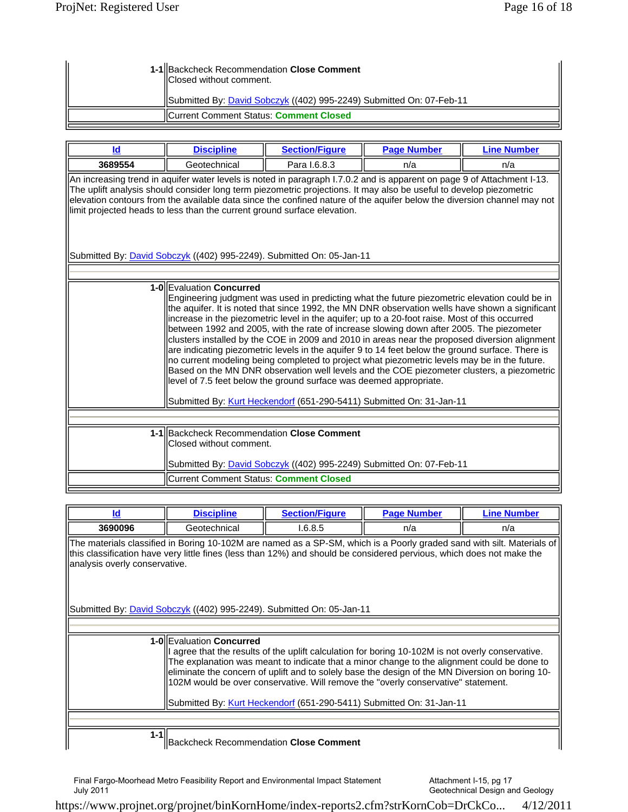| 1-1 Backcheck Recommendation Close Comment<br>Closed without comment. |
|-----------------------------------------------------------------------|
| Submitted By: David Sobczyk ((402) 995-2249) Submitted On: 07-Feb-11  |
| Current Comment Status: Comment Closed                                |

| ld                                                                                                                                                                                                                                                                                                                                                                                                                                                     | <b>Section/Figure</b><br><b>Discipline</b> |  | <b>Page Number</b>  | <b>Line Number</b> |
|--------------------------------------------------------------------------------------------------------------------------------------------------------------------------------------------------------------------------------------------------------------------------------------------------------------------------------------------------------------------------------------------------------------------------------------------------------|--------------------------------------------|--|---------------------|--------------------|
| 3689554                                                                                                                                                                                                                                                                                                                                                                                                                                                | Geotechnical                               |  | Para 1.6.8.3<br>n/a |                    |
| An increasing trend in aquifer water levels is noted in paragraph I.7.0.2 and is apparent on page 9 of Attachment I-13.<br>The uplift analysis should consider long term piezometric projections. It may also be useful to develop piezometric<br>elevation contours from the available data since the confined nature of the aquifer below the diversion channel may not<br>llimit projected heads to less than the current ground surface elevation. |                                            |  |                     |                    |

Submitted By: **David Sobczyk** ((402) 995-2249). Submitted On: 05-Jan-11

| <b>1-0 Evaluation Concurred</b><br>Engineering judgment was used in predicting what the future piezometric elevation could be in<br>the aquifer. It is noted that since 1992, the MN DNR observation wells have shown a significant<br>increase in the piezometric level in the aquifer; up to a 20-foot raise. Most of this occurred<br>between 1992 and 2005, with the rate of increase slowing down after 2005. The piezometer<br>clusters installed by the COE in 2009 and 2010 in areas near the proposed diversion alignment<br>are indicating piezometric levels in the aquifer 9 to 14 feet below the ground surface. There is<br>no current modeling being completed to project what piezometric levels may be in the future.<br>Based on the MN DNR observation well levels and the COE piezometer clusters, a piezometric<br>level of 7.5 feet below the ground surface was deemed appropriate.<br>Submitted By: Kurt Heckendorf (651-290-5411) Submitted On: 31-Jan-11 |
|------------------------------------------------------------------------------------------------------------------------------------------------------------------------------------------------------------------------------------------------------------------------------------------------------------------------------------------------------------------------------------------------------------------------------------------------------------------------------------------------------------------------------------------------------------------------------------------------------------------------------------------------------------------------------------------------------------------------------------------------------------------------------------------------------------------------------------------------------------------------------------------------------------------------------------------------------------------------------------|
|                                                                                                                                                                                                                                                                                                                                                                                                                                                                                                                                                                                                                                                                                                                                                                                                                                                                                                                                                                                    |
|                                                                                                                                                                                                                                                                                                                                                                                                                                                                                                                                                                                                                                                                                                                                                                                                                                                                                                                                                                                    |
| 1-1 Backcheck Recommendation Close Comment                                                                                                                                                                                                                                                                                                                                                                                                                                                                                                                                                                                                                                                                                                                                                                                                                                                                                                                                         |
| lClosed without comment.                                                                                                                                                                                                                                                                                                                                                                                                                                                                                                                                                                                                                                                                                                                                                                                                                                                                                                                                                           |
|                                                                                                                                                                                                                                                                                                                                                                                                                                                                                                                                                                                                                                                                                                                                                                                                                                                                                                                                                                                    |
| Submitted By: David Sobczyk ((402) 995-2249) Submitted On: 07-Feb-11                                                                                                                                                                                                                                                                                                                                                                                                                                                                                                                                                                                                                                                                                                                                                                                                                                                                                                               |
| Current Comment Status: Comment Closed                                                                                                                                                                                                                                                                                                                                                                                                                                                                                                                                                                                                                                                                                                                                                                                                                                                                                                                                             |
|                                                                                                                                                                                                                                                                                                                                                                                                                                                                                                                                                                                                                                                                                                                                                                                                                                                                                                                                                                                    |

| ld                                                                                                                                                                                                                                                                                                                                                                                                                                                                                         | <b>Discipline</b>                             | <b>Section/Figure</b> | <b>Page Number</b> | <b>Line Number</b> |  |
|--------------------------------------------------------------------------------------------------------------------------------------------------------------------------------------------------------------------------------------------------------------------------------------------------------------------------------------------------------------------------------------------------------------------------------------------------------------------------------------------|-----------------------------------------------|-----------------------|--------------------|--------------------|--|
| 3690096                                                                                                                                                                                                                                                                                                                                                                                                                                                                                    | Geotechnical                                  | 1.6.8.5               | n/a                | n/a                |  |
| The materials classified in Boring 10-102M are named as a SP-SM, which is a Poorly graded sand with silt. Materials of<br>this classification have very little fines (less than 12%) and should be considered pervious, which does not make the<br>analysis overly conservative.                                                                                                                                                                                                           |                                               |                       |                    |                    |  |
| Submitted By: <i>David Sobczyk</i> ((402) 995-2249). Submitted On: 05-Jan-11                                                                                                                                                                                                                                                                                                                                                                                                               |                                               |                       |                    |                    |  |
|                                                                                                                                                                                                                                                                                                                                                                                                                                                                                            |                                               |                       |                    |                    |  |
| 1-0 Evaluation Concurred<br>agree that the results of the uplift calculation for boring 10-102M is not overly conservative.<br>The explanation was meant to indicate that a minor change to the alignment could be done to<br>eliminate the concern of uplift and to solely base the design of the MN Diversion on boring 10-<br>102M would be over conservative. Will remove the "overly conservative" statement.<br>Submitted By: Kurt Heckendorf (651-290-5411) Submitted On: 31-Jan-11 |                                               |                       |                    |                    |  |
| $1 - 1$                                                                                                                                                                                                                                                                                                                                                                                                                                                                                    | <b>Backcheck Recommendation Close Comment</b> |                       |                    |                    |  |

Final Fargo-Moorhead Metro Feasibility Report and Environmental Impact Statement July 2011

Attachment I-15, pg 17 Geotechnical Design and Geology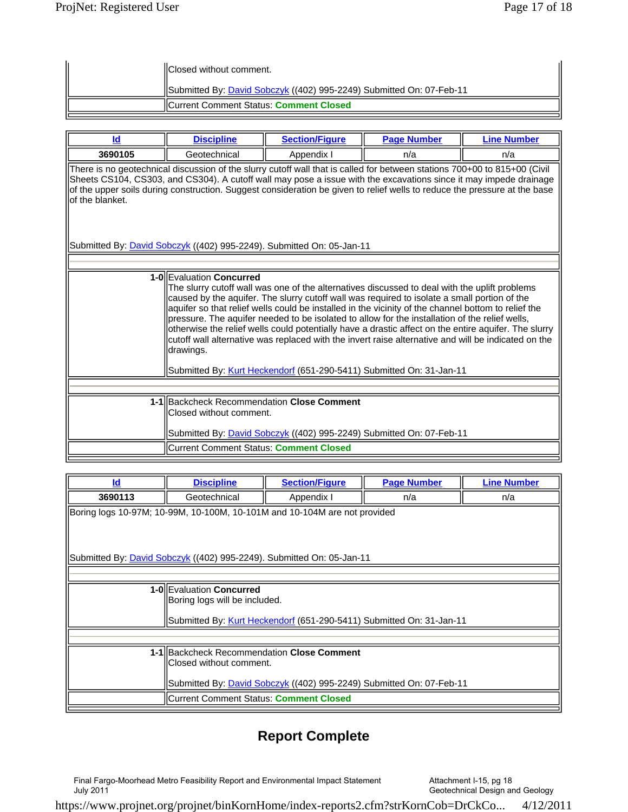| <b>IIClosed without comment.</b>                                     |
|----------------------------------------------------------------------|
| Submitted By: David Sobczyk ((402) 995-2249) Submitted On: 07-Feb-11 |
| <b>IICurrent Comment Status: Comment Closed</b>                      |

| Id                                                                                                                                                                                                                                                                                                                                                                                                                                                                                                                                                                                                                                                                                                                                     | <b>Discipline</b>                                                     | <b>Section/Figure</b>                                                        | <b>Page Number</b> | <b>Line Number</b> |  |
|----------------------------------------------------------------------------------------------------------------------------------------------------------------------------------------------------------------------------------------------------------------------------------------------------------------------------------------------------------------------------------------------------------------------------------------------------------------------------------------------------------------------------------------------------------------------------------------------------------------------------------------------------------------------------------------------------------------------------------------|-----------------------------------------------------------------------|------------------------------------------------------------------------------|--------------------|--------------------|--|
| 3690105                                                                                                                                                                                                                                                                                                                                                                                                                                                                                                                                                                                                                                                                                                                                | Geotechnical                                                          | Appendix I                                                                   | n/a                | n/a                |  |
| There is no geotechnical discussion of the slurry cutoff wall that is called for between stations 700+00 to 815+00 (Civil<br>Sheets CS104, CS303, and CS304). A cutoff wall may pose a issue with the excavations since it may impede drainage<br>of the upper soils during construction. Suggest consideration be given to relief wells to reduce the pressure at the base<br>lof the blanket.                                                                                                                                                                                                                                                                                                                                        |                                                                       |                                                                              |                    |                    |  |
|                                                                                                                                                                                                                                                                                                                                                                                                                                                                                                                                                                                                                                                                                                                                        |                                                                       | Submitted By: <i>David Sobczyk</i> ((402) 995-2249). Submitted On: 05-Jan-11 |                    |                    |  |
|                                                                                                                                                                                                                                                                                                                                                                                                                                                                                                                                                                                                                                                                                                                                        |                                                                       |                                                                              |                    |                    |  |
| 1-0 Evaluation Concurred<br>The slurry cutoff wall was one of the alternatives discussed to deal with the uplift problems<br>caused by the aquifer. The slurry cutoff wall was required to isolate a small portion of the<br>aquifer so that relief wells could be installed in the vicinity of the channel bottom to relief the<br>pressure. The aquifer needed to be isolated to allow for the installation of the relief wells,<br>otherwise the relief wells could potentially have a drastic affect on the entire aquifer. The slurry<br>cutoff wall alternative was replaced with the invert raise alternative and will be indicated on the<br>drawings.<br>Submitted By: Kurt Heckendorf (651-290-5411) Submitted On: 31-Jan-11 |                                                                       |                                                                              |                    |                    |  |
|                                                                                                                                                                                                                                                                                                                                                                                                                                                                                                                                                                                                                                                                                                                                        |                                                                       |                                                                              |                    |                    |  |
|                                                                                                                                                                                                                                                                                                                                                                                                                                                                                                                                                                                                                                                                                                                                        | 1-1 Backcheck Recommendation Close Comment<br>Closed without comment. | Submitted By: David Sobczyk ((402) 995-2249) Submitted On: 07-Feb-11         |                    |                    |  |
|                                                                                                                                                                                                                                                                                                                                                                                                                                                                                                                                                                                                                                                                                                                                        | Current Comment Status: Comment Closed                                |                                                                              |                    |                    |  |

| Id      | <b>Discipline</b>                                                         | <b>Section/Figure</b>                                                       | <b>Page Number</b> | <b>Line Number</b> |  |  |  |
|---------|---------------------------------------------------------------------------|-----------------------------------------------------------------------------|--------------------|--------------------|--|--|--|
| 3690113 | Geotechnical                                                              | Appendix I                                                                  | n/a                | n/a                |  |  |  |
|         | Boring logs 10-97M; 10-99M, 10-100M, 10-101M and 10-104M are not provided |                                                                             |                    |                    |  |  |  |
|         |                                                                           |                                                                             |                    |                    |  |  |  |
|         | Submitted By: David Sobczyk ((402) 995-2249). Submitted On: 05-Jan-11     |                                                                             |                    |                    |  |  |  |
|         |                                                                           |                                                                             |                    |                    |  |  |  |
|         | 1-0 Evaluation Concurred                                                  |                                                                             |                    |                    |  |  |  |
|         | Boring logs will be included.                                             |                                                                             |                    |                    |  |  |  |
|         | Submitted By: Kurt Heckendorf (651-290-5411) Submitted On: 31-Jan-11      |                                                                             |                    |                    |  |  |  |
|         |                                                                           |                                                                             |                    |                    |  |  |  |
|         | 1-1 Backcheck Recommendation Close Comment                                |                                                                             |                    |                    |  |  |  |
|         | lClosed without comment.                                                  |                                                                             |                    |                    |  |  |  |
|         |                                                                           | Submitted By: <i>David Sobczyk</i> ((402) 995-2249) Submitted On: 07-Feb-11 |                    |                    |  |  |  |
|         | ICurrent Comment Status: Comment Closed                                   |                                                                             |                    |                    |  |  |  |

## **Report Complete**

Final Fargo-Moorhead Metro Feasibility Report and Environmental Impact Statement July 2011

Attachment I-15, pg 18 Geotechnical Design and Geology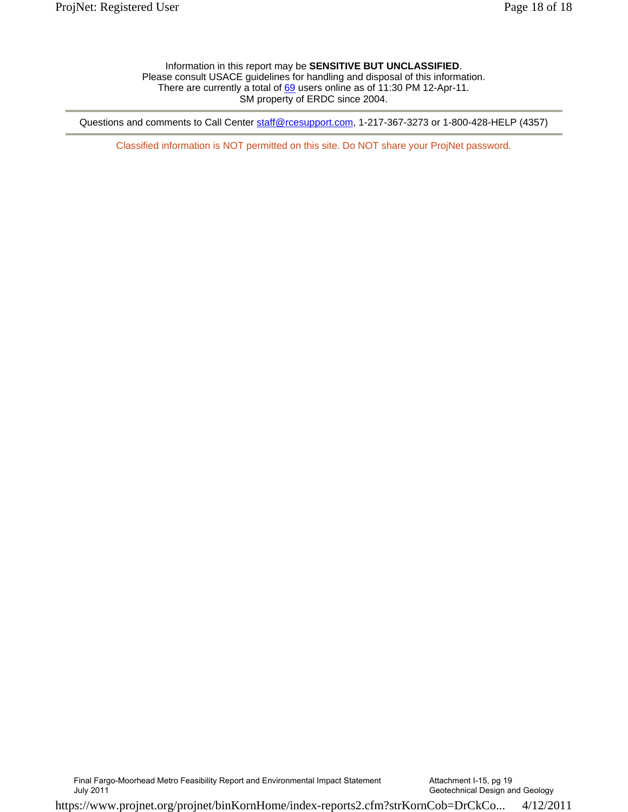Information in this report may be **SENSITIVE BUT UNCLASSIFIED**. Please consult USACE guidelines for handling and disposal of this information. There are currently a total of 69 users online as of 11:30 PM 12-Apr-11. SM property of ERDC since 2004.

Questions and comments to Call Center staff@rcesupport.com, 1-217-367-3273 or 1-800-428-HELP (4357)

Classified information is NOT permitted on this site. Do NOT share your ProjNet password.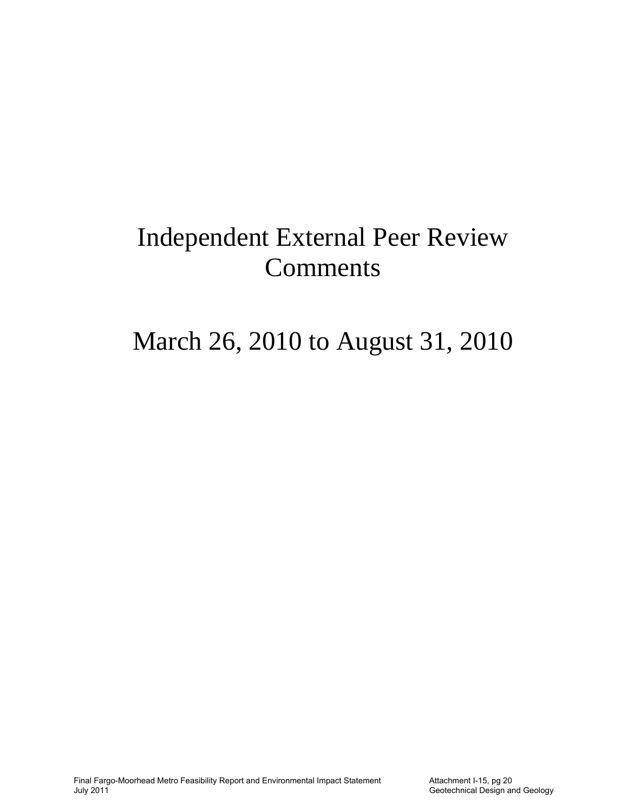# Independent External Peer Review Comments

# March 26, 2010 to August 31, 2010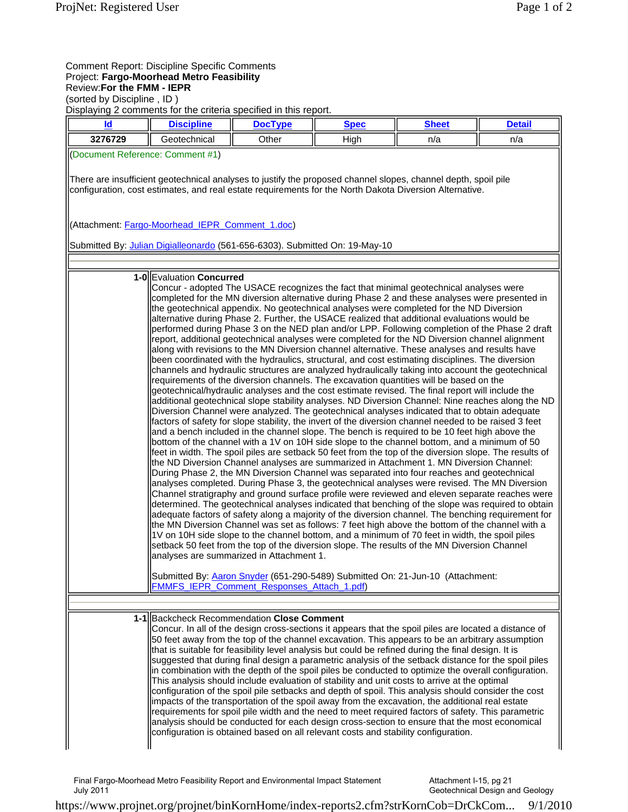### Comment Report: Discipline Specific Comments Project: **Fargo-Moorhead Metro Feasibility** Review:**For the FMM - IEPR**

(sorted by Discipline , ID )

Displaying 2 comments for the criteria specified in this report.

| Id                               | <b>Discipline</b>                                                                                                                                                                                                         | אוסטומיוועט באזוויזטיגעט אווטוועט זען נאזוויזעט ב<br><b>DocType</b>                    | <b>Spec</b>                                                                                                                                                                                                                                                                                                                                                                                                                                                                                                                                                                                                                                                                                                                                                                                                                                                                                                                                                                                                                                                                                                                                                                                                                                                                                                                                                                                                                                                                                                                                                                                                                                                                                                                                                                                                                                                                                                                                                                                                                                                                                                                                                                                                                                                                                                                                                                                                                                                                                                                                                                                                                                                                                                          | <b>Sheet</b> | <b>Detail</b> |
|----------------------------------|---------------------------------------------------------------------------------------------------------------------------------------------------------------------------------------------------------------------------|----------------------------------------------------------------------------------------|----------------------------------------------------------------------------------------------------------------------------------------------------------------------------------------------------------------------------------------------------------------------------------------------------------------------------------------------------------------------------------------------------------------------------------------------------------------------------------------------------------------------------------------------------------------------------------------------------------------------------------------------------------------------------------------------------------------------------------------------------------------------------------------------------------------------------------------------------------------------------------------------------------------------------------------------------------------------------------------------------------------------------------------------------------------------------------------------------------------------------------------------------------------------------------------------------------------------------------------------------------------------------------------------------------------------------------------------------------------------------------------------------------------------------------------------------------------------------------------------------------------------------------------------------------------------------------------------------------------------------------------------------------------------------------------------------------------------------------------------------------------------------------------------------------------------------------------------------------------------------------------------------------------------------------------------------------------------------------------------------------------------------------------------------------------------------------------------------------------------------------------------------------------------------------------------------------------------------------------------------------------------------------------------------------------------------------------------------------------------------------------------------------------------------------------------------------------------------------------------------------------------------------------------------------------------------------------------------------------------------------------------------------------------------------------------------------------------|--------------|---------------|
| 3276729                          | Geotechnical                                                                                                                                                                                                              | Other                                                                                  | High                                                                                                                                                                                                                                                                                                                                                                                                                                                                                                                                                                                                                                                                                                                                                                                                                                                                                                                                                                                                                                                                                                                                                                                                                                                                                                                                                                                                                                                                                                                                                                                                                                                                                                                                                                                                                                                                                                                                                                                                                                                                                                                                                                                                                                                                                                                                                                                                                                                                                                                                                                                                                                                                                                                 | n/a          | n/a           |
| (Document Reference: Comment #1) |                                                                                                                                                                                                                           |                                                                                        |                                                                                                                                                                                                                                                                                                                                                                                                                                                                                                                                                                                                                                                                                                                                                                                                                                                                                                                                                                                                                                                                                                                                                                                                                                                                                                                                                                                                                                                                                                                                                                                                                                                                                                                                                                                                                                                                                                                                                                                                                                                                                                                                                                                                                                                                                                                                                                                                                                                                                                                                                                                                                                                                                                                      |              |               |
|                                  | There are insufficient geotechnical analyses to justify the proposed channel slopes, channel depth, spoil pile<br>configuration, cost estimates, and real estate requirements for the North Dakota Diversion Alternative. |                                                                                        |                                                                                                                                                                                                                                                                                                                                                                                                                                                                                                                                                                                                                                                                                                                                                                                                                                                                                                                                                                                                                                                                                                                                                                                                                                                                                                                                                                                                                                                                                                                                                                                                                                                                                                                                                                                                                                                                                                                                                                                                                                                                                                                                                                                                                                                                                                                                                                                                                                                                                                                                                                                                                                                                                                                      |              |               |
|                                  | (Attachment: Fargo-Moorhead IEPR Comment 1.doc)                                                                                                                                                                           |                                                                                        |                                                                                                                                                                                                                                                                                                                                                                                                                                                                                                                                                                                                                                                                                                                                                                                                                                                                                                                                                                                                                                                                                                                                                                                                                                                                                                                                                                                                                                                                                                                                                                                                                                                                                                                                                                                                                                                                                                                                                                                                                                                                                                                                                                                                                                                                                                                                                                                                                                                                                                                                                                                                                                                                                                                      |              |               |
|                                  | Submitted By: Julian Digialleonardo (561-656-6303). Submitted On: 19-May-10                                                                                                                                               |                                                                                        |                                                                                                                                                                                                                                                                                                                                                                                                                                                                                                                                                                                                                                                                                                                                                                                                                                                                                                                                                                                                                                                                                                                                                                                                                                                                                                                                                                                                                                                                                                                                                                                                                                                                                                                                                                                                                                                                                                                                                                                                                                                                                                                                                                                                                                                                                                                                                                                                                                                                                                                                                                                                                                                                                                                      |              |               |
|                                  |                                                                                                                                                                                                                           |                                                                                        |                                                                                                                                                                                                                                                                                                                                                                                                                                                                                                                                                                                                                                                                                                                                                                                                                                                                                                                                                                                                                                                                                                                                                                                                                                                                                                                                                                                                                                                                                                                                                                                                                                                                                                                                                                                                                                                                                                                                                                                                                                                                                                                                                                                                                                                                                                                                                                                                                                                                                                                                                                                                                                                                                                                      |              |               |
|                                  | 1-0 Evaluation Concurred                                                                                                                                                                                                  | analyses are summarized in Attachment 1.<br>FMMFS IEPR Comment Responses Attach 1.pdf) | Concur - adopted The USACE recognizes the fact that minimal geotechnical analyses were<br>completed for the MN diversion alternative during Phase 2 and these analyses were presented in<br>the geotechnical appendix. No geotechnical analyses were completed for the ND Diversion<br>alternative during Phase 2. Further, the USACE realized that additional evaluations would be<br>performed during Phase 3 on the NED plan and/or LPP. Following completion of the Phase 2 draft<br>report, additional geotechnical analyses were completed for the ND Diversion channel alignment<br>along with revisions to the MN Diversion channel alternative. These analyses and results have<br>been coordinated with the hydraulics, structural, and cost estimating disciplines. The diversion<br>channels and hydraulic structures are analyzed hydraulically taking into account the geotechnical<br>requirements of the diversion channels. The excavation quantities will be based on the<br>geotechnical/hydraulic analyses and the cost estimate revised. The final report will include the<br>additional geotechnical slope stability analyses. ND Diversion Channel: Nine reaches along the ND<br>Diversion Channel were analyzed. The geotechnical analyses indicated that to obtain adequate<br>factors of safety for slope stability, the invert of the diversion channel needed to be raised 3 feet<br>and a bench included in the channel slope. The bench is required to be 10 feet high above the<br>bottom of the channel with a 1V on 10H side slope to the channel bottom, and a minimum of 50<br>feet in width. The spoil piles are setback 50 feet from the top of the diversion slope. The results of<br>the ND Diversion Channel analyses are summarized in Attachment 1. MN Diversion Channel:<br>During Phase 2, the MN Diversion Channel was separated into four reaches and geotechnical<br>analyses completed. During Phase 3, the geotechnical analyses were revised. The MN Diversion<br>Channel stratigraphy and ground surface profile were reviewed and eleven separate reaches were<br>determined. The geotechnical analyses indicated that benching of the slope was required to obtain<br>adequate factors of safety along a majority of the diversion channel. The benching requirement for<br>the MN Diversion Channel was set as follows: 7 feet high above the bottom of the channel with a<br>1V on 10H side slope to the channel bottom, and a minimum of 70 feet in width, the spoil piles<br>setback 50 feet from the top of the diversion slope. The results of the MN Diversion Channel<br>Submitted By: Aaron Snyder (651-290-5489) Submitted On: 21-Jun-10 (Attachment: |              |               |
|                                  |                                                                                                                                                                                                                           |                                                                                        |                                                                                                                                                                                                                                                                                                                                                                                                                                                                                                                                                                                                                                                                                                                                                                                                                                                                                                                                                                                                                                                                                                                                                                                                                                                                                                                                                                                                                                                                                                                                                                                                                                                                                                                                                                                                                                                                                                                                                                                                                                                                                                                                                                                                                                                                                                                                                                                                                                                                                                                                                                                                                                                                                                                      |              |               |
|                                  | 1-1 Backcheck Recommendation Close Comment<br>that is suitable for feasibility level analysis but could be refined during the final design. It is                                                                         |                                                                                        | Concur. In all of the design cross-sections it appears that the spoil piles are located a distance of<br>50 feet away from the top of the channel excavation. This appears to be an arbitrary assumption<br>suggested that during final design a parametric analysis of the setback distance for the spoil piles<br>in combination with the depth of the spoil piles be conducted to optimize the overall configuration.<br>This analysis should include evaluation of stability and unit costs to arrive at the optimal<br>configuration of the spoil pile setbacks and depth of spoil. This analysis should consider the cost<br>impacts of the transportation of the spoil away from the excavation, the additional real estate<br>requirements for spoil pile width and the need to meet required factors of safety. This parametric<br>analysis should be conducted for each design cross-section to ensure that the most economical<br>configuration is obtained based on all relevant costs and stability configuration.                                                                                                                                                                                                                                                                                                                                                                                                                                                                                                                                                                                                                                                                                                                                                                                                                                                                                                                                                                                                                                                                                                                                                                                                                                                                                                                                                                                                                                                                                                                                                                                                                                                                                      |              |               |

Final Fargo-Moorhead Metro Feasibility Report and Environmental Impact Statement July 2011

Attachment I-15, pg 21 Geotechnical Design and Geology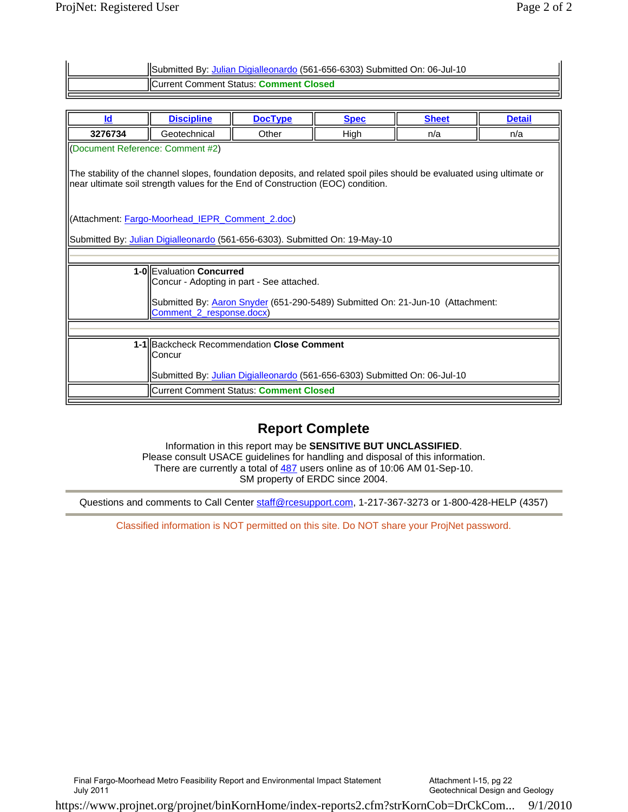| ISubmitted By: Julian Digialleonardo (561-656-6303) Submitted On: 06-Jul-10 |
|-----------------------------------------------------------------------------|
| <b>IICurrent Comment Status: Comment Closed</b>                             |
|                                                                             |

| Id                                                                                                                                                                                                         | <b>Discipline</b>                                                          | <b>DocType</b>                                                              | <b>Spec</b>                                                                    | <b>Sheet</b> | <b>Detail</b> |
|------------------------------------------------------------------------------------------------------------------------------------------------------------------------------------------------------------|----------------------------------------------------------------------------|-----------------------------------------------------------------------------|--------------------------------------------------------------------------------|--------------|---------------|
| 3276734                                                                                                                                                                                                    | Geotechnical                                                               | Other                                                                       | High                                                                           | n/a          | n/a           |
| (Document Reference: Comment #2)                                                                                                                                                                           |                                                                            |                                                                             |                                                                                |              |               |
| The stability of the channel slopes, foundation deposits, and related spoil piles should be evaluated using ultimate or<br>near ultimate soil strength values for the End of Construction (EOC) condition. |                                                                            |                                                                             |                                                                                |              |               |
|                                                                                                                                                                                                            | (Attachment: Fargo-Moorhead_IEPR_Comment_2.doc)                            |                                                                             |                                                                                |              |               |
|                                                                                                                                                                                                            |                                                                            | Submitted By: Julian Digialleonardo (561-656-6303). Submitted On: 19-May-10 |                                                                                |              |               |
|                                                                                                                                                                                                            |                                                                            |                                                                             |                                                                                |              |               |
|                                                                                                                                                                                                            | 1-0 Evaluation Concurred                                                   |                                                                             |                                                                                |              |               |
|                                                                                                                                                                                                            |                                                                            | Concur - Adopting in part - See attached.                                   |                                                                                |              |               |
|                                                                                                                                                                                                            | Comment 2 response.docx)                                                   |                                                                             | Submitted By: Aaron Snyder (651-290-5489) Submitted On: 21-Jun-10 (Attachment: |              |               |
|                                                                                                                                                                                                            |                                                                            |                                                                             |                                                                                |              |               |
| 1-1 Backcheck Recommendation Close Comment<br>lConcur                                                                                                                                                      |                                                                            |                                                                             |                                                                                |              |               |
|                                                                                                                                                                                                            | Submitted By: Julian Digialleonardo (561-656-6303) Submitted On: 06-Jul-10 |                                                                             |                                                                                |              |               |
|                                                                                                                                                                                                            |                                                                            | Current Comment Status: Comment Closed                                      |                                                                                |              |               |
|                                                                                                                                                                                                            |                                                                            |                                                                             |                                                                                |              |               |

## **Report Complete**

Information in this report may be **SENSITIVE BUT UNCLASSIFIED**. Please consult USACE guidelines for handling and disposal of this information. There are currently a total of 487 users online as of 10:06 AM 01-Sep-10. SM property of ERDC since 2004.

Questions and comments to Call Center staff@rcesupport.com, 1-217-367-3273 or 1-800-428-HELP (4357)

Classified information is NOT permitted on this site. Do NOT share your ProjNet password.

Final Fargo-Moorhead Metro Feasibility Report and Environmental Impact Statement

July 2011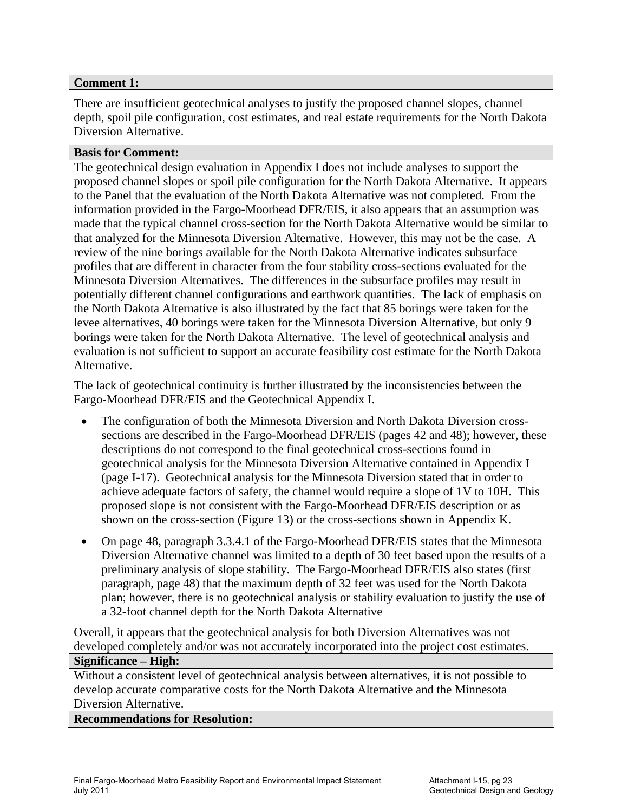## **Comment 1:**

There are insufficient geotechnical analyses to justify the proposed channel slopes, channel depth, spoil pile configuration, cost estimates, and real estate requirements for the North Dakota Diversion Alternative.

## **Basis for Comment:**

The geotechnical design evaluation in Appendix I does not include analyses to support the proposed channel slopes or spoil pile configuration for the North Dakota Alternative. It appears to the Panel that the evaluation of the North Dakota Alternative was not completed. From the information provided in the Fargo-Moorhead DFR/EIS, it also appears that an assumption was made that the typical channel cross-section for the North Dakota Alternative would be similar to that analyzed for the Minnesota Diversion Alternative. However, this may not be the case. A review of the nine borings available for the North Dakota Alternative indicates subsurface profiles that are different in character from the four stability cross-sections evaluated for the Minnesota Diversion Alternatives. The differences in the subsurface profiles may result in potentially different channel configurations and earthwork quantities. The lack of emphasis on the North Dakota Alternative is also illustrated by the fact that 85 borings were taken for the levee alternatives, 40 borings were taken for the Minnesota Diversion Alternative, but only 9 borings were taken for the North Dakota Alternative. The level of geotechnical analysis and evaluation is not sufficient to support an accurate feasibility cost estimate for the North Dakota Alternative.

The lack of geotechnical continuity is further illustrated by the inconsistencies between the Fargo-Moorhead DFR/EIS and the Geotechnical Appendix I.

- The configuration of both the Minnesota Diversion and North Dakota Diversion crosssections are described in the Fargo-Moorhead DFR/EIS (pages 42 and 48); however, these descriptions do not correspond to the final geotechnical cross-sections found in geotechnical analysis for the Minnesota Diversion Alternative contained in Appendix I (page I-17). Geotechnical analysis for the Minnesota Diversion stated that in order to achieve adequate factors of safety, the channel would require a slope of 1V to 10H. This proposed slope is not consistent with the Fargo-Moorhead DFR/EIS description or as shown on the cross-section (Figure 13) or the cross-sections shown in Appendix K.
- On page 48, paragraph 3.3.4.1 of the Fargo-Moorhead DFR/EIS states that the Minnesota Diversion Alternative channel was limited to a depth of 30 feet based upon the results of a preliminary analysis of slope stability. The Fargo-Moorhead DFR/EIS also states (first paragraph, page 48) that the maximum depth of 32 feet was used for the North Dakota plan; however, there is no geotechnical analysis or stability evaluation to justify the use of a 32-foot channel depth for the North Dakota Alternative

Overall, it appears that the geotechnical analysis for both Diversion Alternatives was not developed completely and/or was not accurately incorporated into the project cost estimates. **Significance – High:** 

Without a consistent level of geotechnical analysis between alternatives, it is not possible to develop accurate comparative costs for the North Dakota Alternative and the Minnesota Diversion Alternative.

## **Recommendations for Resolution:**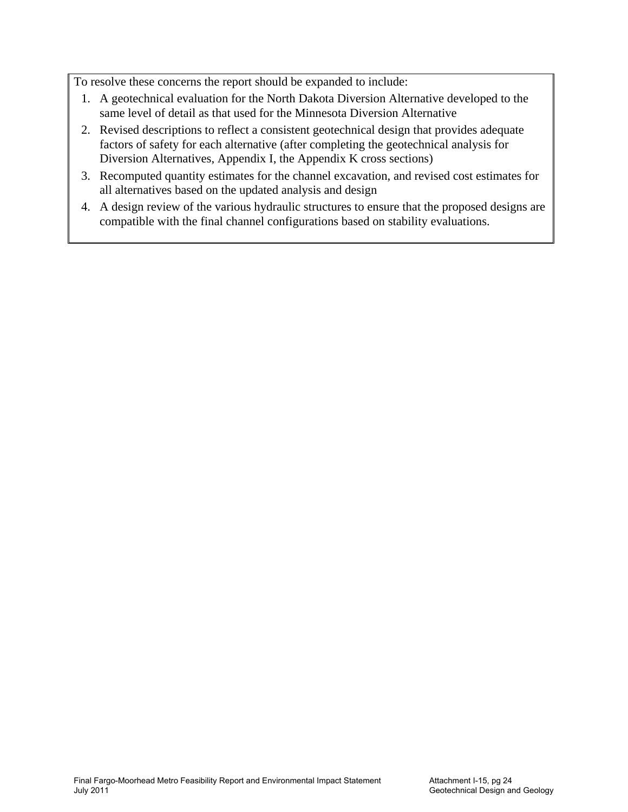To resolve these concerns the report should be expanded to include:

- 1. A geotechnical evaluation for the North Dakota Diversion Alternative developed to the same level of detail as that used for the Minnesota Diversion Alternative
- 2. Revised descriptions to reflect a consistent geotechnical design that provides adequate factors of safety for each alternative (after completing the geotechnical analysis for Diversion Alternatives, Appendix I, the Appendix K cross sections)
- 3. Recomputed quantity estimates for the channel excavation, and revised cost estimates for all alternatives based on the updated analysis and design
- 4. A design review of the various hydraulic structures to ensure that the proposed designs are compatible with the final channel configurations based on stability evaluations.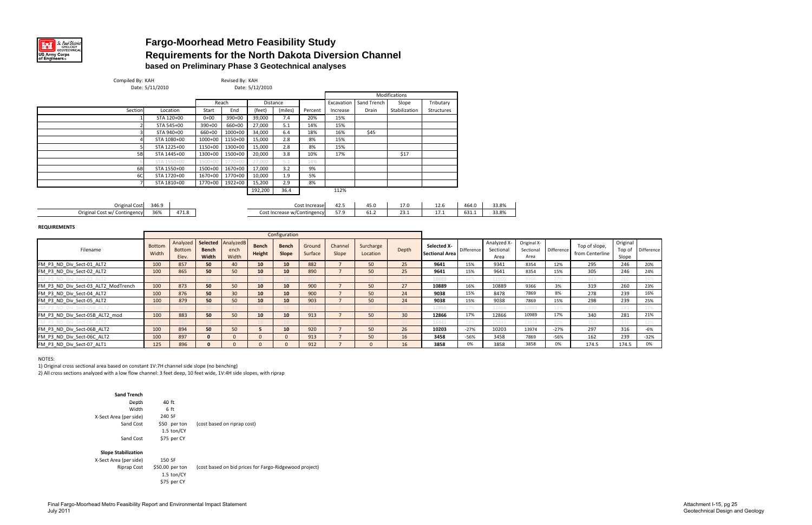

## **Fargo-Moorhead Metro Feasibility Study Requirements for the North Dakota Diversion Channel based on Preliminary Phase 3 Geotechnical analyses**

| Compiled By: KAH                    | Date: 5/11/2010 |               |              | Revised By: KAH | Date: 5/12/2010 |               |                             |                |             |                 |                       |            |             |             |            |                 |          |            |
|-------------------------------------|-----------------|---------------|--------------|-----------------|-----------------|---------------|-----------------------------|----------------|-------------|-----------------|-----------------------|------------|-------------|-------------|------------|-----------------|----------|------------|
|                                     |                 |               |              |                 |                 |               |                             |                |             | Modifications   |                       |            |             |             |            |                 |          |            |
|                                     |                 |               |              | Reach           |                 | Distance      |                             | Excavation     | Sand Trench | Slope           | Tributary             |            |             |             |            |                 |          |            |
| Section                             |                 | Location      | Start        | End             | (feet)          | (miles)       | Percent                     | Increase       | Drain       | Stabilization   | Structures            |            |             |             |            |                 |          |            |
|                                     |                 | STA 120+00    | $0 + 00$     | $390+00$        | 39,000          | 7.4           | 20%                         | 15%            |             |                 |                       |            |             |             |            |                 |          |            |
|                                     |                 | STA 545+00    | 390+00       | 660+00          | 27,000          | 5.1           | 14%                         | 15%            |             |                 |                       |            |             |             |            |                 |          |            |
|                                     |                 | STA 940+00    | 660+00       | 1000+00         | 34,000          | 6.4           | 18%                         | 16%            | \$45        |                 |                       |            |             |             |            |                 |          |            |
|                                     |                 | STA 1080+00   | 1000+00      | 1150+00         | 15,000          | 2.8           | 8%                          | 15%            |             |                 |                       |            |             |             |            |                 |          |            |
|                                     |                 | STA 1225+00   | 1150+00      | 1300+00         | 15,000          | 2.8           | 8%                          | 15%            |             |                 |                       |            |             |             |            |                 |          |            |
| 5B                                  |                 | STA 1445+00   | 1300+00      | 1500+00         | 20,000          | 3.8           | 10%                         | 17%            |             | \$17            |                       |            |             |             |            |                 |          |            |
|                                     |                 | STA 1550+00   | $1500+$      | 1770+0          | 27,000          | 5.1           | 14%                         |                |             |                 |                       |            |             |             |            |                 |          |            |
| 6B                                  |                 | STA 1550+00   | 1500+00      | 1670+00         | 17,000          | 3.2           | 9%                          |                |             |                 |                       |            |             |             |            |                 |          |            |
| 6C                                  |                 | STA 1720+00   | 1670+00      | 1770+00         | 10,000          | 1.9           | 5%                          |                |             |                 |                       |            |             |             |            |                 |          |            |
|                                     |                 | STA 1810+00   | 1770+00      | 1922+00         | 15,200          | 2.9           | 8%                          |                |             |                 |                       |            |             |             |            |                 |          |            |
|                                     |                 |               |              |                 | 192,200         | 36.4          |                             | 112%           |             |                 |                       |            |             |             |            |                 |          |            |
|                                     |                 |               |              |                 |                 |               |                             |                |             |                 |                       |            |             |             |            |                 |          |            |
| <b>Original Cost</b>                | 346.9           |               |              |                 |                 |               | Cost Increase               | 42.5           | 45.0        | 17.0            | 12.6                  | 464.0      | 33.8%       |             |            |                 |          |            |
| Original Cost w/ Contingency        | 36%             | 471.8         |              |                 |                 |               | Cost Increase w/Contingency | 57.9           | 61.2        | 23.1            | 17.1                  | 631.1      | 33.8%       |             |            |                 |          |            |
| <b>REQUIREMENTS</b>                 |                 |               |              |                 |                 |               |                             |                |             |                 |                       |            |             |             |            |                 |          |            |
|                                     |                 |               |              |                 |                 | Configuration |                             |                |             |                 |                       |            |             |             |            |                 |          |            |
|                                     |                 | Analyzed      | Selected     | AnalyzedB       |                 |               |                             |                |             |                 |                       |            | Analyzed X- | Original X- |            |                 | Original |            |
| Filename                            | <b>Bottom</b>   | <b>Bottom</b> | <b>Bench</b> | ench            | Bench           | <b>Bench</b>  | Ground                      | Channel        | Surcharge   | Depth           | Selected X-           | Difference | Sectional   | Sectional   | Difference | Top of slope,   | Top of   | Difference |
|                                     | Width           | Elev.         | Width        | Width           | Height          | Slope         | Surface                     | Slope          | Location    |                 | <b>Sectional Area</b> |            | Area        | Area        |            | from Centerline | Slope    |            |
| FM P3 ND Div Sect-01 ALT2           | 100             | 857           | 50           | 40              | 10              | 10            | 882                         | $\overline{7}$ | 50          | 25              | 9641                  | 15%        | 9341        | 8354        | 12%        | 295             | 246      | 20%        |
| FM_P3_ND_Div_Sect-02_ALT2           | 100             | 865           | 50           | 50              | 10              | 10            | 890                         | $\overline{7}$ | 50          | 25              | 9641                  | 15%        | 9641        | 8354        | 15%        | 305             | 246      | 24%        |
| M P3 ND Div Sect-03 ALT2            |                 |               |              |                 |                 |               |                             |                |             |                 | 10889                 | 16%        | 11909       | 9366        | 27%        | 349             | 260      | 34%        |
| FM P3 ND Div Sect-03 ALT2 ModTrench | 100             | 873           | 50           | 50              | 10              | 10            | 900                         | $\overline{7}$ | 50          | 27              | 10889                 | 16%        | 10889       | 9366        | 3%         | 319             | 260      | 23%        |
| FM P3 ND Div Sect-04 ALT2           | 100             | 876           | 50           | 30              | 10              | 10            | 900                         | $\overline{7}$ | 50          | 24              | 9038                  | 15%        | 8478        | 7869        | 8%         | 278             | 239      | 16%        |
| FM P3 ND Div Sect-05 ALT2           | 100             | 879           | 50           | 50              | 10              | 10            | 903                         | $\overline{7}$ | 50          | 24              | 9038                  | 15%        | 9038        | 7869        | 15%        | 298             | 239      | 25%        |
|                                     |                 |               |              |                 |                 |               |                             |                |             |                 | 12866                 | 17%        | 12466       | 10989       | 13%        | 330             | 281      | 17%        |
| FM P3 ND Div Sect-05B ALT2 mod      | 100             | 883           | 50           | 50              | 10              | 10            | 913                         | $\overline{7}$ | 50          | 30 <sup>°</sup> | 12866                 | 17%        | 12866       | 10989       | 17%        | 340             | 281      | 21%        |
|                                     |                 |               |              |                 |                 |               |                             |                |             |                 | 16441                 | 18%        | 15441       | 13974       | 10%        | 355             | 316      | 12%        |
| FM P3 ND Div Sect-06B ALT2          |                 | 894           | 50           | 50              | 5 <sup>1</sup>  | 10            | 920                         | $\overline{7}$ | 50          | 26              | 10203                 | $-27%$     | 10203       | 13974       | $-27%$     | 297             | 316      | -6%        |
|                                     | 100             |               |              |                 |                 |               |                             |                |             |                 |                       |            |             |             |            |                 |          |            |
| FM P3 ND Div Sect-06C ALT2          | 100             | 897           | $\mathbf{0}$ | $\mathbf{0}$    | $\mathbf{0}$    | $\mathbf{0}$  | 913                         | $\overline{7}$ | 50          | 16              | 3458                  | -56%       | 3458        | 7869        | $-56%$     | 162             | 239      | $-32%$     |

NOTES:

1) Original cross sectional area based on constant 1V:7H channel side slope (no benching)

2) All cross sections analyzed with <sup>a</sup> low flow channel: 3 feet deep, 10 feet wide, 1V:4H side slopes, with riprap

| <b>Sand Trench</b>         |                                                |                                                        |
|----------------------------|------------------------------------------------|--------------------------------------------------------|
| Depth                      | 40 ft                                          |                                                        |
| Width                      | 6 ft                                           |                                                        |
| X-Sect Area (per side)     | 240 SF                                         |                                                        |
| Sand Cost                  | \$50 per ton<br>$1.5$ ton/CY                   | (cost based on riprap cost)                            |
| Sand Cost                  | \$75 per CY                                    |                                                        |
| <b>Slope Stabilization</b> |                                                |                                                        |
| X-Sect Area (per side)     | 150 SF                                         |                                                        |
| Riprap Cost                | \$50.00 per ton<br>1.5 $ton/CY$<br>\$75 per CY | (cost based on bid prices for Fargo-Ridgewood project) |

| lope,   | Original |            |
|---------|----------|------------|
| terline | Top of   | Difference |
|         | Slope    |            |
|         | 246      | 20%        |
|         | 246      | 24%        |
|         | 260      | 34%        |
|         | 260      | 23%        |
|         | 239      | 16%        |
|         | 239      | 25%        |
|         | 281      | 17%        |
|         | 281      | 21%        |
|         | 316      | 12%        |
|         | 316      | -6%        |
|         | 239      | $-32%$     |
| 5       | 174.5    | 0%         |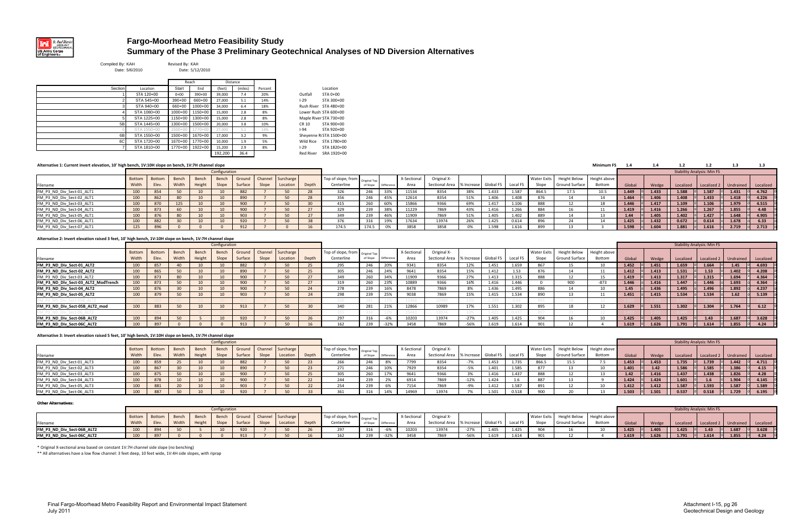

## **Fargo-Moorhead Metro Feasibility Study Summary of the Phase 3 Preliminary Geotechnical Analyses of ND Diversion Alternatives**

Compiled By: KAH Revised By: KAH Date: 5/6/2010

0 Date: 5/12/2010

|         |             |             | Reach       |          | Distance |         |                     |                |
|---------|-------------|-------------|-------------|----------|----------|---------|---------------------|----------------|
| Section | Location    | Start       | End         | (feet)   | (miles)  | Percent |                     | Location       |
|         | STA 120+00  | $0 + 00$    | $390+00$    | 39.000   | 7.4      | 20%     | Outfall             | STA 0+0        |
|         | STA 545+00  | $390+00$    | 660+00      | 27,000   | 5.1      | 14%     | $1 - 29$            | <b>STA 300</b> |
|         | STA 940+00  | 660+00      | $1000+00$   | 34.000   | 6.4      | 18%     | Rush River          | <b>STA 480</b> |
|         | STA 1080+00 | $1000+00$   | 1150+00     | 15.000   | 2.8      | 8%      | Lower Rush STA 600  |                |
|         | STA 1225+00 | 1150+00     | 1300+00     | 15,000   | 2.8      | 8%      | Maple River STA 730 |                |
| 5B      | STA 1445+00 | 1300+00     | 1500+00     | 20.000   | 3.8      | 10%     | CR 10               | <b>STA 900</b> |
|         | STA 1550+00 | $1500 + 00$ | $1770 + 00$ | 27,000   | 5.1      | 14%     | $1 - 94$            | <b>STA 920</b> |
| 6B      | STA 1550+00 | 1500+00     | 1670+00     | 17,000   | 3.2      | 9%      | Sheyenne RiSTA 150  |                |
| 6C      | STA 1720+00 | 1670+00     | 1770+00     | 10.000   | 1.9      | 5%      | Wild Rice           | <b>STA 178</b> |
|         | STA 1810+00 | 1770+00     | 1922+00     | 15.200   | 2.9      | 8%      | $1 - 29$            | <b>STA 182</b> |
|         |             |             |             | $\cdots$ | .        |         | - ---               | ------         |

Outfall STA 0+00 1-29 STA 300+00 Rush River STA 480+00 Lower Rush STA 600+00 Maple River STA 730+00 CR 10 STA 900+00 1-94 STA 920+00 1500+00 1670+00 17,000 3.2 9% Sheyenne RiSTA 1500+00 1670+00 1770+00 10,000 1.9 5% Wild Rice STA 1780+00 1-29 STA 1820+00 192,200 36.4 Red River SRA 1920+00

#### **Alternative**

| Alternative 1: Current invert elevation, 10' high bench, 1V:10H slope on bench, 1V:7H channel slope |        |        |       |       |               |           |       |                          |       |                                   |          |            |             |                                         |     |       |          |       |                                         | <b>Minimum FS</b> |        |       |           |                                   |                     |       |
|-----------------------------------------------------------------------------------------------------|--------|--------|-------|-------|---------------|-----------|-------|--------------------------|-------|-----------------------------------|----------|------------|-------------|-----------------------------------------|-----|-------|----------|-------|-----------------------------------------|-------------------|--------|-------|-----------|-----------------------------------|---------------------|-------|
|                                                                                                     |        |        |       |       | Configuration |           |       |                          |       |                                   |          |            |             |                                         |     |       |          |       |                                         |                   |        |       |           | <b>Stability Analysis: Min FS</b> |                     |       |
|                                                                                                     | Bottom | Bottom | Bench | Bench | Bench         |           |       | Ground Channel Surcharge |       | Top of slope, from original Top I |          |            | X-Sectional | Original X-                             |     |       |          |       | Water Exits Height Below   Height above |                   |        |       |           |                                   |                     |       |
| Filename                                                                                            | Width  | Elev.  | Widt  | Heigh | Slope         | Surface I | Slope | Location                 | Depth | Centerline                        | of Slope | Difference | Area        | Sectional Area   % Increase   Global FS |     |       | Local F. | Slope | Ground Surface                          | Bottom            | Global | Wedge | Localized | Localized 2                       | Undrained Localized |       |
| FM_P3_ND_Div_Sect-01_ALT1                                                                           | 100    | 854    |       |       |               | 882       |       | 50                       |       |                                   |          |            | 11534       | 3354                                    |     | 1.433 | 1.587    | 864.5 | L7.5                                    | 10.5              | 1.449  | 1.433 | 1.588     | 1.587                             | 1.431               | 4.762 |
| FM_P3_ND_Div_Sect-02_ALT1                                                                           | 100    | 862    |       |       |               | 890       |       | 50                       | 28    | 356                               |          |            | 12614       | 8354                                    |     | 1.406 | 1.408    | 876   |                                         |                   | 1.464  | 1.406 | 1.408     | 1.433                             | 1.418               | 4.226 |
| FM_P3_ND_Div_Sect-03_ALT1                                                                           | 100    | 870    |       | 10    |               | 900       |       | 50                       |       | 415                               | 200      |            | 15866       | 9366                                    |     | 1.417 | 1.106    | 888   |                                         | 18                | 1.446  | 1.417 | 1.109     | 1.106                             | 1.979               | 4.515 |
| FM_P3_ND_Div_Sect-04_ALT1                                                                           | 100    | 873    |       |       |               | 900       |       | 50                       |       | 329                               | 220      | 38%        | 11229       | 7869                                    | 43% | 1.416 | 1.266    | 884   |                                         | 11                | 1.419  | 1.416 | 1.266     | 1.267                             | 1.855               | 4.48  |
| FM_P3_ND_Div_Sect-05_ALT1                                                                           | 100    |        |       |       |               | 903       |       | 50                       |       |                                   |          |            | 11909       | 7869                                    |     | 1.405 | 1.402    |       |                                         |                   | 1.44   | 1.405 | 1.402     | 1.427                             | 1.648               | 4.905 |
| FM_P3_ND_Div_Sect-06_ALT1                                                                           | 100    | 882    |       | 10    |               | 920       |       | 50                       | 38    |                                   |          |            | 17634       | 13974                                   | 200 | 1.425 | 0.614    | 896   |                                         |                   | 1.425  | 1.432 | 0.672     | 0.614                             | 1.678               | 6.33  |
| FM_P3_ND_Div_Sect-07_ALT1                                                                           | 125    |        |       |       |               | 912       |       |                          |       | 174.5                             | 174.5    | በ%         | 3858        | 3858                                    |     | 1.598 | 1.616    |       |                                         |                   | 1.598  | 1.604 | 1.881     | 1.616                             | 2.719               | 2.713 |

#### **Alternative 2: Invert elevation raised 3 feet, 10' high bench, 1V:10H slope on bench, 1V:7H channel slope**

|                                     |        | Configuration<br>Botton<br>Channel Surcharge<br>Bench<br>Bench<br>Bench<br>Ground<br>Width<br>Slope<br>Elev.<br>Height<br>Slope<br>Location<br>Surface |    |  |                |     |  |    |              |                                 |          |           |             |                |                      |       |         |             |                           |               |        |       |           | <b>Stability Analysis: Min FS</b> |                                     |       |
|-------------------------------------|--------|--------------------------------------------------------------------------------------------------------------------------------------------------------|----|--|----------------|-----|--|----|--------------|---------------------------------|----------|-----------|-------------|----------------|----------------------|-------|---------|-------------|---------------------------|---------------|--------|-------|-----------|-----------------------------------|-------------------------------------|-------|
|                                     | Bottom |                                                                                                                                                        |    |  |                |     |  |    |              | Top of slope, from original Tor |          |           | X-Sectional | Original X-    |                      |       |         | Water Exits | Height Below Height above |               |        |       |           |                                   |                                     |       |
| Filename                            | Width  |                                                                                                                                                        |    |  |                |     |  |    | Depth        | Centerline                      | of Slope | Differenc | Area        | Sectional Area | % Increase Global FS |       | Local F | Slope       | Ground Surface            | <b>Bottom</b> | Global | Wedge | Localized |                                   | Localized 2   Undrained   Localized |       |
| FM_P3_ND_Div_Sect-01_ALT2           | 100    | 857                                                                                                                                                    |    |  |                | 882 |  | 50 | $\mathbf{a}$ | 295                             | 246      | 20%       | 9341        | 8354           |                      | 1.451 | 1.659   |             |                           | 10            | 1.452  | 1.451 | 1.659     | 1.664                             | 1.45                                | 4.693 |
| FM_P3_ND_Div_Sect-02_ALT2           | 100    | 865                                                                                                                                                    | 50 |  |                | 890 |  | 50 |              | 305                             | 246      | 24%       | 9641        | 8354           | 15%                  | 1.412 | 1.53    |             |                           |               | 1.412  | 1.413 | 1.531     | 1.53                              | 1.402                               | 4.208 |
| FM_P3_ND_Div_Sect-03_ALT2           | 100    | 873                                                                                                                                                    | 80 |  |                | 900 |  | 50 | $\sim$ $-$   | 349                             | 260      | 34%       | 11909       | 9366           | 270/                 | 1.413 | 1.315   | 888         |                           | 15            | 1.419  | 1.413 | 1.317     | 1.315                             | 1.694                               | 4.364 |
| FM_P3_ND_Div_Sect-03_ALT2_ModTrench | 100    | 873                                                                                                                                                    | 50 |  |                | 900 |  | 50 |              | 319                             | 260      | 23%       | 10889       | 9366           |                      | 1.416 | 1.446   |             | 900                       | $-873$        | 1.446  | 1.416 | 1.447     | 1.446                             | 1.693                               | 4.364 |
| FM_P3_ND_Div_Sect-04_ALT2           | 100    | 876                                                                                                                                                    | 30 |  |                | 900 |  | 50 |              | 278                             | 239      | 16%       | 8478        | 7869           | 0 <sup>0</sup>       | 1.436 | 1.495   | 886         |                           | 10            | 1.45   | 1.436 | 1.495     | 1.496                             | 1.892                               | 4.237 |
| FM_P3_ND_Div_Sect-05_ALT2           | 100    | 879                                                                                                                                                    | 50 |  | 1 <sub>0</sub> | 903 |  | 50 |              | 298                             | 239      | 25%       | 9038        | 7869           |                      | 1.415 | 1.534   | 890         |                           | A             | 1.451  | 1.415 | 1.534     | 1.534                             | 1.62                                | 5.139 |
|                                     |        |                                                                                                                                                        |    |  |                |     |  |    |              |                                 |          |           |             | 10989          |                      |       |         |             |                           |               |        |       |           |                                   |                                     |       |
| FM_P3_ND_Div_Sect-05B_ALT2_mod      | 100    | 883                                                                                                                                                    |    |  |                | 913 |  | 50 |              | 340                             | 281      | 21%       | 12866       | 10989          | 470/                 | 1.551 | 1.302   |             |                           | 12            | 1.629  | 1.551 | 1.302     | 1.304                             | 1.764                               | 6.12  |
|                                     |        |                                                                                                                                                        |    |  |                |     |  |    |              |                                 |          |           |             | 13974          |                      |       |         |             |                           |               |        |       |           |                                   |                                     |       |
| FM_P3_ND_Div_Sect-06B_ALT2          | 100    | 894                                                                                                                                                    | 50 |  | 1 <sub>0</sub> | 920 |  | 50 |              | 297                             | 316      | $-6%$     | 10203       | 13974          | 270/<br>$-2/70$      | 1.405 | 1.425   |             |                           | 10            | 1.425  | 1.405 | 1.425     | 1.43                              | 1.687                               | 3.628 |
| FM P3 ND Div Sect-06C ALT2          | 100    | 897                                                                                                                                                    |    |  |                | 913 |  | 50 |              | 162                             | 239      | 222       | 3458        | 7869           | $-56%$               | 1.619 | 1.614   | 001         |                           |               | 1.619  | 1.626 | 1.791     | 1.614                             | 1.855                               | 4.24  |

#### **Alternative 3: Invert elevation raised 5 feet, 10' high bench, 1V:10H slope on bench, 1V:7H channel slope**

|                           |               |       |       |        | Configuration |         |       |                          |       |                                                              |          |           |             |                                         |        |       |          |             |                           |        |        |       |           | <b>Stability Analysis: Min FS</b> |                                     |       |
|---------------------------|---------------|-------|-------|--------|---------------|---------|-------|--------------------------|-------|--------------------------------------------------------------|----------|-----------|-------------|-----------------------------------------|--------|-------|----------|-------------|---------------------------|--------|--------|-------|-----------|-----------------------------------|-------------------------------------|-------|
|                           | Bottom Bottom |       | Benc  | Bench  | Bench         |         |       | Ground Channel Surcharge |       | $\blacksquare$ Top of slope, from $\blacksquare$ Original To |          |           | X-Sectional | Original X-                             |        |       |          | Water Exits | Height Below Height above |        |        |       |           |                                   |                                     |       |
| Filename                  | Width         | Elev. | Width | Height | Slope         | Surface | Slope | Location                 | Depth | Centerline                                                   | of Slope | Differeno | Area        | Sectional Area   % Increase   Global FS |        |       | Local FS | Slope       | Ground Surface            | Bottom | Global | Wedge | Localized |                                   | Localized 2   Undrained   Localized |       |
| FM_P3_ND_Div_Sect-01_ALT3 |               | 859   |       |        |               |         |       | 50                       |       | 266                                                          |          |           | 7799        | 8354                                    |        | 1.453 | 1.735    | 866.5       | 15.5                      |        | 1.453  | 1.453 | 1.735     | 1.739                             | 1.442                               | 4.711 |
| FM_P3_ND_Div_Sect-02_ALT3 |               |       |       | 10     |               |         |       | 50                       |       | 271                                                          |          |           | 7929        | 8354                                    |        | 1.401 | 1.585    |             |                           |        | 1.401  |       | 1.586     | 1.585                             |                                     | 4.15  |
| FM_P3_ND_Div_Sect-03_ALT3 |               | 875   |       |        |               | 900     |       | 50                       |       | $\mathbf{a} \mathbf{a}$                                      |          |           | 9641        | 9366                                    |        | 1.416 | 1.437    | 888         |                           |        |        | 1.416 | 1.437     | 1.438                             | 1.826                               | 4.28  |
| FM_P3_ND_Div_Sect-04_ALT3 |               | 878   |       | 10     |               | 900     |       | 50                       |       | 244                                                          |          | 270       | 6914        | 7869                                    | $-12%$ | 1.424 |          |             |                           |        | 1.424  | 1.424 | 1.601     | 1.6                               | 1.904                               | 4.145 |
| FM_P3_ND_Div_Sect-05_ALT3 |               | 881   |       | 10     |               |         |       | 50                       |       | 254                                                          | 220      |           | 7154        | 7869                                    |        | 1.412 | 1.587    |             |                           | 10     | 1.412  | 1.412 | 1.587     | 1.593                             | 1.587                               | 1.589 |
| FM_P3_ND_Div_Sect-06_ALT3 | 100           | 887   |       | 10     |               | 920     |       | 50                       |       |                                                              |          |           | 14969       | 13974                                   |        | 1.501 | 0.518    | 900         |                           |        | 1.503  | 1.501 | 0.537     | 0.518                             | 1.729                               | 6.195 |

#### **Other Alternatives:**

|                            |               |       |       |        | Configuration |         |       |                                |       |                                        |          |        |             |                                         |        |       |          |              |                           |        |        |       |           | <b>Stability Analysis: Min FS</b>   |       |       |
|----------------------------|---------------|-------|-------|--------|---------------|---------|-------|--------------------------------|-------|----------------------------------------|----------|--------|-------------|-----------------------------------------|--------|-------|----------|--------------|---------------------------|--------|--------|-------|-----------|-------------------------------------|-------|-------|
|                            | Bottom Bottom |       | Bench | Bench  |               |         |       | Bench Ground Channel Surcharge |       | Top of slope, from <sub>Original</sub> |          |        | X-Sectional | Original X-                             |        |       |          | Water Exits  | Height Below Height above |        |        |       |           |                                     |       |       |
| Filename                   |               | Elev. | Width | Height | Slone         | Surface | Slope | Location                       | Depth | Centerline                             | of Slopi |        | Area        | Sectional Area   % Increase   Global FS |        |       | Local FS | <b>Slone</b> | <b>Ground Surface</b>     | Bottom | Global | Wedge | Localized | Localized 2   Undrained   Localized |       |       |
| FM_P3_ND_Div_Sect-06B_ALT2 | 100           | 894   |       |        | 10            | 920     |       |                                |       | 207                                    |          |        | 10203       | 13974                                   | $-27%$ | 1.405 | 1.425    |              |                           |        | 1.425  | 1.405 | 1.425     | 1.43                                | 1.687 | 3.628 |
| FM_P3_ND_Div_Sect-06C_ALT2 | 100           | 897   |       |        |               | 913     |       | $\Gamma$                       |       | 1C2                                    |          | $-32%$ | 3458        | 7869                                    | -56%   | 1.619 | 1.614    |              |                           |        | 1.619  | 1.626 | 1.791     | 1.614                               | 1.855 | 4.24  |

\* Original X‐sectional area based on constant 1V:7H channel side slope (no benching)

\*\* All alternatives have <sup>a</sup> low flow channel: 3 feet deep, 10 feet wide, 1V:4H side slopes, with riprap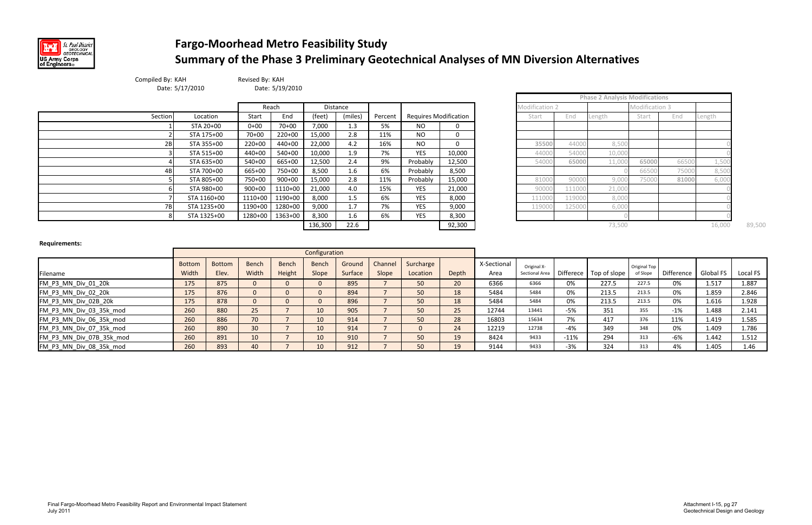

## **Fargo‐Moorhead Metro Feasibility Study Summary of the Phase 3 Preliminary Geotechnical Analyses of MN Diversion Alternatives**

|                |        | <b>Phase 2 Analysis Modifications</b> |                |       |        |
|----------------|--------|---------------------------------------|----------------|-------|--------|
| Modification 2 |        |                                       | Modification 3 |       |        |
| Start          | End    | Length                                | Start          | End   | Length |
|                |        |                                       |                |       |        |
|                |        |                                       |                |       |        |
| 35500          | 44000  | 8,500                                 |                |       |        |
| 44000          | 54000  | 10,000                                |                |       |        |
| 54000          | 65000  | 11,000                                | 65000          | 66500 | 1,500  |
|                |        |                                       | 66500          | 75000 | 8,500  |
| 81000          | 90000  | 9,000                                 | 75000          | 81000 | 6,000  |
| 90000          | 111000 | 21,000                                |                |       |        |
| 111000         | 119000 | 8,000                                 |                |       |        |
| 119000         | 125000 | 6,000                                 |                |       |        |
|                |        |                                       |                |       |        |

| Compiled By: KAH | Date: 5/17/2010 | Revised By: KAH | Date: 5/19/2010 |         |          |         |                              |          |                |        |                                       |                |                                                                 |        |  |  |  |
|------------------|-----------------|-----------------|-----------------|---------|----------|---------|------------------------------|----------|----------------|--------|---------------------------------------|----------------|-----------------------------------------------------------------|--------|--|--|--|
|                  |                 |                 |                 |         |          |         |                              |          |                |        | <b>Phase 2 Analysis Modifications</b> |                | End<br>Length<br>6650<br>1,50<br>7500<br>8,500<br>81000<br>6,00 |        |  |  |  |
|                  |                 |                 | Reach           |         | Distance |         |                              |          | Modification 2 |        |                                       | Modification 3 |                                                                 |        |  |  |  |
| Section          | Location        | Start           | End             | (feet)  | (miles)  | Percent | <b>Requires Modification</b> |          | Start          | End    | Length                                | Start          |                                                                 |        |  |  |  |
|                  | STA 20+00       | $0 + 00$        | $70 + 00$       | 7,000   | 1.3      | 5%      | <b>NO</b>                    | 0        |                |        |                                       |                |                                                                 |        |  |  |  |
|                  | STA 175+00      | $70 + 00$       | $220+00$        | 15,000  | 2.8      | 11%     | <b>NO</b>                    | $\Omega$ |                |        |                                       |                |                                                                 |        |  |  |  |
| 2B               | STA 355+00      | $220+00$        | 440+00          | 22,000  | 4.2      | 16%     | <b>NO</b>                    | $\Omega$ | 35500          | 44000  | 8,50                                  |                |                                                                 |        |  |  |  |
|                  | STA 515+00      | 440+00          | $540+00$        | 10,000  | 1.9      | 7%      | <b>YES</b>                   | 10,000   | 44000          | 54000  | 10,00                                 |                |                                                                 |        |  |  |  |
|                  | STA 635+00      | 540+00          | 665+00          | 12,500  | 2.4      | 9%      | Probably                     | 12,500   | 54000          | 65000  | 11,00                                 | 65000          |                                                                 |        |  |  |  |
|                  | STA 700+00      | 665+00          | 750+00          | 8,500   | 1.6      | 6%      | Probably                     | 8,500    |                |        |                                       | 6650           |                                                                 |        |  |  |  |
|                  | STA 805+00      | 750+00          | $900+00$        | 15,000  | 2.8      | 11%     | Probably                     | 15,000   | 81000          | 9000   | 9,00                                  | 7500           |                                                                 |        |  |  |  |
|                  | STA 980+00      | $900+00$        | 1110+00         | 21,000  | 4.0      | 15%     | <b>YES</b>                   | 21,000   | 90000          | 11100  | 21,00                                 |                |                                                                 |        |  |  |  |
|                  | STA 1160+00     | $1110+00$       | 1190+00         | 8,000   | 1.5      | 6%      | <b>YES</b>                   | 8,000    | 111000         | 11900  | 8,00                                  |                |                                                                 |        |  |  |  |
| 7BI              | STA 1235+00     | $1190+00$       | 1280+00         | 9,000   | 1.7      | 7%      | <b>YES</b>                   | 9,000    | 119000         | 125000 | 6,00                                  |                |                                                                 |        |  |  |  |
|                  | STA 1325+00     |                 | 1280+00 1363+00 | 8,300   | 1.6      | 6%      | <b>YES</b>                   | 8,300    |                |        |                                       |                |                                                                 |        |  |  |  |
|                  |                 |                 |                 | 136,300 | 22.6     |         |                              | 92,300   |                |        | 73,500                                |                |                                                                 | 16,000 |  |  |  |

**Requirements:**

|                          |                        |                        |                |                        | Configuration  |                   |                  |                       |       |                     |                               |           |              |                          |                      |       |          |
|--------------------------|------------------------|------------------------|----------------|------------------------|----------------|-------------------|------------------|-----------------------|-------|---------------------|-------------------------------|-----------|--------------|--------------------------|----------------------|-------|----------|
| Filename                 | <b>Bottom</b><br>Width | <b>Bottom</b><br>Elev. | Bench<br>Width | <b>Bench</b><br>Height | Bench<br>Slope | Ground<br>Surface | Channel<br>Slope | Surcharge<br>Location | Depth | X-Sectional<br>Area | Original X-<br>Sectional Area | Differece | Top of slope | Original Top<br>of Slope | Difference Global FS |       | Local FS |
| FM P3 MN Div 01 20k      | 175                    | 875                    |                |                        |                | 895               |                  | 50                    | 20    | 6366                | 6366                          | 0%        | 227.5        | 227.5                    | 0%                   | 1.517 | 1.887    |
| FM_P3_MN_Div_02_20k      | 175                    | 876                    |                |                        |                | 894               |                  | 50                    |       | 5484                | 5484                          | 0%        | 213.5        | 213.5                    | 0%                   | 1.859 | 2.846    |
| FM_P3_MN_Div_02B_20k     | 175                    | 878                    |                |                        |                | 896               |                  | 50                    |       | 5484                | 5484                          | 0%        | 213.5        | 213.5                    | 0%                   | 1.616 | 1.928    |
| FM_P3_MN_Div_03_35k_mod  | 260                    | 880                    | 25             |                        | 10             | 905               |                  | 50                    | 25    | 12744               | 13441                         | -5%       | 351          | 355                      | $-1%$                | 1.488 | 2.141    |
| FM_P3_MN_Div_06_35k_mod  | 260                    | 886                    | 70             |                        |                | 914               |                  | 50                    | 28    | 16803               | 15634                         | 7%        | 417          | 376                      | 11%                  | 1.419 | 1.585    |
| FM_P3_MN_Div_07_35k_mod  | 260                    | 890                    | 30             |                        |                | 914               |                  |                       | 24    | 12219               | 12738                         | $-4%$     | 349          | 348                      | 0%                   | 1.409 | 1.786    |
| FM_P3_MN_Div_07B_35k_mod | 260                    | 891                    | 10             |                        |                | 910               |                  | 50                    |       | 8424                | 9433                          | $-11%$    | 294          | 313                      | $-6%$                | 1.442 | 1.512    |
| FM_P3_MN_Div_08_35k_mod  | 260                    | 893                    | 40             |                        | 10             | 912               |                  | 50                    |       | 9144                | 9433                          | $-3%$     | 324          | 313                      | 4%                   | 1.405 | 1.46     |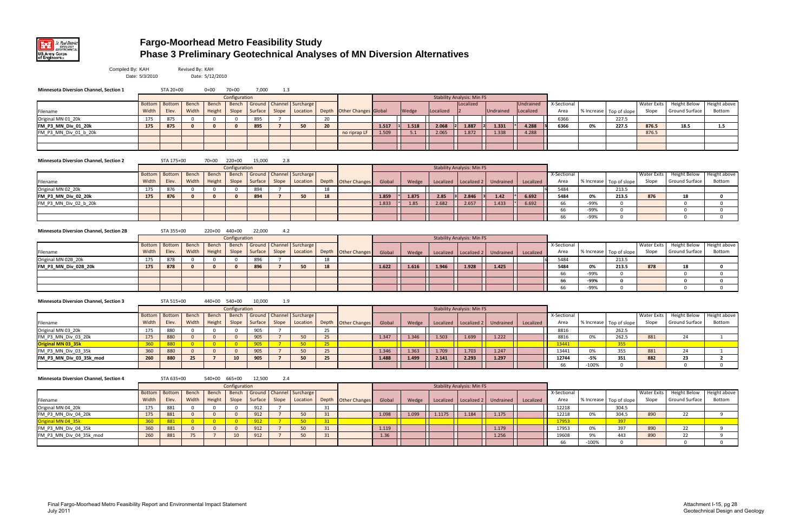

## **Fargo-Moorhead Metro Feasibility Study Phase 3 Preliminary Geotechnical Analyses of MN Diversion Alternatives**

| Compiled By: KAH                               | Date: 5/3/2010         |                        | Revised By: KAH | Date: 5/12/2010 |                         |         |                 |                                          |    |                            |        |       |           |                                   |           |                        |                     |            |              |                             |                                              |                        |
|------------------------------------------------|------------------------|------------------------|-----------------|-----------------|-------------------------|---------|-----------------|------------------------------------------|----|----------------------------|--------|-------|-----------|-----------------------------------|-----------|------------------------|---------------------|------------|--------------|-----------------------------|----------------------------------------------|------------------------|
| <b>Minnesota Diversion Channel, Section 1</b>  |                        | STA 20+00              |                 | $0 + 00$        | 70+00                   | 7,000   | 1.3             |                                          |    |                            |        |       |           |                                   |           |                        |                     |            |              |                             |                                              |                        |
|                                                |                        |                        |                 |                 | Configuration           |         |                 |                                          |    |                            |        |       |           | <b>Stability Analysis: Min FS</b> |           |                        |                     |            |              |                             |                                              |                        |
| Filename                                       | <b>Bottom</b><br>Width | <b>Bottom</b><br>Elev. | Bench<br>Width  | Bench<br>Height | Bench<br>Slope          | Surface | Slope           | Ground   Channel   Surcharge<br>Location |    | Depth Other Changes Global |        | Wedge | Localized | Localized                         | Undrained | Undrained<br>.ocalized | X-Sectional<br>Area | % Increase | Top of slope | <b>Water Exits</b><br>Slope | <b>Height Below</b><br>Ground Surface        | Height above<br>Bottom |
| Original MN 01_20k                             | 175                    | 875                    | 0               | 0               | $\mathbf{0}$            | 895     |                 |                                          | 20 |                            |        |       |           |                                   |           |                        | 6366                |            | 227.5        |                             |                                              |                        |
| FM_P3_MN_Div_01_20k                            | 175                    | 875                    | $\mathbf{0}$    | $\mathbf{0}$    | $\mathbf{0}$            | 895     | $\overline{7}$  | 50                                       | 20 |                            | 1.517  | 1.518 | 2.068     | 1.887                             | 1.331     | 4.288                  | 6366                | 0%         | 227.5        | 876.5                       | 18.5                                         | 1.5                    |
| FM_P3_MN_Div_01_b_20k                          |                        |                        |                 |                 |                         |         |                 |                                          |    | no riprap LF               | 1.509  | 5.1   | 2.065     | 1.872                             | 1.338     | 4.288                  |                     |            |              | 876.5                       |                                              |                        |
|                                                |                        |                        |                 |                 |                         |         |                 |                                          |    |                            |        |       |           |                                   |           |                        |                     |            |              |                             |                                              |                        |
|                                                |                        |                        |                 |                 |                         |         |                 |                                          |    |                            |        |       |           |                                   |           |                        |                     |            |              |                             |                                              |                        |
| <b>Minnesota Diversion Channel, Section 2</b>  |                        | STA 175+00             |                 | 70+00           | 220+00<br>Configuration | 15,000  | 2.8             |                                          |    |                            |        |       |           | <b>Stability Analysis: Min FS</b> |           |                        |                     |            |              |                             |                                              |                        |
|                                                | <b>Bottom</b>          | Bottom                 | Bench           | Bench           | Bench                   |         |                 | Ground   Channel   Surcharge             |    |                            |        |       |           |                                   |           |                        | X-Sectional         |            |              | Water Exits                 | <b>Height Below</b>                          | Height above           |
| Filename                                       | Width                  | Elev.                  | Width           | Height          | Slope                   | Surface | Slope           | Location                                 |    | Depth <b>Other Changes</b> | Global | Wedge |           | Localized   Localized 2           | Undrained | Localized              | Area                | % Increase | Top of slope | Slope                       | Ground Surface                               | Bottom                 |
| Original MN 02_20k                             | 175                    | 876                    | $\mathbf 0$     | $\mathbf 0$     | $\mathbf{0}$            | 894     | 7               |                                          | 18 |                            |        |       |           |                                   |           |                        | 5484                |            | 213.5        |                             |                                              |                        |
| FM_P3_MN_Div_02_20k                            | 175                    | 876                    | $\mathbf{0}$    | $\mathbf{0}$    | $\mathbf{0}$            | 894     | $\overline{7}$  | 50                                       | 18 |                            | 1.859  | 1.875 | 2.85      | 2.846                             | 1.42      | 6.692                  | 5484                | 0%         | 213.5        | 876                         | 18                                           | $\mathbf 0$            |
| FM P3 MN Div 02 b 20k                          |                        |                        |                 |                 |                         |         |                 |                                          |    |                            | 1.833  | 1.85  | 2.682     | 2.657                             | 1.433     | 6.692                  | 66                  | -99%       | $\mathbf 0$  |                             | $\mathbf{0}$                                 | $\mathbf{0}$           |
|                                                |                        |                        |                 |                 |                         |         |                 |                                          |    |                            |        |       |           |                                   |           |                        | 66                  | -99%       | $\mathbf 0$  |                             | $\mathbf 0$                                  | $\mathbf 0$            |
|                                                |                        |                        |                 |                 |                         |         |                 |                                          |    |                            |        |       |           |                                   |           |                        | 66                  | -99%       | $\mathbf 0$  |                             | $\Omega$                                     | $\mathbf{0}$           |
| <b>Minnesota Diversion Channel, Section 2B</b> |                        | STA 355+00             |                 | 220+00 440+00   |                         | 22,000  | 4.2             |                                          |    |                            |        |       |           |                                   |           |                        |                     |            |              |                             |                                              |                        |
|                                                |                        |                        |                 |                 | Configuration           |         |                 |                                          |    |                            |        |       |           | <b>Stability Analysis: Min FS</b> |           |                        |                     |            |              |                             |                                              |                        |
|                                                | <b>Bottom</b>          | <b>Bottom</b>          | Bench           | Bench           | <b>Bench</b>            |         |                 | Ground   Channel   Surcharge             |    |                            |        |       |           |                                   |           |                        | X-Sectional         |            |              | Water Exits                 | <b>Height Below</b>                          | Height above           |
| Filename                                       | Width                  | Elev.                  | Width           | Height          | Slope                   | Surface | Slope           | Location                                 |    | Depth Other Changes        | Global | Wedge |           | Localized   Localized 2           | Undrained | Localized              | Area                | % Increase | Top of slope | Slope                       | Ground Surface                               | Bottom                 |
| Original MN 02B_20k                            | 175                    | 878                    | 0               | $\mathbf 0$     | $\mathbf 0$             | 896     |                 |                                          | 18 |                            |        |       |           |                                   |           |                        | 5484                |            | 213.5        |                             |                                              |                        |
| FM_P3_MN_Div_02B_20k                           | 175                    | 878                    | $\Omega$        | $\mathbf{0}$    | $\mathbf{0}$            | 896     | $\overline{7}$  | 50                                       | 18 |                            | 1.622  | 1.616 | 1.946     | 1.928                             | 1.425     |                        | 5484                | 0%         | 213.5        | 878                         | 18                                           | $\mathbf 0$            |
|                                                |                        |                        |                 |                 |                         |         |                 |                                          |    |                            |        |       |           |                                   |           |                        | 66                  | -99%       | $\mathbf 0$  |                             | $\Omega$                                     | $\mathbf{0}$           |
|                                                |                        |                        |                 |                 |                         |         |                 |                                          |    |                            |        |       |           |                                   |           |                        | 66                  | -99%       | $\bf{0}$     |                             | $\mathbf{0}$                                 | $\mathbf{0}$           |
|                                                |                        |                        |                 |                 |                         |         |                 |                                          |    |                            |        |       |           |                                   |           |                        | 66                  | -99%       | $\Omega$     |                             | $\Omega$                                     | $\mathbf{0}$           |
| <b>Minnesota Diversion Channel, Section 3</b>  |                        | STA 515+00             |                 | 440+00 540+00   | Configuration           | 10,000  | 1.9             |                                          |    |                            |        |       |           | <b>Stability Analysis: Min FS</b> |           |                        |                     |            |              |                             |                                              |                        |
|                                                | <b>Bottom</b>          | Bottom                 | Bench           | Bench           | <b>Bench</b>            |         |                 | Ground   Channel   Surcharge             |    |                            |        |       |           |                                   |           |                        | X-Sectional         |            |              | Water Exits                 | <b>Height Below</b>                          | Height above           |
| Filename                                       | Width                  | Elev.                  | Width           | Height          | Slope                   | Surface | Slope           | Location                                 |    | Depth Other Changes        | Global | Wedge |           | Localized   Localized 2           | Undrained | Localized              | Area                | % Increase | Top of slope | Slope                       | Ground Surface                               | Bottom                 |
| Original MN 03_20k                             | 175                    | 880                    | 0               | $\mathbf 0$     | $\overline{0}$          | 905     | 7               |                                          | 25 |                            |        |       |           |                                   |           |                        | 8816                |            | 262.5        |                             |                                              |                        |
| FM_P3_MN_Div_03_20k                            | 175                    | 880                    | $\overline{0}$  | $\overline{0}$  | $\mathbf{0}$            | 905     | $\overline{7}$  | 50                                       | 25 |                            | 1.347  | 1.346 | 1.503     | 1.699                             | 1.222     |                        | 8816                | 0%         | 262.5        | 881                         | 24                                           | 1                      |
| Original MN 03_35k                             | 360                    | 880                    | $\overline{0}$  | $\overline{0}$  | $\overline{0}$          | 905     | $7^{\circ}$     | 50 <sub>2</sub>                          | 25 |                            |        |       |           |                                   |           |                        | 13441               |            | 355          |                             |                                              |                        |
| FM_P3_MN_Div_03_35k                            | 360                    | 880                    | $\Omega$        | $\overline{0}$  | $\mathbf{0}$            | 905     | $\overline{7}$  | 50                                       | 25 |                            | 1.346  | 1.363 | 1.709     | 1.703                             | 1.247     |                        | 13441               | 0%         | 355          | 881                         | 24                                           | 1                      |
| FM_P3_MN_Div_03_35k_mod                        | 260                    | 880                    | 25              | $\overline{7}$  | 10                      | 905     | $\overline{7}$  | 50                                       | 25 |                            | 1.488  | 1.499 | 2.141     | 2.293                             | 1.297     |                        | 12744               | -5%        | 351          | 882                         | 23                                           | $\overline{2}$         |
|                                                |                        |                        |                 |                 |                         |         |                 |                                          |    |                            |        |       |           |                                   |           |                        | 66                  | $-100%$    | $\Omega$     |                             | $\mathbf 0$                                  | $\mathbf{0}$           |
| <b>Minnesota Diversion Channel, Section 4</b>  |                        | STA 635+00             |                 | 540+00 665+00   |                         | 12,500  | 2.4             |                                          |    |                            |        |       |           |                                   |           |                        |                     |            |              |                             |                                              |                        |
|                                                |                        |                        |                 |                 | Configuration           |         |                 |                                          |    |                            |        |       |           | <b>Stability Analysis: Min FS</b> |           |                        |                     |            |              |                             |                                              |                        |
| Filename                                       | <b>Bottom</b><br>Width | Bottom<br>Elev.        | Bench<br>Width  | Bench<br>Height | Bench<br>Slope          | Surface | Slope           | Ground   Channel   Surcharge<br>Location |    | Depth Other Changes        | Global | Wedge |           | Localized   Localized 2           | Undrained | Localized              | X-Sectional<br>Area | % Increase | Top of slope | Water Exits<br>Slope        | <b>Height Below</b><br><b>Ground Surface</b> | Height above<br>Bottom |
| Original MN 04_20k                             | 175                    | 881                    | $\mathbf 0$     | $\mathbf{0}$    | $\overline{0}$          | 912     | $\overline{7}$  |                                          | 31 |                            |        |       |           |                                   |           |                        | 12218               |            | 304.5        |                             |                                              |                        |
| FM_P3_MN_Div_04_20k                            | 175                    | 881                    | $\mathbf{0}$    | $\mathbf{0}$    | $\mathbf{0}$            | 912     | $7\overline{ }$ | 50                                       | 31 |                            | 1.098  | 1.099 | 1.1175    | 1.184                             | 1.175     |                        | 12218               | 0%         | 304.5        | 890                         | 22                                           | 9                      |
| Original MN 04_35k<br>FM_P3_MN_Div_04_35k      | 360                    | 881                    | $\overline{0}$  | $\overline{0}$  | $\overline{0}$          | 912     | $7^{\circ}$     | 50 <sub>2</sub>                          | 31 |                            |        |       |           |                                   |           |                        | 17953               |            | 397          |                             |                                              |                        |
|                                                | 360                    | 881                    | $\mathbf{0}$    | $\overline{0}$  | $\mathbf{0}$            | 912     | $7\overline{ }$ | 50                                       | 31 |                            | 1.119  |       |           |                                   | 1.179     |                        | 17953               | 0%         | 397          | 890                         | 22                                           | 9                      |
| FM P3_MN_Div_04_35k_mod                        | 260                    | 881                    | 75              | $\overline{7}$  | 10                      | 912     | $7\overline{ }$ | 50                                       | 31 |                            | 1.36   |       |           |                                   | 1.256     |                        | 19608               | 9%         | 443          | 890                         | 22                                           | 9                      |
|                                                |                        |                        |                 |                 |                         |         |                 |                                          |    |                            |        |       |           |                                   |           |                        | 66                  | $-100%$    | $\mathbf 0$  |                             | $\mathbf 0$                                  | $\mathbf 0$            |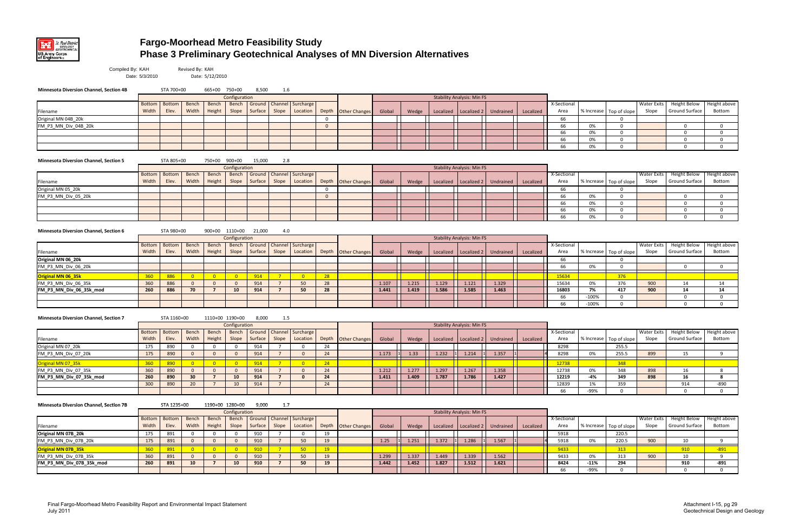

## **Fargo-Moorhead Metro Feasibility Study Phase 3 Preliminary Geotechnical Analyses of MN Diversion Alternatives**

| ctional |            |              | <b>Water Exits</b> | <b>Height Below</b> | Height above |
|---------|------------|--------------|--------------------|---------------------|--------------|
| rea     | % Increase | Top of slope | Slope              | Ground Surface      | Bottom       |
| 66      |            |              |                    |                     |              |
| 66      | 0%         |              |                    |                     |              |
| 66      | 0%         |              |                    |                     |              |
| 66      | 0%         |              |                    |                     |              |
| 66      | 0%         |              |                    |                     |              |

| ctional |            |              | <b>Water Exits</b> | <b>Height Below</b> | Height above |
|---------|------------|--------------|--------------------|---------------------|--------------|
| rea     | % Increase | Top of slope | Slope              | Ground Surface      | Bottom       |
| 66      |            |              |                    |                     |              |
| 66      | 0%         |              |                    |                     |              |
| 66      | 0%         |              |                    |                     |              |
| 66      | 0%         |              |                    |                     |              |
| 66      | 0%         |              |                    |                     |              |

| tional |            |              | <b>Water Exits</b> | <b>Height Below</b> | Height above  |
|--------|------------|--------------|--------------------|---------------------|---------------|
| ea     | % Increase | Top of slope | Slope              | Ground Surface      | <b>Bottom</b> |
| 6      |            |              |                    |                     |               |
| 6      | 0%         |              |                    |                     |               |
|        |            |              |                    |                     |               |
| 534    |            | 376          |                    |                     |               |
| 534    | 0%         | 376          | 900                | 14                  | 14            |
| 303    | 7%         | 417          | 900                | 14                  | 14            |
| 6      | $-100%$    | O            |                    | 0                   |               |
| 6      | $-100%$    |              |                    |                     |               |

| Compiled By: KAH                               | Date: 5/3/2010         |                 | Revised By: KAH         | Date: 5/12/2010 |                               |                   |                  |                               |              |                            |        |       |           |                                   |           |           |                     |            |                         |                             |                                |                          |
|------------------------------------------------|------------------------|-----------------|-------------------------|-----------------|-------------------------------|-------------------|------------------|-------------------------------|--------------|----------------------------|--------|-------|-----------|-----------------------------------|-----------|-----------|---------------------|------------|-------------------------|-----------------------------|--------------------------------|--------------------------|
| <b>Minnesota Diversion Channel, Section 4B</b> |                        | STA 700+00      |                         | 665+00 750+00   |                               | 8,500             | 1.6              |                               |              |                            |        |       |           |                                   |           |           |                     |            |                         |                             |                                |                          |
|                                                |                        |                 |                         |                 | Configuration                 |                   |                  |                               |              |                            |        |       |           | <b>Stability Analysis: Min FS</b> |           |           |                     |            |                         |                             |                                |                          |
| Filename                                       | <b>Bottom</b><br>Width | Bottom<br>Elev. | Bench<br>Width          | Bench<br>Height | Bench<br>Slope                | Ground<br>Surface | Channel<br>Slope | Surcharge<br>Location         |              | Depth Other Changes        | Global | Wedge | Localized | Localized 2                       | Undrained | Localized | X-Sectional<br>Area |            | % Increase Top of slope | <b>Water Exits</b><br>Slope | Height Below<br>Ground Surface | Height a<br>Botto        |
| Original MN 04B 20k                            |                        |                 |                         |                 |                               |                   |                  |                               | $\mathbf 0$  |                            |        |       |           |                                   |           |           | 66                  |            | 0                       |                             |                                |                          |
| FM_P3_MN_Div_04B_20k                           |                        |                 |                         |                 |                               |                   |                  |                               | $\Omega$     |                            |        |       |           |                                   |           |           | 66                  | 0%         | $\Omega$                |                             | $\mathbf 0$                    | $\mathbf 0$              |
|                                                |                        |                 |                         |                 |                               |                   |                  |                               |              |                            |        |       |           |                                   |           |           | 66                  | 0%         | $\Omega$                |                             | $\mathbf 0$                    | $\mathbf 0$              |
|                                                |                        |                 |                         |                 |                               |                   |                  |                               |              |                            |        |       |           |                                   |           |           | 66                  | 0%         | $\Omega$                |                             | $\mathbf 0$                    | $\mathbf 0$              |
|                                                |                        |                 |                         |                 |                               |                   |                  |                               |              |                            |        |       |           |                                   |           |           | 66                  | 0%         | $\Omega$                |                             | $\mathbf 0$                    | $\mathbf{0}$             |
| <b>Minnesota Diversion Channel, Section 5</b>  |                        | STA 805+00      |                         | 750+00          | 900+00                        | 15,000            | 2.8              |                               |              |                            |        |       |           |                                   |           |           |                     |            |                         |                             |                                |                          |
|                                                |                        |                 |                         |                 | Configuration                 |                   |                  |                               |              |                            |        |       |           | <b>Stability Analysis: Min FS</b> |           |           |                     |            |                         |                             |                                |                          |
| Filename                                       | <b>Bottom</b><br>Width | Bottom<br>Elev. | Bench<br>Width          | Bench<br>Height | Bench<br>Slope                | Ground<br>Surface | Slope            | Channel Surcharge<br>Location |              | Depth <b>Other Changes</b> | Global | Wedge | Localized | Localized 2                       | Undrained | Localized | X-Sectional<br>Area |            | % Increase Top of slope | Water Exits<br>Slope        | Height Below<br>Ground Surface | Height a<br>Botto        |
| Original MN 05_20k                             |                        |                 |                         |                 |                               |                   |                  |                               | $\mathbf{0}$ |                            |        |       |           |                                   |           |           | 66                  |            | 0                       |                             |                                |                          |
| FM P3 MN Div 05 20k                            |                        |                 |                         |                 |                               |                   |                  |                               | $\mathbf{0}$ |                            |        |       |           |                                   |           |           | 66                  | 0%         | $\Omega$                |                             | $\mathbf 0$                    | $\mathbf 0$              |
|                                                |                        |                 |                         |                 |                               |                   |                  |                               |              |                            |        |       |           |                                   |           |           | 66                  | 0%         | $\Omega$                |                             | $\mathbf 0$                    | $\mathbf 0$              |
|                                                |                        |                 |                         |                 |                               |                   |                  |                               |              |                            |        |       |           |                                   |           |           | 66                  | 0%         | $\mathbf 0$             |                             | $\mathbf 0$                    | $\mathbf 0$              |
|                                                |                        |                 |                         |                 |                               |                   |                  |                               |              |                            |        |       |           |                                   |           |           | 66                  | 0%         | $\Omega$                |                             | $\Omega$                       | $\mathbf{0}$             |
|                                                |                        |                 |                         |                 |                               |                   |                  |                               |              |                            |        |       |           |                                   |           |           |                     |            |                         |                             |                                |                          |
| <b>Minnesota Diversion Channel, Section 6</b>  |                        | STA 980+00      |                         |                 | 900+00 1110+00                | 21,000            | 4.0              |                               |              |                            |        |       |           | <b>Stability Analysis: Min FS</b> |           |           |                     |            |                         |                             |                                |                          |
|                                                | <b>Bottom</b>          | <b>Bottom</b>   | Bench                   | Bench           | Configuration<br><b>Bench</b> | Ground            |                  | Channel Surcharge             |              |                            |        |       |           |                                   |           |           | X-Sectional         |            |                         | <b>Water Exits</b>          | Height Below                   | Height a                 |
| Filename                                       | Width                  | Elev.           | Width                   | Height          | Slope                         | Surface           | Slope            | Location                      |              | Depth Other Changes        | Global | Wedge | Localized | Localized 2                       | Undrained | Localized | Area                |            | % Increase Top of slope | Slope                       | <b>Ground Surface</b>          | Botto                    |
| Original MN 06 20k                             |                        |                 |                         |                 |                               |                   |                  |                               |              |                            |        |       |           |                                   |           |           | 66                  |            | 0                       |                             |                                |                          |
| FM P3 MN Div 06 20k                            |                        |                 |                         |                 |                               |                   |                  |                               |              |                            |        |       |           |                                   |           |           | 66                  | 0%         | $\Omega$                |                             | $\mathbf 0$                    | $\mathbf{0}$             |
| Original MN 06 35k                             | 360                    | 886             | $\overline{\mathbf{0}}$ | $\overline{0}$  | $\overline{\mathbf{0}}$       | 914               | $7^{\circ}$      | $\overline{0}$                | 28           |                            |        |       |           |                                   |           |           | 15634               |            | 376                     |                             |                                |                          |
| FM P3 MN Div 06 35k                            | 360                    | 886             | $\Omega$                | $\mathbf{0}$    | $\mathbf{0}$                  | 914               | $\overline{7}$   | 50                            | 28           |                            | 1.107  | 1.215 | 1.129     | 1.121                             | 1.329     |           | 15634               | 0%         | 376                     | 900                         | 14                             | 14                       |
| FM P3 MN Div 06 35k mod                        | 260                    | 886             | 70                      | $\overline{7}$  | 10                            | 914               | $\overline{7}$   | 50                            | 28           |                            | 1.441  | 1.419 | 1.586     | 1.585                             | 1.463     |           | 16803               | 7%         | 417                     | 900                         | 14                             | 14                       |
|                                                |                        |                 |                         |                 |                               |                   |                  |                               |              |                            |        |       |           |                                   |           |           | 66                  | $-100%$    | $\Omega$                |                             | $\mathbf 0$                    | $\mathbf 0$              |
|                                                |                        |                 |                         |                 |                               |                   |                  |                               |              |                            |        |       |           |                                   |           |           | 66                  | $-100%$    | $\Omega$                |                             | $\mathbf 0$                    | $\mathbf 0$              |
| <b>Minnesota Diversion Channel, Section 7</b>  |                        | STA 1160+00     |                         | 1110+00 1190+00 |                               | 8,000             | 1.5              |                               |              |                            |        |       |           |                                   |           |           |                     |            |                         |                             |                                |                          |
|                                                |                        |                 |                         |                 | Configuration                 |                   |                  |                               |              |                            |        |       |           | <b>Stability Analysis: Min FS</b> |           |           |                     |            |                         |                             |                                |                          |
|                                                | <b>Bottom</b>          | <b>Bottom</b>   | Bench                   | Bench           | Bench                         | Ground            |                  | Channel Surcharge             |              |                            |        |       |           |                                   |           |           | X-Sectional         |            |                         | Water Exits                 | <b>Height Below</b>            | Height a                 |
| Filename                                       | Width                  | Elev.           | Width                   | Height          | Slope                         | Surface           | Slope            | Location                      |              | Depth <b>Other Changes</b> | Global | Wedge | Localized | Localized 2                       | Undrained | Localized | Area                |            | % Increase Top of slope | Slope                       | Ground Surface                 | Botto                    |
| Original MN 07 20k                             | 175                    | 890             | 0                       | 0               | $\mathbf 0$                   | 914               | 7                | $\mathbf 0$                   | 24           |                            |        |       |           |                                   |           |           | 8298                |            | 255.5                   |                             |                                |                          |
| FM P3 MN Div 07 20k                            | 175                    | 890             | $\Omega$                | $\mathbf{0}$    | $\Omega$                      | 914               | $\overline{7}$   | $\Omega$                      | 24           |                            | 1.173  | 1.33  | 1.232     | 1.214                             | 1.357     |           | 8298                | 0%         | 255.5                   | 899                         | 15                             | 9                        |
| Original MN 07_35k                             | 360                    | 890             | $\overline{0}$          | $\overline{0}$  | $\overline{\phantom{0}}$      | 914               | $7^{\circ}$      | $\overline{\mathbf{0}}$       | 24           |                            |        |       |           |                                   |           |           | 12738               |            | 348                     |                             |                                |                          |
| FM P3 MN Div 07 35k                            | 360                    | 890             | $\mathbf{0}$            | $\mathbf{0}$    | $\overline{0}$                | 914               | $7^{\circ}$      | $\mathbf{0}$                  | 24           |                            | 1.212  | 1.277 | 1.297     | 1.267                             | 1.358     |           | 12738               | 0%         | 348                     | 898                         | 16                             | 8                        |
| FM P3 MN Div 07 35k mod                        | 260                    | 890             | 30                      | $\overline{7}$  | 10                            | 914               | $\overline{7}$   | $\mathbf{0}$                  | 24           |                            | 1.411  | 1.409 | 1.787     | 1.786                             | 1.427     |           | 12219               | -4%        | 349                     | 898                         | 16                             | 8                        |
|                                                | 300                    | 890             | 20                      | $\overline{7}$  | 10                            | 914               | $7\overline{ }$  |                               | 24           |                            |        |       |           |                                   |           |           | 12839<br>66         | 1%<br>-99% | 359<br>$\mathbf 0$      |                             | 914<br>$\mathbf 0$             | $-890$<br>$\overline{0}$ |
|                                                |                        |                 |                         |                 |                               |                   |                  |                               |              |                            |        |       |           |                                   |           |           |                     |            |                         |                             |                                |                          |
| <b>Minnesota Diversion Channel, Section 7B</b> |                        | STA 1235+00     |                         | 1190+00 1280+00 |                               | 9,000             | 1.7              |                               |              |                            |        |       |           |                                   |           |           |                     |            |                         |                             |                                |                          |
|                                                | <b>Bottom</b>          | Bottom          | Bench                   | Bench           | Configuration<br>Bench        | Ground            | Channel          | Surcharge                     |              |                            |        |       |           | <b>Stability Analysis: Min FS</b> |           |           | X-Sectional         |            |                         | <b>Water Exits</b>          | <b>Height Below</b>            | Height a                 |
| Filename                                       | Width                  | Elev.           | Width                   | Height          | Slope                         | Surface           | Slope            | Location                      |              | Depth <b>Other Changes</b> | Global | Wedge | Localized | Localized 2                       | Undrained | Localized | Area                | % Increase | Top of slope            | Slope                       | Ground Surface                 | Botto                    |
| Original MN 07B 20k                            | 175                    | 891             | 0                       | $\mathbf 0$     | $\overline{0}$                | 910               | $\overline{7}$   | $\mathbf 0$                   | 19           |                            |        |       |           |                                   |           |           | 5918                |            | 220.5                   |                             |                                |                          |
| FM P3 MN Div 07B 20k                           | 175                    | 891             | $\mathbf{0}$            | $\mathbf{0}$    | $\overline{0}$                | 910               | $7\overline{ }$  | 50                            | 19           |                            | 1.25   | 1.251 | 1.372     | 1.286                             | 1.567     |           | 5918                | 0%         | 220.5                   | 900                         | 10                             | 9                        |
| Original MN 07B 35k                            | <b>360</b>             | 891             | $\overline{0}$          | $\overline{0}$  | $\overline{\phantom{0}}$ 0    | 910               | $\overline{7}$   | 50 <sub>1</sub>               | 19           |                            |        |       |           |                                   |           |           | 9433                |            | 313                     |                             | 910                            | $-891$                   |
| FM P3 MN Div 07B 35k                           | 360                    | 891             | $\mathbf{0}$            | $\mathbf{0}$    | $\overline{0}$                | 910               | $\overline{7}$   | 50                            | 19           |                            | 1.299  | 1.337 | 1.449     | 1.339                             | 1.562     |           | 9433                | 0%         | 313                     | 900                         | 10                             | 9                        |
| FM P3 MN Div 07B 35k mod                       | 260                    | 891             | 10                      | $\overline{7}$  | 10                            | 910               | $\overline{7}$   | 50                            | 19           |                            | 1.442  | 1.452 | 1.827     | 1.512                             | 1.621     |           | 8424                | $-11%$     | 294                     |                             | 910                            | $-891$                   |
|                                                |                        |                 |                         |                 |                               |                   |                  |                               |              |                            |        |       |           |                                   |           |           | 66                  | $-99%$     |                         |                             | $\Omega$                       | $\overline{0}$           |

| tional |            |              | <b>Water Exits</b> | <b>Height Below</b>   | Height above  |
|--------|------------|--------------|--------------------|-----------------------|---------------|
| ea     | % Increase | Top of slope | Slope              | <b>Ground Surface</b> | <b>Bottom</b> |
| 98     |            | 255.5        |                    |                       |               |
| 98     | 0%         | 255.5        | 899                | 15                    | 9             |
|        |            |              |                    |                       |               |
| 738    |            | 348          |                    |                       |               |
| 738    | 0%         | 348          | 898                | 16                    | 8             |
| 219    | -4%        | 349          | 898                | 16                    | 8             |
| 339    | 1%         | 359          |                    | 914                   | $-890$        |
| 6      | $-99%$     |              |                    |                       |               |

| tional |            |              | <b>Water Exits</b> | <b>Height Below</b> | Height above |
|--------|------------|--------------|--------------------|---------------------|--------------|
| ea     | % Increase | Top of slope | Slope              | Ground Surface      | Bottom       |
| 18     |            | 220.5        |                    |                     |              |
| 18     | 0%         | 220.5        | 900                | 10                  |              |
| 33     |            | 313          |                    | 910                 | $-891$       |
| 33     | 0%         | 313          | 900                | 10                  |              |
| 24     | $-11%$     | 294          |                    | 910                 | $-891$       |
| 6      | -99%       |              |                    |                     |              |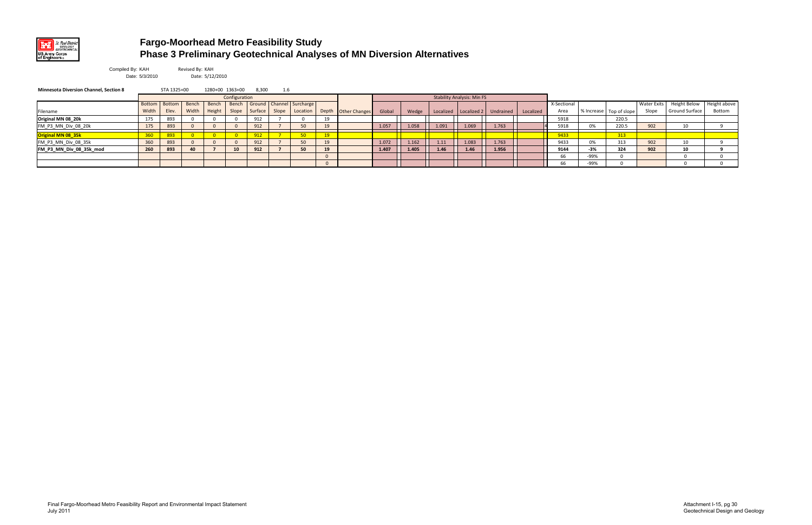

## **Fargo-Moorhead Metro Feasibility Study Phase 3 Preliminary Geotechnical Analyses of MN Diversion Alternatives**

Revised By: KAH Date: 5/12/2010

| Compiled By: KAH |                |
|------------------|----------------|
|                  | Date: 5/3/2010 |

| <b>Minnesota Diversion Channel, Section 8</b> |       | STA 1325+00     |       | 1280+00 1363+00 |               | 8,300   | 1.6   |                                      |    |                     |        |       |           |                                   |                       |           |             |       |                             |                    |                       |              |
|-----------------------------------------------|-------|-----------------|-------|-----------------|---------------|---------|-------|--------------------------------------|----|---------------------|--------|-------|-----------|-----------------------------------|-----------------------|-----------|-------------|-------|-----------------------------|--------------------|-----------------------|--------------|
|                                               |       |                 |       |                 | Configuration |         |       |                                      |    |                     |        |       |           | <b>Stability Analysis: Min FS</b> |                       |           |             |       |                             |                    |                       |              |
|                                               |       | Bottom   Bottom | Bench | Bench           |               |         |       | Bench   Ground   Channel   Surcharge |    |                     |        |       |           |                                   |                       |           | X-Sectional |       |                             | <b>Water Exits</b> | Height Below          | Height above |
| Filename                                      | Width | Elev.           | Width | Height          | Slope         | Surface | Slope | Location                             |    | Depth Other Changes | Global | Wedge | Localized |                                   | Localized 2 Undrained | Localized | Area        |       | I % Increase Top of slope ' | Slope              | <b>Ground Surface</b> | Bottom       |
| Original MN 08_20k                            | 175   | 893             |       |                 |               | 912     |       |                                      |    |                     |        |       |           |                                   |                       |           | 5918        |       | 220.5                       |                    |                       |              |
| FM_P3_MN_Div_08_20k                           | 175   | 893             |       |                 |               | 912     |       | 50                                   |    |                     | 1.057  | 1.058 | 1.091     | 1.069                             | 1.763                 |           | 5918        | 0%    | 220.5                       | 902                | 10                    |              |
| Original MN 08_35k                            |       |                 |       |                 |               |         |       | 50                                   |    |                     |        |       |           |                                   |                       |           | 9433        |       | 313                         |                    |                       |              |
| FM_P3_MN_Div_08_35k                           | 360   | 893             |       |                 |               | 912     |       | 50                                   |    |                     | 1.072  | 1.162 | 1.11      | 1.083                             | 1.763                 |           | 9433        | 0%    | 313                         | 902                | 10                    |              |
| FM_P3_MN_Div_08_35k_mod                       | 260   | 893             | 40    |                 | 10            | 912     |       | 50                                   | 19 |                     | 1.407  | 1.405 | 1.46      | 1.46                              | 1.956                 |           | 9144        | $-3%$ | 324                         | 902                | 10                    |              |
|                                               |       |                 |       |                 |               |         |       |                                      |    |                     |        |       |           |                                   |                       |           | 66          | -99%  |                             |                    |                       |              |
|                                               |       |                 |       |                 |               |         |       |                                      |    |                     |        |       |           |                                   |                       |           | 66          | -99%  |                             |                    |                       |              |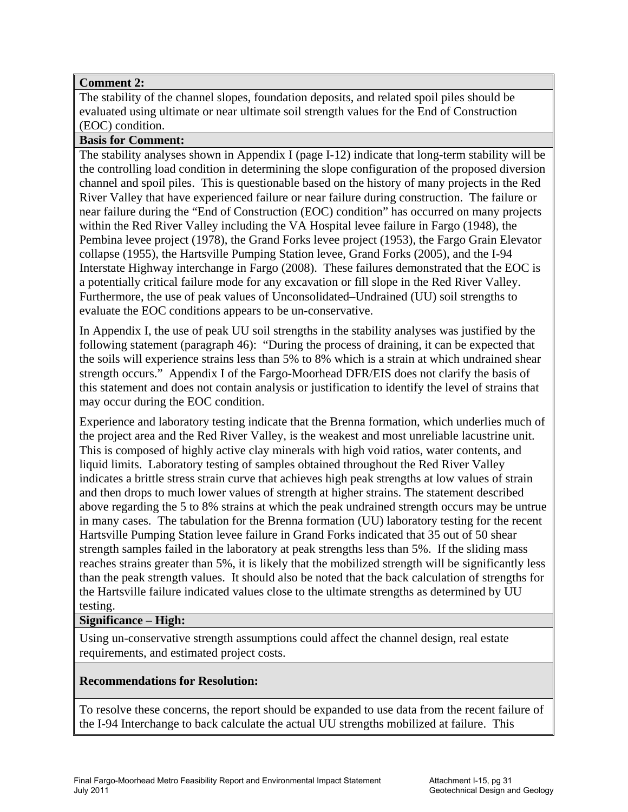## **Comment 2:**

The stability of the channel slopes, foundation deposits, and related spoil piles should be evaluated using ultimate or near ultimate soil strength values for the End of Construction (EOC) condition.

## **Basis for Comment:**

The stability analyses shown in Appendix I (page I-12) indicate that long-term stability will be the controlling load condition in determining the slope configuration of the proposed diversion channel and spoil piles. This is questionable based on the history of many projects in the Red River Valley that have experienced failure or near failure during construction. The failure or near failure during the "End of Construction (EOC) condition" has occurred on many projects within the Red River Valley including the VA Hospital levee failure in Fargo (1948), the Pembina levee project (1978), the Grand Forks levee project (1953), the Fargo Grain Elevator collapse (1955), the Hartsville Pumping Station levee, Grand Forks (2005), and the I-94 Interstate Highway interchange in Fargo (2008). These failures demonstrated that the EOC is a potentially critical failure mode for any excavation or fill slope in the Red River Valley. Furthermore, the use of peak values of Unconsolidated–Undrained (UU) soil strengths to evaluate the EOC conditions appears to be un-conservative.

In Appendix I, the use of peak UU soil strengths in the stability analyses was justified by the following statement (paragraph 46): "During the process of draining, it can be expected that the soils will experience strains less than 5% to 8% which is a strain at which undrained shear strength occurs." Appendix I of the Fargo-Moorhead DFR/EIS does not clarify the basis of this statement and does not contain analysis or justification to identify the level of strains that may occur during the EOC condition.

Experience and laboratory testing indicate that the Brenna formation, which underlies much of the project area and the Red River Valley, is the weakest and most unreliable lacustrine unit. This is composed of highly active clay minerals with high void ratios, water contents, and liquid limits. Laboratory testing of samples obtained throughout the Red River Valley indicates a brittle stress strain curve that achieves high peak strengths at low values of strain and then drops to much lower values of strength at higher strains. The statement described above regarding the 5 to 8% strains at which the peak undrained strength occurs may be untrue in many cases. The tabulation for the Brenna formation (UU) laboratory testing for the recent Hartsville Pumping Station levee failure in Grand Forks indicated that 35 out of 50 shear strength samples failed in the laboratory at peak strengths less than 5%. If the sliding mass reaches strains greater than 5%, it is likely that the mobilized strength will be significantly less than the peak strength values. It should also be noted that the back calculation of strengths for the Hartsville failure indicated values close to the ultimate strengths as determined by UU testing.

## **Significance – High:**

Using un-conservative strength assumptions could affect the channel design, real estate requirements, and estimated project costs.

## **Recommendations for Resolution:**

To resolve these concerns, the report should be expanded to use data from the recent failure of the I-94 Interchange to back calculate the actual UU strengths mobilized at failure. This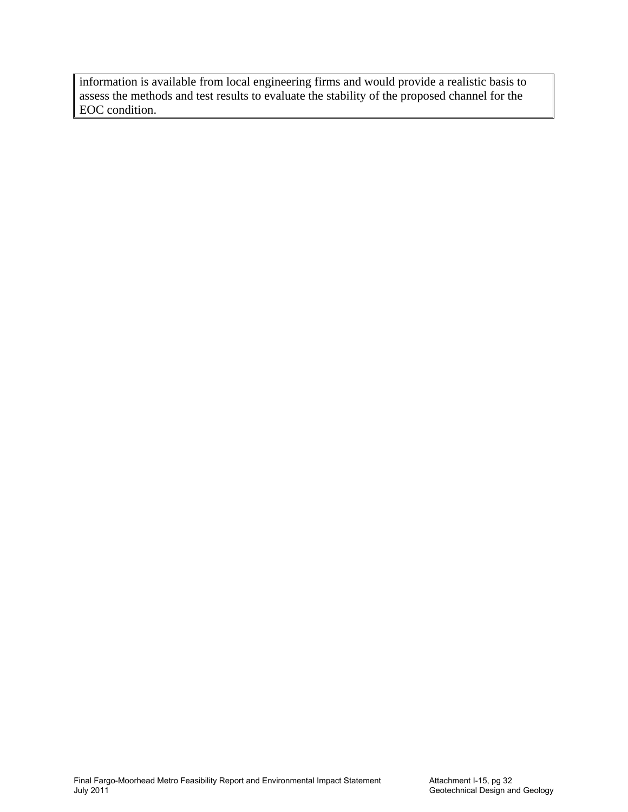information is available from local engineering firms and would provide a realistic basis to assess the methods and test results to evaluate the stability of the proposed channel for the EOC condition.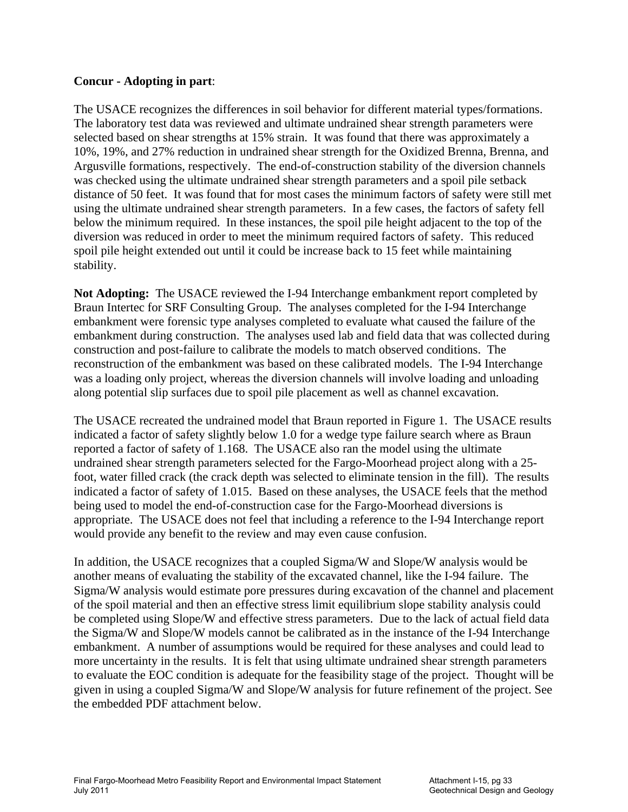## **Concur - Adopting in part**:

The USACE recognizes the differences in soil behavior for different material types/formations. The laboratory test data was reviewed and ultimate undrained shear strength parameters were selected based on shear strengths at 15% strain. It was found that there was approximately a 10%, 19%, and 27% reduction in undrained shear strength for the Oxidized Brenna, Brenna, and Argusville formations, respectively. The end-of-construction stability of the diversion channels was checked using the ultimate undrained shear strength parameters and a spoil pile setback distance of 50 feet. It was found that for most cases the minimum factors of safety were still met using the ultimate undrained shear strength parameters. In a few cases, the factors of safety fell below the minimum required. In these instances, the spoil pile height adjacent to the top of the diversion was reduced in order to meet the minimum required factors of safety. This reduced spoil pile height extended out until it could be increase back to 15 feet while maintaining stability.

**Not Adopting:** The USACE reviewed the I-94 Interchange embankment report completed by Braun Intertec for SRF Consulting Group. The analyses completed for the I-94 Interchange embankment were forensic type analyses completed to evaluate what caused the failure of the embankment during construction. The analyses used lab and field data that was collected during construction and post-failure to calibrate the models to match observed conditions. The reconstruction of the embankment was based on these calibrated models. The I-94 Interchange was a loading only project, whereas the diversion channels will involve loading and unloading along potential slip surfaces due to spoil pile placement as well as channel excavation.

The USACE recreated the undrained model that Braun reported in Figure 1. The USACE results indicated a factor of safety slightly below 1.0 for a wedge type failure search where as Braun reported a factor of safety of 1.168. The USACE also ran the model using the ultimate undrained shear strength parameters selected for the Fargo-Moorhead project along with a 25 foot, water filled crack (the crack depth was selected to eliminate tension in the fill). The results indicated a factor of safety of 1.015. Based on these analyses, the USACE feels that the method being used to model the end-of-construction case for the Fargo-Moorhead diversions is appropriate. The USACE does not feel that including a reference to the I-94 Interchange report would provide any benefit to the review and may even cause confusion.

In addition, the USACE recognizes that a coupled Sigma/W and Slope/W analysis would be another means of evaluating the stability of the excavated channel, like the I-94 failure. The Sigma/W analysis would estimate pore pressures during excavation of the channel and placement of the spoil material and then an effective stress limit equilibrium slope stability analysis could be completed using Slope/W and effective stress parameters. Due to the lack of actual field data the Sigma/W and Slope/W models cannot be calibrated as in the instance of the I-94 Interchange embankment. A number of assumptions would be required for these analyses and could lead to more uncertainty in the results. It is felt that using ultimate undrained shear strength parameters to evaluate the EOC condition is adequate for the feasibility stage of the project. Thought will be given in using a coupled Sigma/W and Slope/W analysis for future refinement of the project. See the embedded PDF attachment below.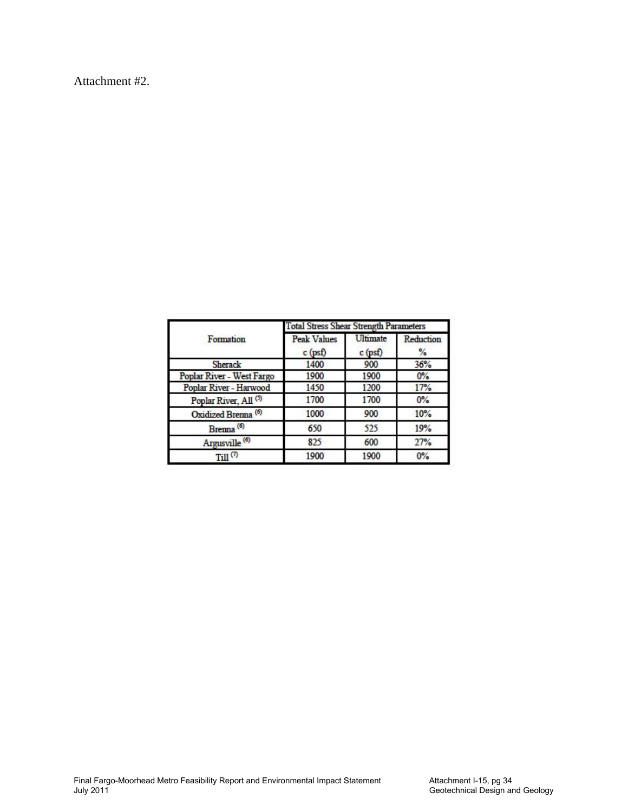Attachment #2.

|                                  | <b>Total Stress Shear Strength Parameters</b> |                       |                            |  |  |  |  |  |  |
|----------------------------------|-----------------------------------------------|-----------------------|----------------------------|--|--|--|--|--|--|
| Formation                        | <b>Peak Values</b><br>$c$ (psf)               | Ultimate<br>$c$ (psf) | Reduction<br>$\frac{9}{6}$ |  |  |  |  |  |  |
| <b>Sherack</b>                   | 1400                                          | 900                   | 36%                        |  |  |  |  |  |  |
| Poplar River - West Fargo        | 1900                                          | 1900                  | $0\%$                      |  |  |  |  |  |  |
| Poplar River - Harwood           | 1450                                          | 1200                  | 17%                        |  |  |  |  |  |  |
| Poplar River, All <sup>(5)</sup> | 1700                                          | 1700                  | 0%                         |  |  |  |  |  |  |
| Oxidized Brenna <sup>(6)</sup>   | 1000                                          | 900                   | 10%                        |  |  |  |  |  |  |
| Brenna <sup>(6)</sup>            | 650                                           | 525                   | 19%                        |  |  |  |  |  |  |
| Argusville <sup>(6)</sup>        | 825                                           | 600                   | 27%                        |  |  |  |  |  |  |
| Till <sup>(7)</sup>              | 1900                                          | 1900                  | 0%                         |  |  |  |  |  |  |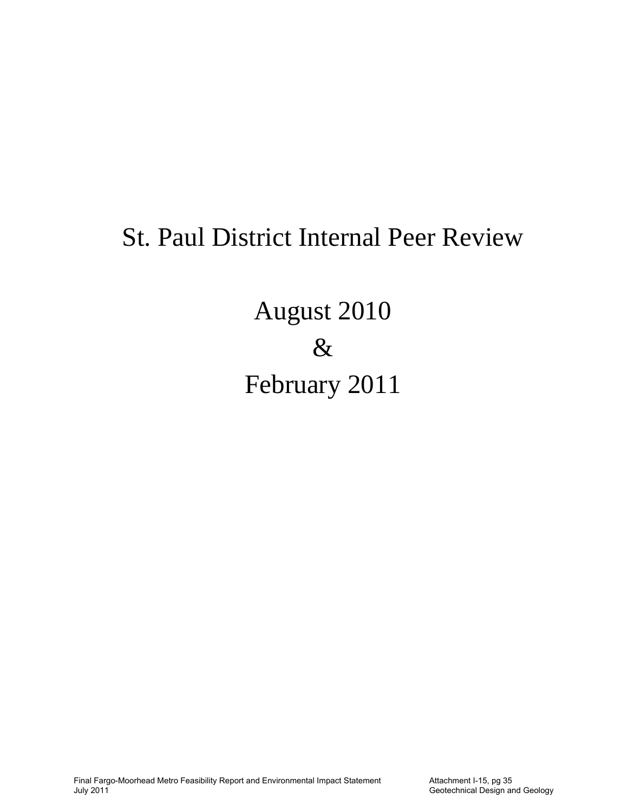# St. Paul District Internal Peer Review

August 2010  $\&$ February 2011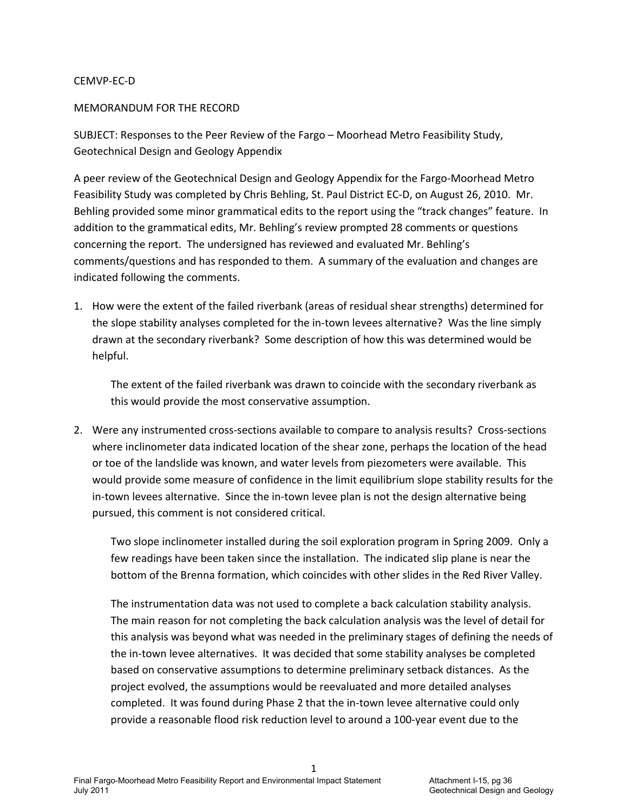### CEMVP‐EC‐D

### MEMORANDUM FOR THE RECORD

SUBJECT: Responses to the Peer Review of the Fargo – Moorhead Metro Feasibility Study, Geotechnical Design and Geology Appendix

A peer review of the Geotechnical Design and Geology Appendix for the Fargo‐Moorhead Metro Feasibility Study was completed by Chris Behling, St. Paul District EC‐D, on August 26, 2010. Mr. Behling provided some minor grammatical edits to the report using the "track changes" feature. In addition to the grammatical edits, Mr. Behling's review prompted 28 comments or questions concerning the report. The undersigned has reviewed and evaluated Mr. Behling's comments/questions and has responded to them. A summary of the evaluation and changes are indicated following the comments.

1. How were the extent of the failed riverbank (areas of residual shear strengths) determined for the slope stability analyses completed for the in‐town levees alternative? Was the line simply drawn at the secondary riverbank? Some description of how this was determined would be helpful.

The extent of the failed riverbank was drawn to coincide with the secondary riverbank as this would provide the most conservative assumption.

2. Were any instrumented cross-sections available to compare to analysis results? Cross-sections where inclinometer data indicated location of the shear zone, perhaps the location of the head or toe of the landslide was known, and water levels from piezometers were available. This would provide some measure of confidence in the limit equilibrium slope stability results for the in-town levees alternative. Since the in-town levee plan is not the design alternative being pursued, this comment is not considered critical.

Two slope inclinometer installed during the soil exploration program in Spring 2009. Only a few readings have been taken since the installation. The indicated slip plane is near the bottom of the Brenna formation, which coincides with other slides in the Red River Valley.

The instrumentation data was not used to complete a back calculation stability analysis. The main reason for not completing the back calculation analysis was the level of detail for this analysis was beyond what was needed in the preliminary stages of defining the needs of the in-town levee alternatives. It was decided that some stability analyses be completed based on conservative assumptions to determine preliminary setback distances. As the project evolved, the assumptions would be reevaluated and more detailed analyses completed. It was found during Phase 2 that the in-town levee alternative could only provide a reasonable flood risk reduction level to around a 100‐year event due to the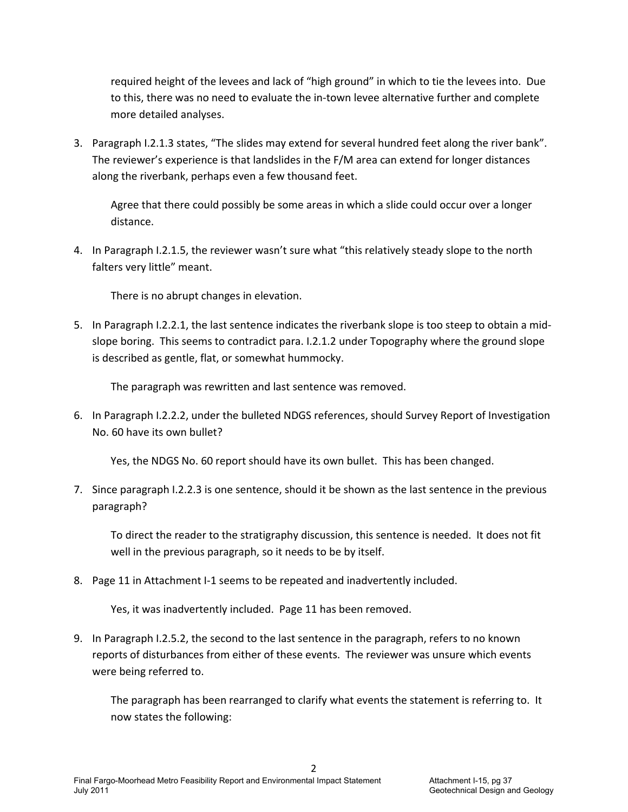required height of the levees and lack of "high ground" in which to tie the levees into. Due to this, there was no need to evaluate the in‐town levee alternative further and complete more detailed analyses.

3. Paragraph I.2.1.3 states, "The slides may extend for several hundred feet along the river bank". The reviewer's experience is that landslides in the F/M area can extend for longer distances along the riverbank, perhaps even a few thousand feet.

Agree that there could possibly be some areas in which a slide could occur over a longer distance.

4. In Paragraph I.2.1.5, the reviewer wasn't sure what "this relatively steady slope to the north falters very little" meant.

There is no abrupt changes in elevation.

5. In Paragraph I.2.2.1, the last sentence indicates the riverbank slope is too steep to obtain a mid‐ slope boring. This seems to contradict para. I.2.1.2 under Topography where the ground slope is described as gentle, flat, or somewhat hummocky.

The paragraph was rewritten and last sentence was removed.

6. In Paragraph I.2.2.2, under the bulleted NDGS references, should Survey Report of Investigation No. 60 have its own bullet?

Yes, the NDGS No. 60 report should have its own bullet. This has been changed.

7. Since paragraph I.2.2.3 is one sentence, should it be shown as the last sentence in the previous paragraph?

To direct the reader to the stratigraphy discussion, this sentence is needed. It does not fit well in the previous paragraph, so it needs to be by itself.

8. Page 11 in Attachment I-1 seems to be repeated and inadvertently included.

Yes, it was inadvertently included. Page 11 has been removed.

9. In Paragraph I.2.5.2, the second to the last sentence in the paragraph, refers to no known reports of disturbances from either of these events. The reviewer was unsure which events were being referred to.

The paragraph has been rearranged to clarify what events the statement is referring to. It now states the following: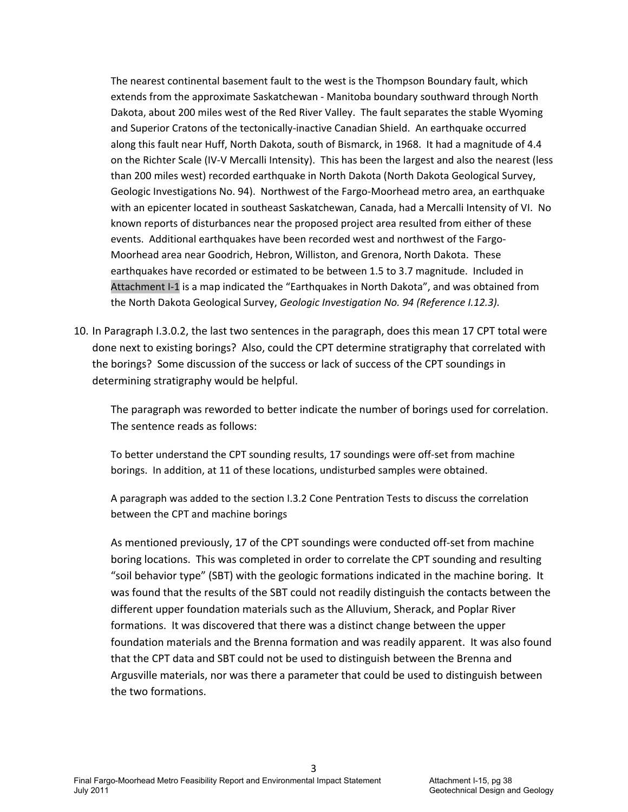The nearest continental basement fault to the west is the Thompson Boundary fault, which extends from the approximate Saskatchewan ‐ Manitoba boundary southward through North Dakota, about 200 miles west of the Red River Valley. The fault separates the stable Wyoming and Superior Cratons of the tectonically-inactive Canadian Shield. An earthquake occurred along this fault near Huff, North Dakota, south of Bismarck, in 1968. It had a magnitude of 4.4 on the Richter Scale (IV‐V Mercalli Intensity). This has been the largest and also the nearest (less than 200 miles west) recorded earthquake in North Dakota (North Dakota Geological Survey, Geologic Investigations No. 94). Northwest of the Fargo‐Moorhead metro area, an earthquake with an epicenter located in southeast Saskatchewan, Canada, had a Mercalli Intensity of VI. No known reports of disturbances near the proposed project area resulted from either of these events. Additional earthquakes have been recorded west and northwest of the Fargo-Moorhead area near Goodrich, Hebron, Williston, and Grenora, North Dakota. These earthquakes have recorded or estimated to be between 1.5 to 3.7 magnitude. Included in Attachment I‐1 is a map indicated the "Earthquakes in North Dakota", and was obtained from the North Dakota Geological Survey, *Geologic Investigation No. 94 (Reference I.12.3).*

10. In Paragraph I.3.0.2, the last two sentences in the paragraph, does this mean 17 CPT total were done next to existing borings? Also, could the CPT determine stratigraphy that correlated with the borings? Some discussion of the success or lack of success of the CPT soundings in determining stratigraphy would be helpful.

The paragraph was reworded to better indicate the number of borings used for correlation. The sentence reads as follows:

To better understand the CPT sounding results, 17 soundings were off‐set from machine borings. In addition, at 11 of these locations, undisturbed samples were obtained.

A paragraph was added to the section I.3.2 Cone Pentration Tests to discuss the correlation between the CPT and machine borings

As mentioned previously, 17 of the CPT soundings were conducted off‐set from machine boring locations. This was completed in order to correlate the CPT sounding and resulting "soil behavior type" (SBT) with the geologic formations indicated in the machine boring. It was found that the results of the SBT could not readily distinguish the contacts between the different upper foundation materials such as the Alluvium, Sherack, and Poplar River formations. It was discovered that there was a distinct change between the upper foundation materials and the Brenna formation and was readily apparent. It was also found that the CPT data and SBT could not be used to distinguish between the Brenna and Argusville materials, nor was there a parameter that could be used to distinguish between the two formations.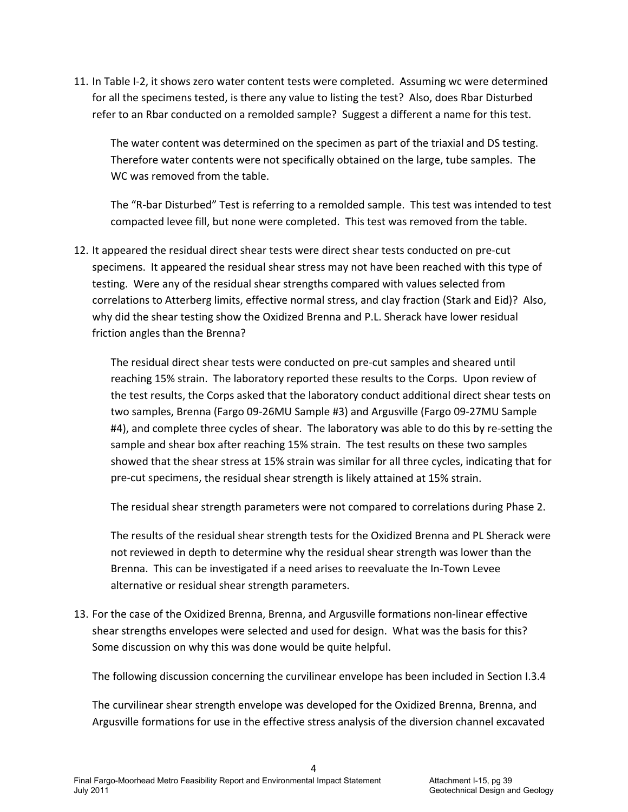11. In Table I-2, it shows zero water content tests were completed. Assuming wc were determined for all the specimens tested, is there any value to listing the test? Also, does Rbar Disturbed refer to an Rbar conducted on a remolded sample? Suggest a different a name for this test.

The water content was determined on the specimen as part of the triaxial and DS testing. Therefore water contents were not specifically obtained on the large, tube samples. The WC was removed from the table.

The "R‐bar Disturbed" Test is referring to a remolded sample. This test was intended to test compacted levee fill, but none were completed. This test was removed from the table.

12. It appeared the residual direct shear tests were direct shear tests conducted on pre‐cut specimens. It appeared the residual shear stress may not have been reached with this type of testing. Were any of the residual shear strengths compared with values selected from correlations to Atterberg limits, effective normal stress, and clay fraction (Stark and Eid)? Also, why did the shear testing show the Oxidized Brenna and P.L. Sherack have lower residual friction angles than the Brenna?

The residual direct shear tests were conducted on pre‐cut samples and sheared until reaching 15% strain. The laboratory reported these results to the Corps. Upon review of the test results, the Corps asked that the laboratory conduct additional direct shear tests on two samples, Brenna (Fargo 09‐26MU Sample #3) and Argusville (Fargo 09‐27MU Sample #4), and complete three cycles of shear. The laboratory was able to do this by re-setting the sample and shear box after reaching 15% strain. The test results on these two samples showed that the shear stress at 15% strain was similar for all three cycles, indicating that for pre‐cut specimens, the residual shear strength is likely attained at 15% strain.

The residual shear strength parameters were not compared to correlations during Phase 2.

The results of the residual shear strength tests for the Oxidized Brenna and PL Sherack were not reviewed in depth to determine why the residual shear strength was lower than the Brenna. This can be investigated if a need arises to reevaluate the In‐Town Levee alternative or residual shear strength parameters.

13. For the case of the Oxidized Brenna, Brenna, and Argusville formations non‐linear effective shear strengths envelopes were selected and used for design. What was the basis for this? Some discussion on why this was done would be quite helpful.

The following discussion concerning the curvilinear envelope has been included in Section I.3.4

The curvilinear shear strength envelope was developed for the Oxidized Brenna, Brenna, and Argusville formations for use in the effective stress analysis of the diversion channel excavated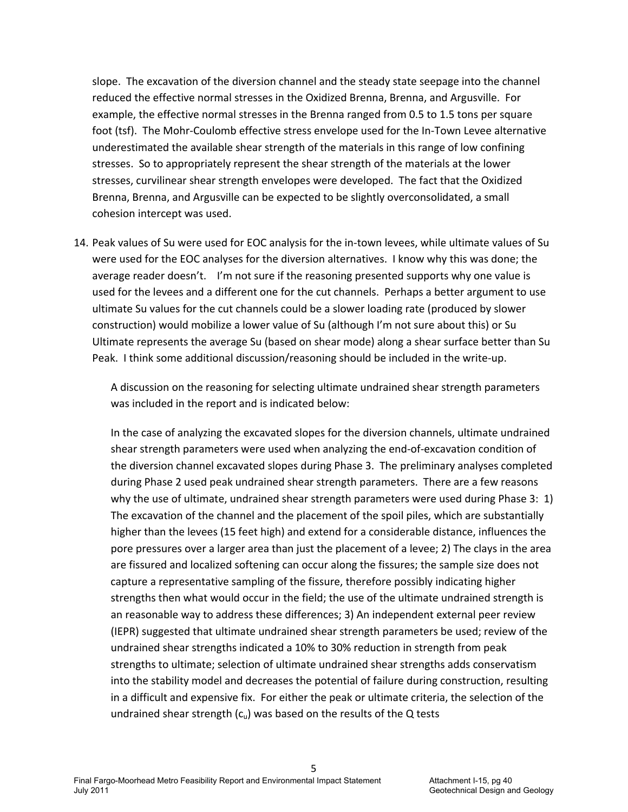slope. The excavation of the diversion channel and the steady state seepage into the channel reduced the effective normal stresses in the Oxidized Brenna, Brenna, and Argusville. For example, the effective normal stresses in the Brenna ranged from 0.5 to 1.5 tons per square foot (tsf). The Mohr‐Coulomb effective stress envelope used for the In‐Town Levee alternative underestimated the available shear strength of the materials in this range of low confining stresses. So to appropriately represent the shear strength of the materials at the lower stresses, curvilinear shear strength envelopes were developed. The fact that the Oxidized Brenna, Brenna, and Argusville can be expected to be slightly overconsolidated, a small cohesion intercept was used.

14. Peak values of Su were used for EOC analysis for the in-town levees, while ultimate values of Su were used for the EOC analyses for the diversion alternatives. I know why this was done; the average reader doesn't. I'm not sure if the reasoning presented supports why one value is used for the levees and a different one for the cut channels. Perhaps a better argument to use ultimate Su values for the cut channels could be a slower loading rate (produced by slower construction) would mobilize a lower value of Su (although I'm not sure about this) or Su Ultimate represents the average Su (based on shear mode) along a shear surface better than Su Peak. I think some additional discussion/reasoning should be included in the write-up.

A discussion on the reasoning for selecting ultimate undrained shear strength parameters was included in the report and is indicated below:

In the case of analyzing the excavated slopes for the diversion channels, ultimate undrained shear strength parameters were used when analyzing the end‐of‐excavation condition of the diversion channel excavated slopes during Phase 3. The preliminary analyses completed during Phase 2 used peak undrained shear strength parameters. There are a few reasons why the use of ultimate, undrained shear strength parameters were used during Phase 3: 1) The excavation of the channel and the placement of the spoil piles, which are substantially higher than the levees (15 feet high) and extend for a considerable distance, influences the pore pressures over a larger area than just the placement of a levee; 2) The clays in the area are fissured and localized softening can occur along the fissures; the sample size does not capture a representative sampling of the fissure, therefore possibly indicating higher strengths then what would occur in the field; the use of the ultimate undrained strength is an reasonable way to address these differences; 3) An independent external peer review (IEPR) suggested that ultimate undrained shear strength parameters be used; review of the undrained shear strengths indicated a 10% to 30% reduction in strength from peak strengths to ultimate; selection of ultimate undrained shear strengths adds conservatism into the stability model and decreases the potential of failure during construction, resulting in a difficult and expensive fix. For either the peak or ultimate criteria, the selection of the undrained shear strength  $(c<sub>u</sub>)$  was based on the results of the Q tests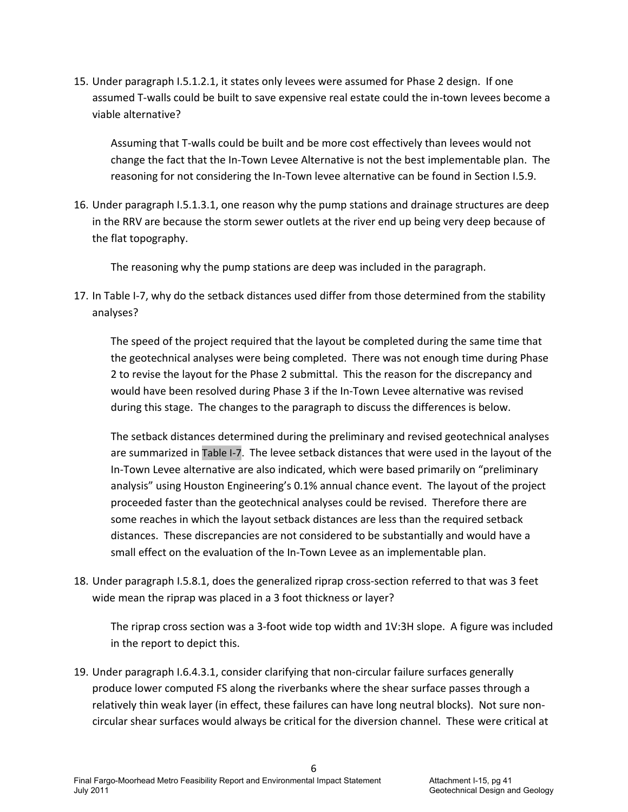15. Under paragraph I.5.1.2.1, it states only levees were assumed for Phase 2 design. If one assumed T‐walls could be built to save expensive real estate could the in‐town levees become a viable alternative?

Assuming that T‐walls could be built and be more cost effectively than levees would not change the fact that the In‐Town Levee Alternative is not the best implementable plan. The reasoning for not considering the In‐Town levee alternative can be found in Section I.5.9.

16. Under paragraph I.5.1.3.1, one reason why the pump stations and drainage structures are deep in the RRV are because the storm sewer outlets at the river end up being very deep because of the flat topography.

The reasoning why the pump stations are deep was included in the paragraph.

17. In Table I-7, why do the setback distances used differ from those determined from the stability analyses?

The speed of the project required that the layout be completed during the same time that the geotechnical analyses were being completed. There was not enough time during Phase 2 to revise the layout for the Phase 2 submittal. This the reason for the discrepancy and would have been resolved during Phase 3 if the In‐Town Levee alternative was revised during this stage. The changes to the paragraph to discuss the differences is below.

The setback distances determined during the preliminary and revised geotechnical analyses are summarized in Table I‐7. The levee setback distances that were used in the layout of the In‐Town Levee alternative are also indicated, which were based primarily on "preliminary analysis" using Houston Engineering's 0.1% annual chance event. The layout of the project proceeded faster than the geotechnical analyses could be revised. Therefore there are some reaches in which the layout setback distances are less than the required setback distances. These discrepancies are not considered to be substantially and would have a small effect on the evaluation of the In-Town Levee as an implementable plan.

18. Under paragraph I.5.8.1, does the generalized riprap cross‐section referred to that was 3 feet wide mean the riprap was placed in a 3 foot thickness or layer?

The riprap cross section was a 3‐foot wide top width and 1V:3H slope. A figure was included in the report to depict this.

19. Under paragraph I.6.4.3.1, consider clarifying that non‐circular failure surfaces generally produce lower computed FS along the riverbanks where the shear surface passes through a relatively thin weak layer (in effect, these failures can have long neutral blocks). Not sure non‐ circular shear surfaces would always be critical for the diversion channel. These were critical at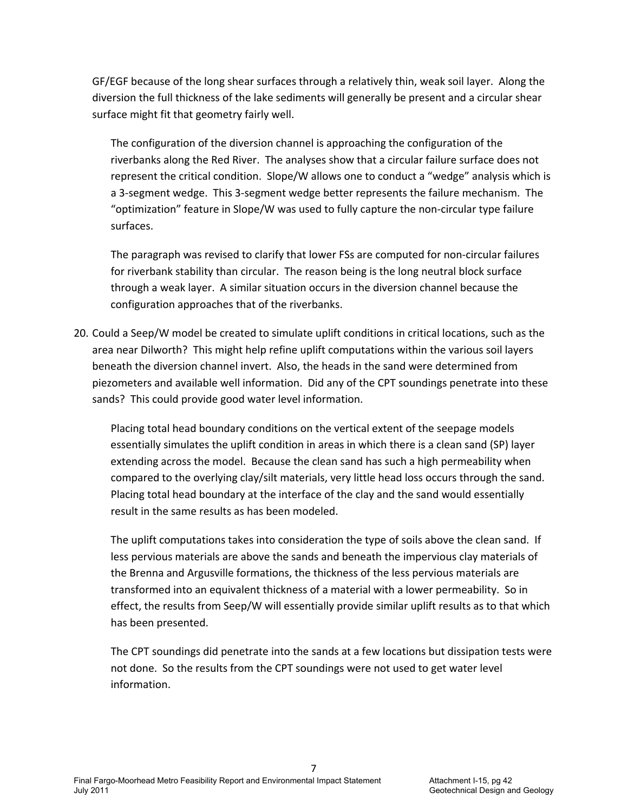GF/EGF because of the long shear surfaces through a relatively thin, weak soil layer. Along the diversion the full thickness of the lake sediments will generally be present and a circular shear surface might fit that geometry fairly well.

The configuration of the diversion channel is approaching the configuration of the riverbanks along the Red River. The analyses show that a circular failure surface does not represent the critical condition. Slope/W allows one to conduct a "wedge" analysis which is a 3‐segment wedge. This 3‐segment wedge better represents the failure mechanism. The "optimization" feature in Slope/W was used to fully capture the non‐circular type failure surfaces.

The paragraph was revised to clarify that lower FSs are computed for non‐circular failures for riverbank stability than circular. The reason being is the long neutral block surface through a weak layer. A similar situation occurs in the diversion channel because the configuration approaches that of the riverbanks.

20. Could a Seep/W model be created to simulate uplift conditions in critical locations, such as the area near Dilworth? This might help refine uplift computations within the various soil layers beneath the diversion channel invert. Also, the heads in the sand were determined from piezometers and available well information. Did any of the CPT soundings penetrate into these sands? This could provide good water level information.

Placing total head boundary conditions on the vertical extent of the seepage models essentially simulates the uplift condition in areas in which there is a clean sand (SP) layer extending across the model. Because the clean sand has such a high permeability when compared to the overlying clay/silt materials, very little head loss occurs through the sand. Placing total head boundary at the interface of the clay and the sand would essentially result in the same results as has been modeled.

The uplift computations takes into consideration the type of soils above the clean sand. If less pervious materials are above the sands and beneath the impervious clay materials of the Brenna and Argusville formations, the thickness of the less pervious materials are transformed into an equivalent thickness of a material with a lower permeability. So in effect, the results from Seep/W will essentially provide similar uplift results as to that which has been presented.

The CPT soundings did penetrate into the sands at a few locations but dissipation tests were not done. So the results from the CPT soundings were not used to get water level information.

7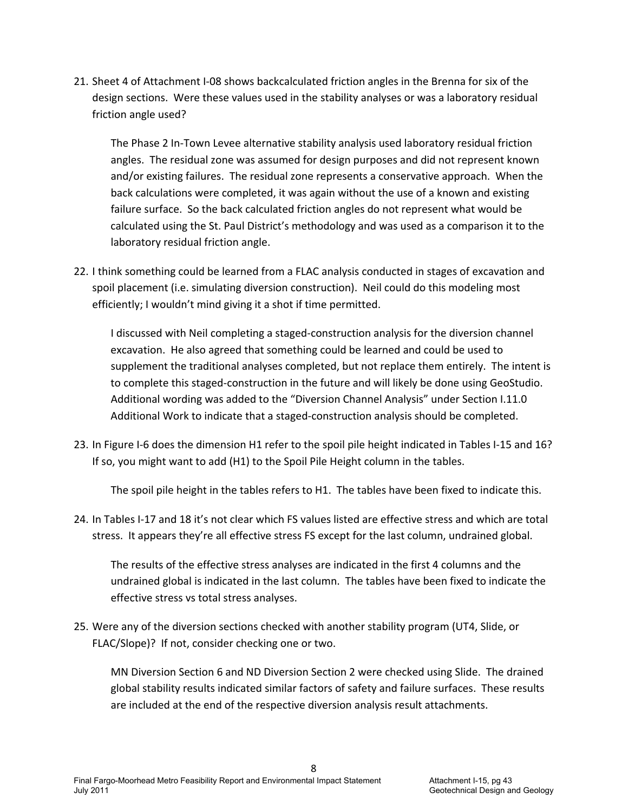21. Sheet 4 of Attachment I‐08 shows backcalculated friction angles in the Brenna for six of the design sections. Were these values used in the stability analyses or was a laboratory residual friction angle used?

The Phase 2 In‐Town Levee alternative stability analysis used laboratory residual friction angles. The residual zone was assumed for design purposes and did not represent known and/or existing failures. The residual zone represents a conservative approach. When the back calculations were completed, it was again without the use of a known and existing failure surface. So the back calculated friction angles do not represent what would be calculated using the St. Paul District's methodology and was used as a comparison it to the laboratory residual friction angle.

22. I think something could be learned from a FLAC analysis conducted in stages of excavation and spoil placement (i.e. simulating diversion construction). Neil could do this modeling most efficiently; I wouldn't mind giving it a shot if time permitted.

I discussed with Neil completing a staged‐construction analysis for the diversion channel excavation. He also agreed that something could be learned and could be used to supplement the traditional analyses completed, but not replace them entirely. The intent is to complete this staged‐construction in the future and will likely be done using GeoStudio. Additional wording was added to the "Diversion Channel Analysis" under Section I.11.0 Additional Work to indicate that a staged‐construction analysis should be completed.

23. In Figure I-6 does the dimension H1 refer to the spoil pile height indicated in Tables I-15 and 16? If so, you might want to add (H1) to the Spoil Pile Height column in the tables.

The spoil pile height in the tables refers to H1. The tables have been fixed to indicate this.

24. In Tables I‐17 and 18 it's not clear which FS values listed are effective stress and which are total stress. It appears they're all effective stress FS except for the last column, undrained global.

The results of the effective stress analyses are indicated in the first 4 columns and the undrained global is indicated in the last column. The tables have been fixed to indicate the effective stress vs total stress analyses.

25. Were any of the diversion sections checked with another stability program (UT4, Slide, or FLAC/Slope)? If not, consider checking one or two.

MN Diversion Section 6 and ND Diversion Section 2 were checked using Slide. The drained global stability results indicated similar factors of safety and failure surfaces. These results are included at the end of the respective diversion analysis result attachments.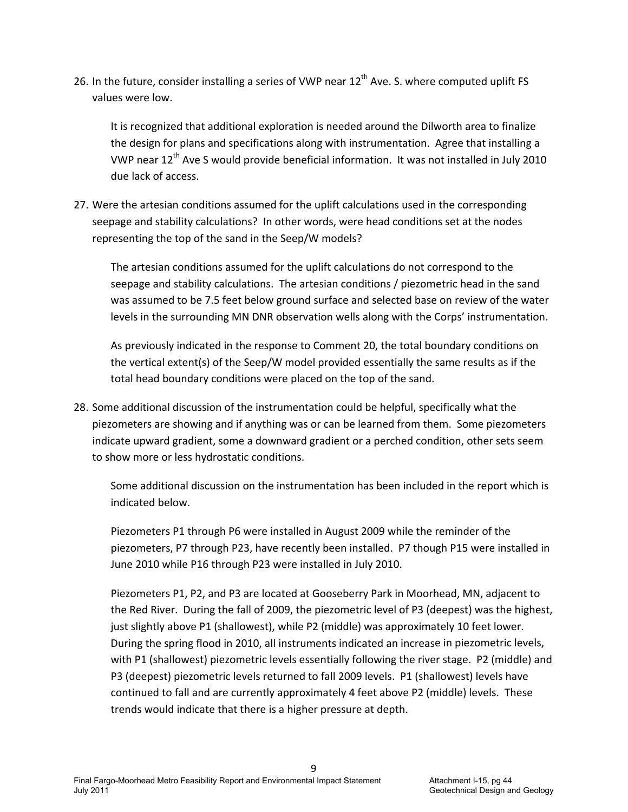26. In the future, consider installing a series of VWP near 12<sup>th</sup> Ave. S. where computed uplift FS values were low.

It is recognized that additional exploration is needed around the Dilworth area to finalize the design for plans and specifications along with instrumentation. Agree that installing a VWP near 12<sup>th</sup> Ave S would provide beneficial information. It was not installed in July 2010 due lack of access.

27. Were the artesian conditions assumed for the uplift calculations used in the corresponding seepage and stability calculations? In other words, were head conditions set at the nodes representing the top of the sand in the Seep/W models?

The artesian conditions assumed for the uplift calculations do not correspond to the seepage and stability calculations. The artesian conditions / piezometric head in the sand was assumed to be 7.5 feet below ground surface and selected base on review of the water levels in the surrounding MN DNR observation wells along with the Corps' instrumentation.

As previously indicated in the response to Comment 20, the total boundary conditions on the vertical extent(s) of the Seep/W model provided essentially the same results as if the total head boundary conditions were placed on the top of the sand.

28. Some additional discussion of the instrumentation could be helpful, specifically what the piezometers are showing and if anything was or can be learned from them. Some piezometers indicate upward gradient, some a downward gradient or a perched condition, other sets seem to show more or less hydrostatic conditions.

Some additional discussion on the instrumentation has been included in the report which is indicated below.

Piezometers P1 through P6 were installed in August 2009 while the reminder of the piezometers, P7 through P23, have recently been installed. P7 though P15 were installed in June 2010 while P16 through P23 were installed in July 2010.

Piezometers P1, P2, and P3 are located at Gooseberry Park in Moorhead, MN, adjacent to the Red River. During the fall of 2009, the piezometric level of P3 (deepest) was the highest, just slightly above P1 (shallowest), while P2 (middle) was approximately 10 feet lower. During the spring flood in 2010, all instruments indicated an increase in piezometric levels, with P1 (shallowest) piezometric levels essentially following the river stage. P2 (middle) and P3 (deepest) piezometric levels returned to fall 2009 levels. P1 (shallowest) levels have continued to fall and are currently approximately 4 feet above P2 (middle) levels. These trends would indicate that there is a higher pressure at depth.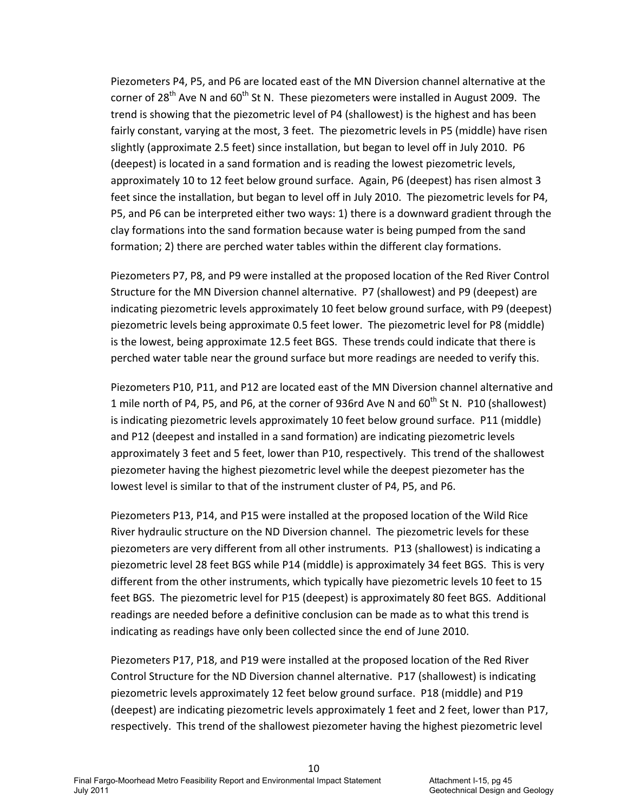Piezometers P4, P5, and P6 are located east of the MN Diversion channel alternative at the corner of 28<sup>th</sup> Ave N and  $60<sup>th</sup>$  St N. These piezometers were installed in August 2009. The trend is showing that the piezometric level of P4 (shallowest) is the highest and has been fairly constant, varying at the most, 3 feet. The piezometric levels in P5 (middle) have risen slightly (approximate 2.5 feet) since installation, but began to level off in July 2010. P6 (deepest) is located in a sand formation and is reading the lowest piezometric levels, approximately 10 to 12 feet below ground surface. Again, P6 (deepest) has risen almost 3 feet since the installation, but began to level off in July 2010. The piezometric levels for P4, P5, and P6 can be interpreted either two ways: 1) there is a downward gradient through the clay formations into the sand formation because water is being pumped from the sand formation; 2) there are perched water tables within the different clay formations.

Piezometers P7, P8, and P9 were installed at the proposed location of the Red River Control Structure for the MN Diversion channel alternative. P7 (shallowest) and P9 (deepest) are indicating piezometric levels approximately 10 feet below ground surface, with P9 (deepest) piezometric levels being approximate 0.5 feet lower. The piezometric level for P8 (middle) is the lowest, being approximate 12.5 feet BGS. These trends could indicate that there is perched water table near the ground surface but more readings are needed to verify this.

Piezometers P10, P11, and P12 are located east of the MN Diversion channel alternative and 1 mile north of P4, P5, and P6, at the corner of 936rd Ave N and  $60^{th}$  St N. P10 (shallowest) is indicating piezometric levels approximately 10 feet below ground surface. P11 (middle) and P12 (deepest and installed in a sand formation) are indicating piezometric levels approximately 3 feet and 5 feet, lower than P10, respectively. This trend of the shallowest piezometer having the highest piezometric level while the deepest piezometer has the lowest level is similar to that of the instrument cluster of P4, P5, and P6.

Piezometers P13, P14, and P15 were installed at the proposed location of the Wild Rice River hydraulic structure on the ND Diversion channel. The piezometric levels for these piezometers are very different from all other instruments. P13 (shallowest) is indicating a piezometric level 28 feet BGS while P14 (middle) is approximately 34 feet BGS. This is very different from the other instruments, which typically have piezometric levels 10 feet to 15 feet BGS. The piezometric level for P15 (deepest) is approximately 80 feet BGS. Additional readings are needed before a definitive conclusion can be made as to what this trend is indicating as readings have only been collected since the end of June 2010.

Piezometers P17, P18, and P19 were installed at the proposed location of the Red River Control Structure for the ND Diversion channel alternative. P17 (shallowest) is indicating piezometric levels approximately 12 feet below ground surface. P18 (middle) and P19 (deepest) are indicating piezometric levels approximately 1 feet and 2 feet, lower than P17, respectively. This trend of the shallowest piezometer having the highest piezometric level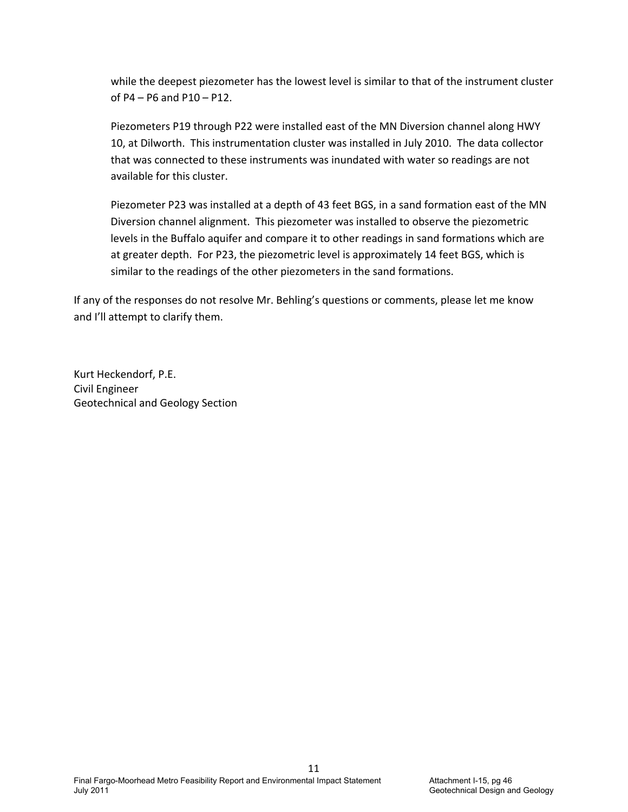while the deepest piezometer has the lowest level is similar to that of the instrument cluster of P4 – P6 and P10 – P12.

Piezometers P19 through P22 were installed east of the MN Diversion channel along HWY 10, at Dilworth. This instrumentation cluster was installed in July 2010. The data collector that was connected to these instruments was inundated with water so readings are not available for this cluster.

Piezometer P23 was installed at a depth of 43 feet BGS, in a sand formation east of the MN Diversion channel alignment. This piezometer was installed to observe the piezometric levels in the Buffalo aquifer and compare it to other readings in sand formations which are at greater depth. For P23, the piezometric level is approximately 14 feet BGS, which is similar to the readings of the other piezometers in the sand formations.

If any of the responses do not resolve Mr. Behling's questions or comments, please let me know and I'll attempt to clarify them.

Kurt Heckendorf, P.E. Civil Engineer Geotechnical and Geology Section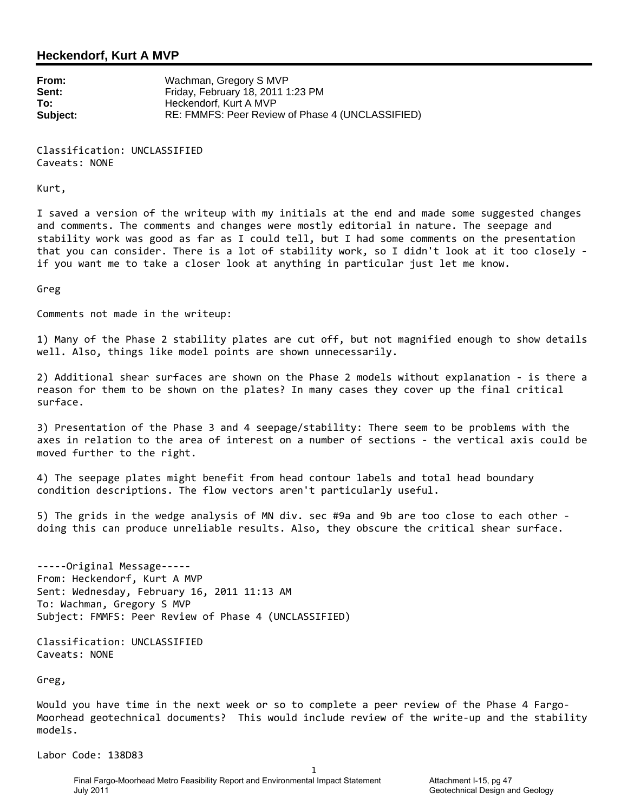### **Heckendorf, Kurt A MVP**

**From:** Wachman, Gregory S MVP **Sent:** Friday, February 18, 2011 1:23 PM **To: Heckendorf, Kurt A MVP Subject:** RE: FMMFS: Peer Review of Phase 4 (UNCLASSIFIED)

Classification: UNCLASSIFIED Caveats: NONE

Kurt,

I saved a version of the writeup with my initials at the end and made some suggested changes and comments. The comments and changes were mostly editorial in nature. The seepage and stability work was good as far as I could tell, but I had some comments on the presentation that you can consider. There is a lot of stability work, so I didn't look at it too closely ‐ if you want me to take a closer look at anything in particular just let me know.

Greg

Comments not made in the writeup:

1) Many of the Phase 2 stability plates are cut off, but not magnified enough to show details well. Also, things like model points are shown unnecessarily.

2) Additional shear surfaces are shown on the Phase 2 models without explanation ‐ is there a reason for them to be shown on the plates? In many cases they cover up the final critical surface.

3) Presentation of the Phase 3 and 4 seepage/stability: There seem to be problems with the axes in relation to the area of interest on a number of sections ‐ the vertical axis could be moved further to the right.

4) The seepage plates might benefit from head contour labels and total head boundary condition descriptions. The flow vectors aren't particularly useful.

5) The grids in the wedge analysis of MN div. sec #9a and 9b are too close to each other doing this can produce unreliable results. Also, they obscure the critical shear surface.

‐‐‐‐‐Original Message‐‐‐‐‐ From: Heckendorf, Kurt A MVP Sent: Wednesday, February 16, 2011 11:13 AM To: Wachman, Gregory S MVP Subject: FMMFS: Peer Review of Phase 4 (UNCLASSIFIED)

Classification: UNCLASSIFIED Caveats: NONE

Greg,

Would you have time in the next week or so to complete a peer review of the Phase 4 Fargo-Moorhead geotechnical documents? This would include review of the write‐up and the stability models.

1

Labor Code: 138D83